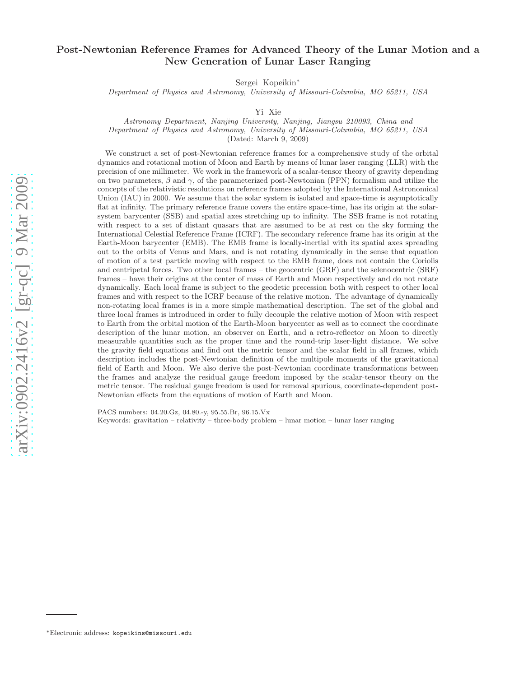# $arXiv:0902.2416v2$  [gr-qc] 9 Mar 2009 [arXiv:0902.2416v2 \[gr-qc\] 9 Mar 2009](http://arXiv.org/abs/0902.2416v2)

# Post-Newtonian Reference Frames for Advanced Theory of the Lunar Motion and a New Generation of Lunar Laser Ranging

Sergei Kopeikin ∗

*Department of Physics and Astronomy, University of Missouri-Columbia, MO 65211, USA*

### Yi Xie

*Astronomy Department, Nanjing University, Nanjing, Jiangsu 210093, China and Department of Physics and Astronomy, University of Missouri-Columbia, MO 65211, USA* (Dated: March 9, 2009)

We construct a set of post-Newtonian reference frames for a comprehensive study of the orbital dynamics and rotational motion of Moon and Earth by means of lunar laser ranging (LLR) with the precision of one millimeter. We work in the framework of a scalar-tensor theory of gravity depending on two parameters,  $\beta$  and  $\gamma$ , of the parameterized post-Newtonian (PPN) formalism and utilize the concepts of the relativistic resolutions on reference frames adopted by the International Astronomical Union (IAU) in 2000. We assume that the solar system is isolated and space-time is asymptotically flat at infinity. The primary reference frame covers the entire space-time, has its origin at the solarsystem barycenter (SSB) and spatial axes stretching up to infinity. The SSB frame is not rotating with respect to a set of distant quasars that are assumed to be at rest on the sky forming the International Celestial Reference Frame (ICRF). The secondary reference frame has its origin at the Earth-Moon barycenter (EMB). The EMB frame is locally-inertial with its spatial axes spreading out to the orbits of Venus and Mars, and is not rotating dynamically in the sense that equation of motion of a test particle moving with respect to the EMB frame, does not contain the Coriolis and centripetal forces. Two other local frames – the geocentric (GRF) and the selenocentric (SRF) frames – have their origins at the center of mass of Earth and Moon respectively and do not rotate dynamically. Each local frame is subject to the geodetic precession both with respect to other local frames and with respect to the ICRF because of the relative motion. The advantage of dynamically non-rotating local frames is in a more simple mathematical description. The set of the global and three local frames is introduced in order to fully decouple the relative motion of Moon with respect to Earth from the orbital motion of the Earth-Moon barycenter as well as to connect the coordinate description of the lunar motion, an observer on Earth, and a retro-reflector on Moon to directly measurable quantities such as the proper time and the round-trip laser-light distance. We solve the gravity field equations and find out the metric tensor and the scalar field in all frames, which description includes the post-Newtonian definition of the multipole moments of the gravitational field of Earth and Moon. We also derive the post-Newtonian coordinate transformations between the frames and analyze the residual gauge freedom imposed by the scalar-tensor theory on the metric tensor. The residual gauge freedom is used for removal spurious, coordinate-dependent post-Newtonian effects from the equations of motion of Earth and Moon.

PACS numbers: 04.20.Gz, 04.80.-y, 95.55.Br, 96.15.Vx Keywords: gravitation – relativity – three-body problem – lunar motion – lunar laser ranging

<sup>∗</sup>Electronic address: kopeikins@missouri.edu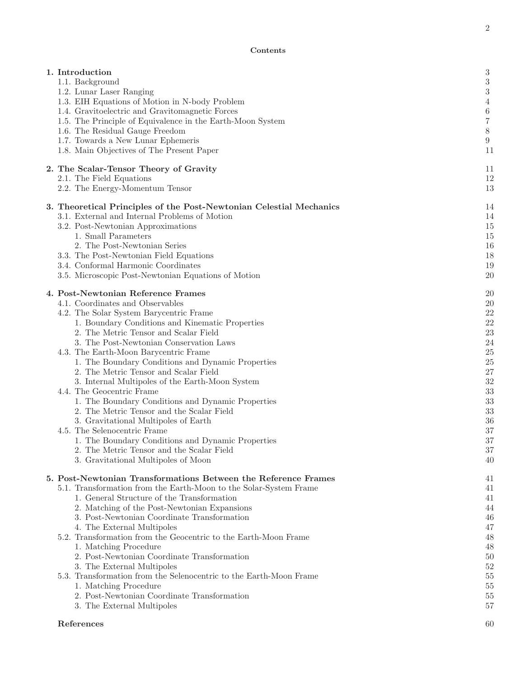# Contents

| 1. Introduction<br>1.1. Background<br>1.2. Lunar Laser Ranging<br>1.3. EIH Equations of Motion in N-body Problem<br>1.4. Gravitoelectric and Gravitomagnetic Forces<br>1.5. The Principle of Equivalence in the Earth-Moon System<br>1.6. The Residual Gauge Freedom<br>1.7. Towards a New Lunar Ephemeris<br>1.8. Main Objectives of The Present Paper                                                                                                                                                                                                                                                                                                                                                                                                                                            | $\boldsymbol{3}$<br>$\sqrt{3}$<br>$\sqrt{3}$<br>$\overline{4}$<br>$\,6\,$<br>$\,7$<br>$8\,$<br>$\boldsymbol{9}$<br>11 |
|----------------------------------------------------------------------------------------------------------------------------------------------------------------------------------------------------------------------------------------------------------------------------------------------------------------------------------------------------------------------------------------------------------------------------------------------------------------------------------------------------------------------------------------------------------------------------------------------------------------------------------------------------------------------------------------------------------------------------------------------------------------------------------------------------|-----------------------------------------------------------------------------------------------------------------------|
| 2. The Scalar-Tensor Theory of Gravity<br>2.1. The Field Equations<br>2.2. The Energy-Momentum Tensor                                                                                                                                                                                                                                                                                                                                                                                                                                                                                                                                                                                                                                                                                              | 11<br>12<br>13                                                                                                        |
| 3. Theoretical Principles of the Post-Newtonian Celestial Mechanics<br>3.1. External and Internal Problems of Motion<br>3.2. Post-Newtonian Approximations<br>1. Small Parameters<br>2. The Post-Newtonian Series<br>3.3. The Post-Newtonian Field Equations<br>3.4. Conformal Harmonic Coordinates<br>3.5. Microscopic Post-Newtonian Equations of Motion                                                                                                                                                                                                                                                                                                                                                                                                                                         | 14<br>14<br>15<br>15<br>16<br>18<br>19<br>20                                                                          |
| 4. Post-Newtonian Reference Frames<br>4.1. Coordinates and Observables<br>4.2. The Solar System Barycentric Frame<br>1. Boundary Conditions and Kinematic Properties<br>2. The Metric Tensor and Scalar Field<br>3. The Post-Newtonian Conservation Laws<br>4.3. The Earth-Moon Barycentric Frame<br>1. The Boundary Conditions and Dynamic Properties<br>2. The Metric Tensor and Scalar Field<br>3. Internal Multipoles of the Earth-Moon System<br>4.4. The Geocentric Frame<br>1. The Boundary Conditions and Dynamic Properties<br>2. The Metric Tensor and the Scalar Field<br>3. Gravitational Multipoles of Earth<br>4.5. The Selenocentric Frame<br>1. The Boundary Conditions and Dynamic Properties<br>2. The Metric Tensor and the Scalar Field<br>3. Gravitational Multipoles of Moon | 20<br>20<br>22<br>22<br>23<br>24<br>25<br>25<br>27<br>32<br>33<br>33<br>33<br>36<br>37<br>37<br>37<br>40              |
| 5. Post-Newtonian Transformations Between the Reference Frames<br>5.1. Transformation from the Earth-Moon to the Solar-System Frame<br>1. General Structure of the Transformation<br>2. Matching of the Post-Newtonian Expansions<br>3. Post-Newtonian Coordinate Transformation<br>4. The External Multipoles<br>5.2. Transformation from the Geocentric to the Earth-Moon Frame<br>1. Matching Procedure<br>2. Post-Newtonian Coordinate Transformation<br>3. The External Multipoles<br>5.3. Transformation from the Selenocentric to the Earth-Moon Frame<br>1. Matching Procedure<br>2. Post-Newtonian Coordinate Transformation<br>3. The External Multipoles                                                                                                                                | 41<br>41<br>41<br>44<br>46<br>47<br>48<br>48<br>50<br>52<br>55<br>55<br>55<br>57                                      |

References 60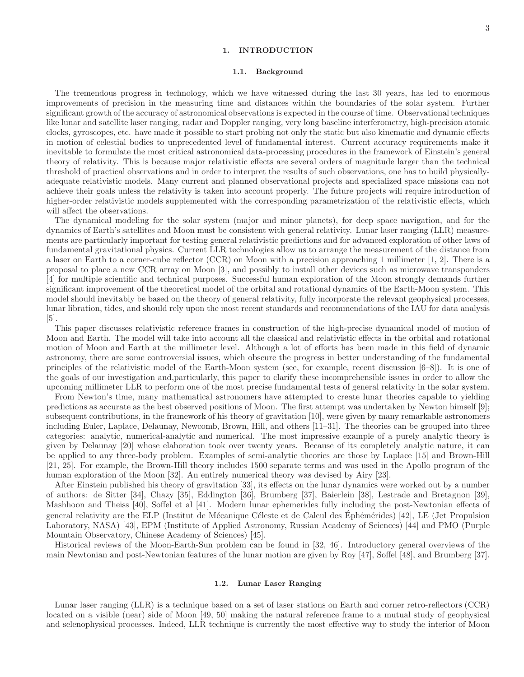# 1. INTRODUCTION

### 1.1. Background

The tremendous progress in technology, which we have witnessed during the last 30 years, has led to enormous improvements of precision in the measuring time and distances within the boundaries of the solar system. Further significant growth of the accuracy of astronomical observations is expected in the course of time. Observational techniques like lunar and satellite laser ranging, radar and Doppler ranging, very long baseline interferometry, high-precision atomic clocks, gyroscopes, etc. have made it possible to start probing not only the static but also kinematic and dynamic effects in motion of celestial bodies to unprecedented level of fundamental interest. Current accuracy requirements make it inevitable to formulate the most critical astronomical data-processing procedures in the framework of Einstein's general theory of relativity. This is because major relativistic effects are several orders of magnitude larger than the technical threshold of practical observations and in order to interpret the results of such observations, one has to build physicallyadequate relativistic models. Many current and planned observational projects and specialized space missions can not achieve their goals unless the relativity is taken into account properly. The future projects will require introduction of higher-order relativistic models supplemented with the corresponding parametrization of the relativistic effects, which will affect the observations.

The dynamical modeling for the solar system (major and minor planets), for deep space navigation, and for the dynamics of Earth's satellites and Moon must be consistent with general relativity. Lunar laser ranging (LLR) measurements are particularly important for testing general relativistic predictions and for advanced exploration of other laws of fundamental gravitational physics. Current LLR technologies allow us to arrange the measurement of the distance from a laser on Earth to a corner-cube reflector (CCR) on Moon with a precision approaching 1 millimeter [1, 2]. There is a proposal to place a new CCR array on Moon [3], and possibly to install other devices such as microwave transponders [4] for multiple scientific and technical purposes. Successful human exploration of the Moon strongly demands further significant improvement of the theoretical model of the orbital and rotational dynamics of the Earth-Moon system. This model should inevitably be based on the theory of general relativity, fully incorporate the relevant geophysical processes, lunar libration, tides, and should rely upon the most recent standards and recommendations of the IAU for data analysis [5].

This paper discusses relativistic reference frames in construction of the high-precise dynamical model of motion of Moon and Earth. The model will take into account all the classical and relativistic effects in the orbital and rotational motion of Moon and Earth at the millimeter level. Although a lot of efforts has been made in this field of dynamic astronomy, there are some controversial issues, which obscure the progress in better understanding of the fundamental principles of the relativistic model of the Earth-Moon system (see, for example, recent discussion [6–8]). It is one of the goals of our investigation and,particularly, this paper to clarify these incomprehensible issues in order to allow the upcoming millimeter LLR to perform one of the most precise fundamental tests of general relativity in the solar system.

From Newton's time, many mathematical astronomers have attempted to create lunar theories capable to yielding predictions as accurate as the best observed positions of Moon. The first attempt was undertaken by Newton himself [9]; subsequent contributions, in the framework of his theory of gravitation [10], were given by many remarkable astronomers including Euler, Laplace, Delaunay, Newcomb, Brown, Hill, and others [11–31]. The theories can be grouped into three categories: analytic, numerical-analytic and numerical. The most impressive example of a purely analytic theory is given by Delaunay [20] whose elaboration took over twenty years. Because of its completely analytic nature, it can be applied to any three-body problem. Examples of semi-analytic theories are those by Laplace [15] and Brown-Hill [21, 25]. For example, the Brown-Hill theory includes 1500 separate terms and was used in the Apollo program of the human exploration of the Moon [32]. An entirely numerical theory was devised by Airy [23].

After Einstein published his theory of gravitation [33], its effects on the lunar dynamics were worked out by a number of authors: de Sitter [34], Chazy [35], Eddington [36], Brumberg [37], Baierlein [38], Lestrade and Bretagnon [39], Mashhoon and Theiss [40], Soffel et al [41]. Modern lunar ephemerides fully including the post-Newtonian effects of general relativity are the ELP (Institut de Mécanique Céleste et de Calcul des Éphémérides) [42], LE (Jet Propulsion Laboratory, NASA) [43], EPM (Institute of Applied Astronomy, Russian Academy of Sciences) [44] and PMO (Purple Mountain Observatory, Chinese Academy of Sciences) [45].

Historical reviews of the Moon-Earth-Sun problem can be found in [32, 46]. Introductory general overviews of the main Newtonian and post-Newtonian features of the lunar motion are given by Roy [47], Soffel [48], and Brumberg [37].

### 1.2. Lunar Laser Ranging

Lunar laser ranging (LLR) is a technique based on a set of laser stations on Earth and corner retro-reflectors (CCR) located on a visible (near) side of Moon [49, 50] making the natural reference frame to a mutual study of geophysical and selenophysical processes. Indeed, LLR technique is currently the most effective way to study the interior of Moon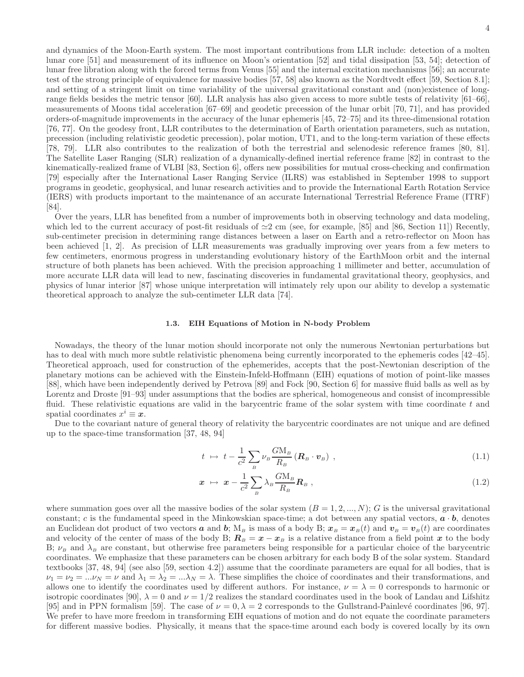and dynamics of the Moon-Earth system. The most important contributions from LLR include: detection of a molten lunar core [51] and measurement of its influence on Moon's orientation [52] and tidal dissipation [53, 54]; detection of lunar free libration along with the forced terms from Venus [55] and the internal excitation mechanisms [56]; an accurate test of the strong principle of equivalence for massive bodies [57, 58] also known as the Nordtvedt effect [59, Section 8.1]; and setting of a stringent limit on time variability of the universal gravitational constant and (non)existence of longrange fields besides the metric tensor [60]. LLR analysis has also given access to more subtle tests of relativity [61–66], measurements of Moons tidal acceleration [67–69] and geodetic precession of the lunar orbit [70, 71], and has provided orders-of-magnitude improvements in the accuracy of the lunar ephemeris [45, 72–75] and its three-dimensional rotation [76, 77]. On the geodesy front, LLR contributes to the determination of Earth orientation parameters, such as nutation, precession (including relativistic geodetic precession), polar motion, UT1, and to the long-term variation of these effects [78, 79]. LLR also contributes to the realization of both the terrestrial and selenodesic reference frames [80, 81]. The Satellite Laser Ranging (SLR) realization of a dynamically-defined inertial reference frame [82] in contrast to the kinematically-realized frame of VLBI [83, Section 6], offers new possibilities for mutual cross-checking and confirmation [79] especially after the International Laser Ranging Service (ILRS) was established in September 1998 to support programs in geodetic, geophysical, and lunar research activities and to provide the International Earth Rotation Service (IERS) with products important to the maintenance of an accurate International Terrestrial Reference Frame (ITRF) [84].

Over the years, LLR has benefited from a number of improvements both in observing technology and data modeling, which led to the current accuracy of post-fit residuals of  $\simeq$  2 cm (see, for example, [85] and [86, Section 11]) Recently, sub-centimeter precision in determining range distances between a laser on Earth and a retro-reflector on Moon has been achieved [1, 2]. As precision of LLR measurements was gradually improving over years from a few meters to few centimeters, enormous progress in understanding evolutionary history of the EarthMoon orbit and the internal structure of both planets has been achieved. With the precision approaching 1 millimeter and better, accumulation of more accurate LLR data will lead to new, fascinating discoveries in fundamental gravitational theory, geophysics, and physics of lunar interior [87] whose unique interpretation will intimately rely upon our ability to develop a systematic theoretical approach to analyze the sub-centimeter LLR data [74].

### 1.3. EIH Equations of Motion in N-body Problem

Nowadays, the theory of the lunar motion should incorporate not only the numerous Newtonian perturbations but has to deal with much more subtle relativistic phenomena being currently incorporated to the ephemeris codes [42–45]. Theoretical approach, used for construction of the ephemerides, accepts that the post-Newtonian description of the planetary motions can be achieved with the Einstein-Infeld-Hoffmann (EIH) equations of motion of point-like masses [88], which have been independently derived by Petrova [89] and Fock [90, Section 6] for massive fluid balls as well as by Lorentz and Droste [91–93] under assumptions that the bodies are spherical, homogeneous and consist of incompressible fluid. These relativistic equations are valid in the barycentric frame of the solar system with time coordinate t and spatial coordinates  $x^i \equiv x$ .

Due to the covariant nature of general theory of relativity the barycentric coordinates are not unique and are defined up to the space-time transformation [37, 48, 94]

$$
t \ \mapsto \ t - \frac{1}{c^2} \sum_{B} \nu_B \frac{G M_B}{R_B} \left( \boldsymbol{R}_B \cdot \boldsymbol{v}_B \right) \ , \tag{1.1}
$$

$$
\boldsymbol{x} \ \mapsto \ \boldsymbol{x} - \frac{1}{c^2} \sum_{B} \lambda_B \frac{G M_B}{R_B} \boldsymbol{R}_B \ , \tag{1.2}
$$

where summation goes over all the massive bodies of the solar system  $(B = 1, 2, ..., N)$ ; G is the universal gravitational constant; c is the fundamental speed in the Minkowskian space-time; a dot between any spatial vectors,  $a \cdot b$ , denotes an Euclidean dot product of two vectors a and b;  $M_B$  is mass of a body B;  $x_B = x_B(t)$  and  $v_B = v_B(t)$  are coordinates and velocity of the center of mass of the body B;  $R_B = x - x_B$  is a relative distance from a field point x to the body B;  $\nu_B$  and  $\lambda_B$  are constant, but otherwise free parameters being responsible for a particular choice of the barycentric coordinates. We emphasize that these parameters can be chosen arbitrary for each body B of the solar system. Standard textbooks [37, 48, 94] (see also [59, section 4.2]) assume that the coordinate parameters are equal for all bodies, that is  $\nu_1 = \nu_2 = ... \nu_N = \nu$  and  $\lambda_1 = \lambda_2 = ... \lambda_N = \lambda$ . These simplifies the choice of coordinates and their transformations, and allows one to identify the coordinates used by different authors. For instance,  $\nu = \lambda = 0$  corresponds to harmonic or isotropic coordinates [90],  $\lambda = 0$  and  $\nu = 1/2$  realizes the standard coordinates used in the book of Landau and Lifshitz [95] and in PPN formalism [59]. The case of  $\nu = 0, \lambda = 2$  corresponds to the Gullstrand-Painlevé coordinates [96, 97]. We prefer to have more freedom in transforming EIH equations of motion and do not equate the coordinate parameters for different massive bodies. Physically, it means that the space-time around each body is covered locally by its own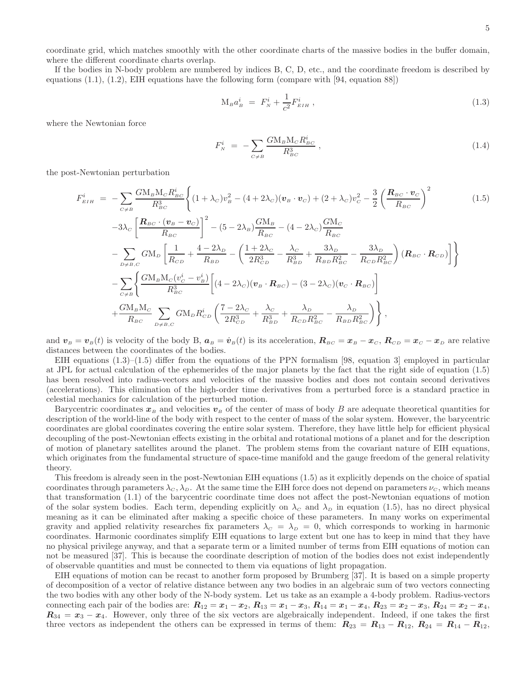coordinate grid, which matches smoothly with the other coordinate charts of the massive bodies in the buffer domain, where the different coordinate charts overlap.

If the bodies in N-body problem are numbered by indices B, C, D, etc., and the coordinate freedom is described by equations (1.1), (1.2), EIH equations have the following form (compare with [94, equation 88])

$$
M_B a_B^i = F_N^i + \frac{1}{c^2} F_{EIH}^i , \qquad (1.3)
$$

where the Newtonian force

$$
F_N^i = -\sum_{C \neq B} \frac{G M_B M_C R_{BC}^i}{R_{BC}^3} \,, \tag{1.4}
$$

the post-Newtonian perturbation

$$
F_{EIH}^{i} = -\sum_{C \neq B} \frac{GM_{B}M_{C}R_{BC}^{i}}{R_{BC}^{3}} \left\{ (1 + \lambda_{C})v_{B}^{2} - (4 + 2\lambda_{C})(\mathbf{v}_{B} \cdot \mathbf{v}_{C}) + (2 + \lambda_{C})v_{C}^{2} - \frac{3}{2} \left( \frac{\mathbf{R}_{BC} \cdot \mathbf{v}_{C}}{R_{BC}} \right)^{2} \right\}
$$
(1.5)  
\n
$$
-3\lambda_{C} \left[ \frac{\mathbf{R}_{BC} \cdot (\mathbf{v}_{B} - \mathbf{v}_{C})}{R_{BC}} \right]^{2} - (5 - 2\lambda_{B}) \frac{GM_{B}}{R_{BC}} - (4 - 2\lambda_{C}) \frac{GM_{C}}{R_{BC}}
$$
\n
$$
- \sum_{D \neq B, C} GM_{D} \left[ \frac{1}{R_{CD}} + \frac{4 - 2\lambda_{D}}{R_{BD}} - \left( \frac{1 + 2\lambda_{C}}{2R_{CD}^{3}} - \frac{\lambda_{C}}{R_{BD}^{3}} + \frac{3\lambda_{D}}{R_{BD}R_{BC}^{2}} - \frac{3\lambda_{D}}{R_{CD}R_{BC}^{2}} \right) (\mathbf{R}_{BC} \cdot \mathbf{R}_{CD}) \right] \}
$$
\n
$$
- \sum_{C \neq B} \left\{ \frac{GM_{B}M_{C}(v_{C}^{i} - v_{B}^{i})}{R_{BC}^{3}} \left[ (4 - 2\lambda_{C})(\mathbf{v}_{B} \cdot \mathbf{R}_{BC}) - (3 - 2\lambda_{C})(\mathbf{v}_{C} \cdot \mathbf{R}_{BC}) \right] + \frac{GM_{B}M_{C}}{R_{BC}} \sum_{D \neq B, C} GM_{D}R_{CD}^{i} \left( \frac{7 - 2\lambda_{C}}{2R_{CD}^{3}} + \frac{\lambda_{C}}{R_{BD}} + \frac{\lambda_{D}}{R_{CD}R_{BC}^{2}} - \frac{\lambda_{D}}{R_{BD}R_{BC}^{2}} \right) \right\},
$$

and  $v_B = v_B(t)$  is velocity of the body B,  $a_B = \dot{v}_B(t)$  is its acceleration,  $R_{BC} = x_B - x_C$ ,  $R_{CD} = x_C - x_D$  are relative distances between the coordinates of the bodies.

EIH equations  $(1.3)$ – $(1.5)$  differ from the equations of the PPN formalism [98, equation 3] employed in particular at JPL for actual calculation of the ephemerides of the major planets by the fact that the right side of equation (1.5) has been resolved into radius-vectors and velocities of the massive bodies and does not contain second derivatives (accelerations). This elimination of the high-order time derivatives from a perturbed force is a standard practice in celestial mechanics for calculation of the perturbed motion.

Barycentric coordinates  $x_B$  and velocities  $v_B$  of the center of mass of body B are adequate theoretical quantities for description of the world-line of the body with respect to the center of mass of the solar system. However, the barycentric coordinates are global coordinates covering the entire solar system. Therefore, they have little help for efficient physical decoupling of the post-Newtonian effects existing in the orbital and rotational motions of a planet and for the description of motion of planetary satellites around the planet. The problem stems from the covariant nature of EIH equations, which originates from the fundamental structure of space-time manifold and the gauge freedom of the general relativity theory.

This freedom is already seen in the post-Newtonian EIH equations (1.5) as it explicitly depends on the choice of spatial coordinates through parameters  $\lambda_c$ ,  $\lambda_p$ . At the same time the EIH force does not depend on parameters  $\nu_c$ , which means that transformation (1.1) of the barycentric coordinate time does not affect the post-Newtonian equations of motion of the solar system bodies. Each term, depending explicitly on  $\lambda_c$  and  $\lambda_p$  in equation (1.5), has no direct physical meaning as it can be eliminated after making a specific choice of these parameters. In many works on experimental gravity and applied relativity researches fix parameters  $\lambda_c = \lambda_p = 0$ , which corresponds to working in harmonic coordinates. Harmonic coordinates simplify EIH equations to large extent but one has to keep in mind that they have no physical privilege anyway, and that a separate term or a limited number of terms from EIH equations of motion can not be measured [37]. This is because the coordinate description of motion of the bodies does not exist independently of observable quantities and must be connected to them via equations of light propagation.

EIH equations of motion can be recast to another form proposed by Brumberg [37]. It is based on a simple property of decomposition of a vector of relative distance between any two bodies in an algebraic sum of two vectors connecting the two bodies with any other body of the N-body system. Let us take as an example a 4-body problem. Radius-vectors connecting each pair of the bodies are:  $R_{12} = x_1 - x_2$ ,  $R_{13} = x_1 - x_3$ ,  $R_{14} = x_1 - x_4$ ,  $R_{23} = x_2 - x_3$ ,  $R_{24} = x_2 - x_4$ ,  $R_{34} = x_3 - x_4$ . However, only three of the six vectors are algebraically independent. Indeed, if one takes the first three vectors as independent the others can be expressed in terms of them:  $R_{23} = R_{13} - R_{12}$ ,  $R_{24} = R_{14} - R_{12}$ ,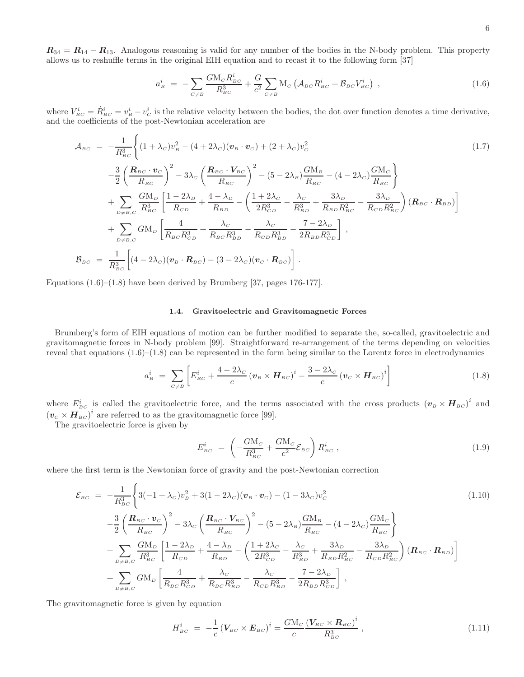$R_{34} = R_{14} - R_{13}$ . Analogous reasoning is valid for any number of the bodies in the N-body problem. This property allows us to reshuffle terms in the original EIH equation and to recast it to the following form [37]

$$
a_B^i = -\sum_{C \neq B} \frac{G M_C R_{BC}^i}{R_{BC}^3} + \frac{G}{c^2} \sum_{C \neq B} M_C \left( A_{BC} R_{BC}^i + B_{BC} V_{BC}^i \right) , \qquad (1.6)
$$

where  $V_{BC}^i = \dot{R}_{BC}^i = v_c^i - v_c^i$  is the relative velocity between the bodies, the dot over function denotes a time derivative, and the coefficients of the post-Newtonian acceleration are

$$
\mathcal{A}_{BC} = -\frac{1}{R_{BC}^3} \left\{ (1 + \lambda_C) v_B^2 - (4 + 2\lambda_C) (v_B \cdot v_C) + (2 + \lambda_C) v_C^2 \right\} \n- \frac{3}{2} \left( \frac{\mathbf{R}_{BC} \cdot v_C}{R_{BC}} \right)^2 - 3\lambda_C \left( \frac{\mathbf{R}_{BC} \cdot V_{BC}}{R_{BC}} \right)^2 - (5 - 2\lambda_B) \frac{GM_B}{R_{BC}} - (4 - 2\lambda_C) \frac{GM_C}{R_{BC}} \right\} \n+ \sum_{D \neq B,C} \frac{GM_D}{R_{BC}^3} \left[ \frac{1 - 2\lambda_D}{R_{CD}} + \frac{4 - \lambda_D}{R_{BD}} - \left( \frac{1 + 2\lambda_C}{2R_{CD}^3} - \frac{\lambda_C}{R_{BD}^3} + \frac{3\lambda_D}{R_{BD}R_{BC}^2} - \frac{3\lambda_D}{R_{CD}R_{BC}^2} \right) (\mathbf{R}_{BC} \cdot \mathbf{R}_{BD}) \right] \n+ \sum_{D \neq B,C} GM_D \left[ \frac{4}{R_{BC}R_{CD}^3} + \frac{\lambda_C}{R_{BC}R_{BD}^3} - \frac{\lambda_C}{R_{CD}R_{BD}^3} - \frac{7 - 2\lambda_D}{2R_{BD}R_{CD}^3} \right],
$$
\n
$$
\mathcal{B}_{BC} = \frac{1}{R_{BC}^3} \left[ (4 - 2\lambda_C) (v_B \cdot \mathbf{R}_{BC}) - (3 - 2\lambda_C) (v_C \cdot \mathbf{R}_{BC}) \right].
$$
\n(1.7)

Equations  $(1.6)$ – $(1.8)$  have been derived by Brumberg [37, pages 176-177].

# 1.4. Gravitoelectric and Gravitomagnetic Forces

Brumberg's form of EIH equations of motion can be further modified to separate the, so-called, gravitoelectric and gravitomagnetic forces in N-body problem [99]. Straightforward re-arrangement of the terms depending on velocities reveal that equations  $(1.6)$ – $(1.8)$  can be represented in the form being similar to the Lorentz force in electrodynamics

$$
a_B^i = \sum_{C \neq B} \left[ E_{BC}^i + \frac{4 - 2\lambda_C}{c} \left( \boldsymbol{v}_B \times \boldsymbol{H}_{BC} \right)^i - \frac{3 - 2\lambda_C}{c} \left( \boldsymbol{v}_C \times \boldsymbol{H}_{BC} \right)^i \right]
$$
(1.8)

where  $E_{BC}^{i}$  is called the gravitoelectric force, and the terms associated with the cross products  $(v_{B} \times H_{BC})^{i}$  and  $(v_C \times H_{BC})^i$  are referred to as the gravitomagnetic force [99].

The gravitoelectric force is given by

$$
E_{BC}^{i} = \left(-\frac{G M_C}{R_{BC}^3} + \frac{G M_C}{c^2} \mathcal{E}_{BC}\right) R_{BC}^{i} ,
$$
\n(1.9)

where the first term is the Newtonian force of gravity and the post-Newtonian correction

$$
\mathcal{E}_{BC} = -\frac{1}{R_{BC}^3} \left\{ 3(-1+\lambda_C) v_B^2 + 3(1-2\lambda_C) (\mathbf{v}_B \cdot \mathbf{v}_C) - (1-3\lambda_C) v_C^2 \right\}
$$
\n
$$
- \frac{3}{2} \left( \frac{\mathbf{R}_{BC} \cdot \mathbf{v}_C}{R_{BC}} \right)^2 - 3\lambda_C \left( \frac{\mathbf{R}_{BC} \cdot \mathbf{V}_{BC}}{R_{BC}} \right)^2 - (5-2\lambda_B) \frac{GM_B}{R_{BC}} - (4-2\lambda_C) \frac{GM_C}{R_{BC}} \right\}
$$
\n
$$
+ \sum_{D \neq B,C} \frac{GM_D}{R_{BC}^3} \left[ \frac{1-2\lambda_D}{R_{CD}} + \frac{4-\lambda_D}{R_{BD}} - \left( \frac{1+2\lambda_C}{2R_{CD}^3} - \frac{\lambda_C}{R_{BD}^3} + \frac{3\lambda_D}{R_{BD}R_{BC}^2} - \frac{3\lambda_D}{R_{CD}R_{BC}^2} \right) (\mathbf{R}_{BC} \cdot \mathbf{R}_{BD}) \right]
$$
\n
$$
+ \sum_{D \neq B,C} GM_D \left[ \frac{4}{R_{BC}R_{CD}^3} + \frac{\lambda_C}{R_{BC}R_{BD}^3} - \frac{\lambda_C}{R_{CD}R_{BD}^3} - \frac{7-2\lambda_D}{2R_{BD}R_{CD}^3} \right],
$$
\n(1.10)

The gravitomagnetic force is given by equation

$$
H_{BC}^{i} = -\frac{1}{c} \left( V_{BC} \times E_{BC} \right)^{i} = \frac{G M_C}{c} \frac{\left( V_{BC} \times R_{BC} \right)^{i}}{R_{BC}^{3}} , \qquad (1.11)
$$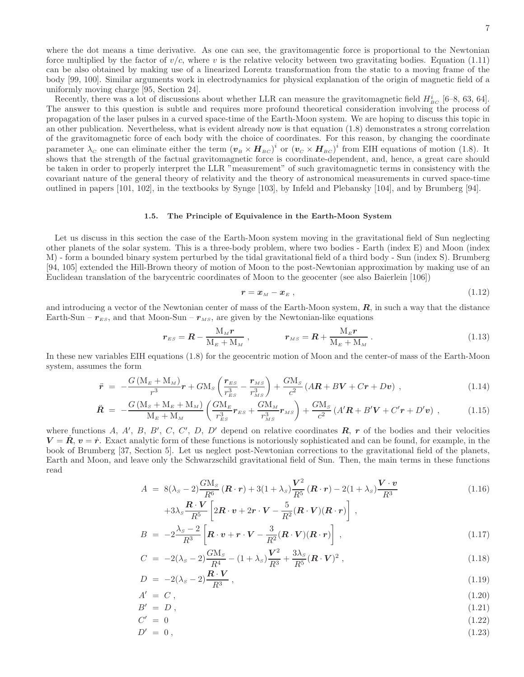uniformly moving charge [95, Section 24]. Recently, there was a lot of discussions about whether LLR can measure the gravitomagnetic field  $H_{BC}^{i}$  [6–8, 63, 64]. The answer to this question is subtle and requires more profound theoretical consideration involving the process of propagation of the laser pulses in a curved space-time of the Earth-Moon system. We are hoping to discuss this topic in an other publication. Nevertheless, what is evident already now is that equation (1.8) demonstrates a strong correlation of the gravitomagnetic force of each body with the choice of coordinates. For this reason, by changing the coordinate parameter  $\lambda_C$  one can eliminate either the term  $(\mathbf{v}_B \times \mathbf{H}_{BC})^i$  or  $(\mathbf{v}_C \times \mathbf{H}_{BC})^i$  from EIH equations of motion (1.8). It shows that the strength of the factual gravitomagnetic force is coordinate-dependent, and, hence, a great care should be taken in order to properly interpret the LLR "measurement" of such gravitomagnetic terms in consistency with the covariant nature of the general theory of relativity and the theory of astronomical measurements in curved space-time outlined in papers [101, 102], in the textbooks by Synge [103], by Infeld and Plebansky [104], and by Brumberg [94].

### 1.5. The Principle of Equivalence in the Earth-Moon System

Let us discuss in this section the case of the Earth-Moon system moving in the gravitational field of Sun neglecting other planets of the solar system. This is a three-body problem, where two bodies - Earth (index E) and Moon (index M) - form a bounded binary system perturbed by the tidal gravitational field of a third body - Sun (index S). Brumberg [94, 105] extended the Hill-Brown theory of motion of Moon to the post-Newtonian approximation by making use of an Euclidean translation of the barycentric coordinates of Moon to the geocenter (see also Baierlein [106])

$$
r = x_M - x_E , \t\t(1.12)
$$

and introducing a vector of the Newtonian center of mass of the Earth-Moon system,  $R$ , in such a way that the distance Earth-Sun –  $r_{ES}$ , and that Moon-Sun –  $r_{MS}$ , are given by the Newtonian-like equations

$$
r_{ES} = R - \frac{M_M r}{M_E + M_M} , \qquad \qquad r_{MS} = R + \frac{M_E r}{M_E + M_M} . \qquad (1.13)
$$

In these new variables EIH equations (1.8) for the geocentric motion of Moon and the center-of mass of the Earth-Moon system, assumes the form

$$
\ddot{\boldsymbol{r}} = -\frac{G\left(\mathbf{M}_{E} + \mathbf{M}_{M}\right)}{r^{3}}\boldsymbol{r} + G\mathbf{M}_{S}\left(\frac{\boldsymbol{r}_{ES}}{r_{ES}^{3}} - \frac{\boldsymbol{r}_{MS}}{r_{MS}^{3}}\right) + \frac{G\mathbf{M}_{S}}{c^{2}}\left(A\boldsymbol{R} + B\boldsymbol{V} + C\boldsymbol{r} + D\boldsymbol{v}\right) , \qquad (1.14)
$$

$$
\ddot{\mathbf{R}} = -\frac{G(M_{\rm s} + M_{\rm E} + M_{\rm M})}{M_{\rm E} + M_{\rm M}} \left( \frac{G M_{\rm E}}{r_{\rm ES}^3} \mathbf{r}_{\rm ES} + \frac{G M_{\rm M}}{r_{\rm MS}^3} \mathbf{r}_{\rm MS} \right) + \frac{G M_{\rm S}}{c^2} \left( A' \mathbf{R} + B' \mathbf{V} + C' \mathbf{r} + D' \mathbf{v} \right) , \tag{1.15}
$$

where functions A, A', B, B', C, C', D, D' depend on relative coordinates  $\bf{R}$ ,  $\bf{r}$  of the bodies and their velocities  $V = \dot{R}$ ,  $v = \dot{r}$ . Exact analytic form of these functions is notoriously sophisticated and can be found, for example, in the book of Brumberg [37, Section 5]. Let us neglect post-Newtonian corrections to the gravitational field of the planets, Earth and Moon, and leave only the Schwarzschild gravitational field of Sun. Then, the main terms in these functions read

 $\boldsymbol{B}$ 

$$
A = 8(\lambda_s - 2) \frac{G M_s}{R^6} (\boldsymbol{R} \cdot \boldsymbol{r}) + 3(1 + \lambda_s) \frac{\boldsymbol{V}^2}{R^5} (\boldsymbol{R} \cdot \boldsymbol{r}) - 2(1 + \lambda_s) \frac{\boldsymbol{V} \cdot \boldsymbol{v}}{R^3}
$$
\n
$$
+ 3\lambda_s \frac{\boldsymbol{R} \cdot \boldsymbol{V}}{R^3} \left[ 2\boldsymbol{R} \cdot \boldsymbol{v} + 2\boldsymbol{r} \cdot \boldsymbol{V} - \frac{5}{8} (\boldsymbol{R} \cdot \boldsymbol{V}) (\boldsymbol{R} \cdot \boldsymbol{r}) \right]
$$
\n(1.16)

$$
+3\lambda_{s}\frac{\mathbf{R} \cdot \mathbf{V}}{R^{5}}\left[2\mathbf{R} \cdot \mathbf{v}+2\mathbf{r} \cdot \mathbf{V}-\frac{\partial}{R^{2}}(\mathbf{R} \cdot \mathbf{V})(\mathbf{R} \cdot \mathbf{r})\right],
$$
  
= 
$$
-2\frac{\lambda_{s}-2}{R^{3}}\left[\mathbf{R} \cdot \mathbf{v}+\mathbf{r} \cdot \mathbf{V}-\frac{3}{R^{2}}(\mathbf{R} \cdot \mathbf{V})(\mathbf{R} \cdot \mathbf{r})\right],
$$
(1.17)

$$
C = -2(\lambda_s - 2)\frac{GM_s}{R^4} - (1 + \lambda_s)\frac{V^2}{R^3} + \frac{3\lambda_s}{R^5}(\mathbf{R} \cdot \mathbf{V})^2,
$$
\n(1.18)

$$
D = -2(\lambda_s - 2)\frac{\mathbf{R} \cdot \mathbf{V}}{R^3},\tag{1.19}
$$

$$
A' = C, \qquad (1.20)
$$

$$
B' = D \,, \tag{1.21}
$$

$$
C' = 0 \tag{1.22}
$$

$$
D' = 0, \t(1.23)
$$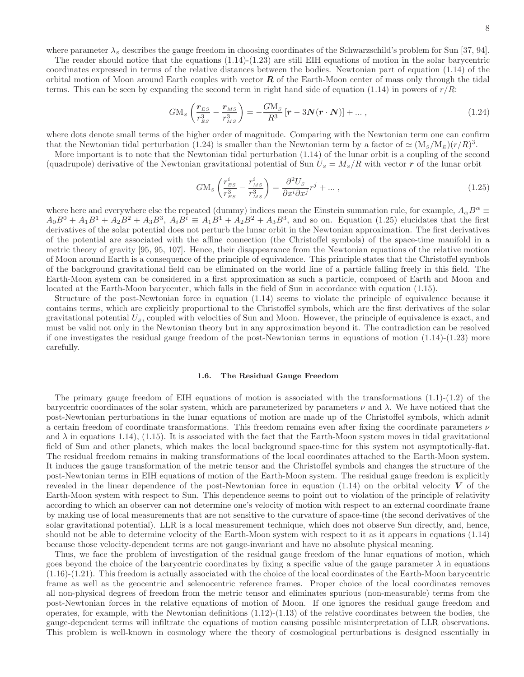The reader should notice that the equations (1.14)-(1.23) are still EIH equations of motion in the solar barycentric coordinates expressed in terms of the relative distances between the bodies. Newtonian part of equation (1.14) of the orbital motion of Moon around Earth couples with vector  $\bf{R}$  of the Earth-Moon center of mass only through the tidal terms. This can be seen by expanding the second term in right hand side of equation (1.14) in powers of  $r/R$ :

$$
G\mathbf{M}_s \left( \frac{\boldsymbol{r}_{\scriptscriptstyle ES}}{r_{\scriptscriptstyle ES}^3} - \frac{\boldsymbol{r}_{\scriptscriptstyle MS}}{r_{\scriptscriptstyle MS}^3} \right) = -\frac{G\mathbf{M}_s}{R^3} \left[ \boldsymbol{r} - 3\boldsymbol{N}(\boldsymbol{r} \cdot \boldsymbol{N}) \right] + \dots, \tag{1.24}
$$

where dots denote small terms of the higher order of magnitude. Comparing with the Newtonian term one can confirm that the Newtonian tidal perturbation (1.24) is smaller than the Newtonian term by a factor of  $\simeq (M_s/M_E)(r/R)^3$ .

More important is to note that the Newtonian tidal perturbation (1.14) of the lunar orbit is a coupling of the second (quadrupole) derivative of the Newtonian gravitational potential of Sun  $U_s = M_s/R$  with vector r of the lunar orbit

$$
GM_s \left(\frac{r_{_{ES}}^i}{r_{_{ES}}^3} - \frac{r_{_{MS}}^i}{r_{_{MS}}^3}\right) = \frac{\partial^2 U_s}{\partial x^i \partial x^j} r^j + \dots, \tag{1.25}
$$

where here and everywhere else the repeated (dummy) indices mean the Einstein summation rule, for example,  $A_{\alpha}B^{\alpha} \equiv$  $A_0B^0 + A_1B^1 + A_2B^2 + A_3B^3$ ,  $A_iB^i \equiv A_1B^1 + A_2B^2 + A_3B^3$ , and so on. Equation (1.25) elucidates that the first derivatives of the solar potential does not perturb the lunar orbit in the Newtonian approximation. The first derivatives of the potential are associated with the affine connection (the Christoffel symbols) of the space-time manifold in a metric theory of gravity [95, 95, 107]. Hence, their disappearance from the Newtonian equations of the relative motion of Moon around Earth is a consequence of the principle of equivalence. This principle states that the Christoffel symbols of the background gravitational field can be eliminated on the world line of a particle falling freely in this field. The Earth-Moon system can be considered in a first approximation as such a particle, composed of Earth and Moon and located at the Earth-Moon barycenter, which falls in the field of Sun in accordance with equation (1.15).

Structure of the post-Newtonian force in equation (1.14) seems to violate the principle of equivalence because it contains terms, which are explicitly proportional to the Christoffel symbols, which are the first derivatives of the solar gravitational potential  $U_s$ , coupled with velocities of Sun and Moon. However, the principle of equivalence is exact, and must be valid not only in the Newtonian theory but in any approximation beyond it. The contradiction can be resolved if one investigates the residual gauge freedom of the post-Newtonian terms in equations of motion (1.14)-(1.23) more carefully.

### 1.6. The Residual Gauge Freedom

The primary gauge freedom of EIH equations of motion is associated with the transformations  $(1.1)-(1.2)$  of the barycentric coordinates of the solar system, which are parameterized by parameters  $\nu$  and  $\lambda$ . We have noticed that the post-Newtonian perturbations in the lunar equations of motion are made up of the Christoffel symbols, which admit a certain freedom of coordinate transformations. This freedom remains even after fixing the coordinate parameters  $\nu$ and  $\lambda$  in equations 1.14), (1.15). It is associated with the fact that the Earth-Moon system moves in tidal gravitational field of Sun and other planets, which makes the local background space-time for this system not asymptotically-flat. The residual freedom remains in making transformations of the local coordinates attached to the Earth-Moon system. It induces the gauge transformation of the metric tensor and the Christoffel symbols and changes the structure of the post-Newtonian terms in EIH equations of motion of the Earth-Moon system. The residual gauge freedom is explicitly revealed in the linear dependence of the post-Newtonian force in equation  $(1.14)$  on the orbital velocity V of the Earth-Moon system with respect to Sun. This dependence seems to point out to violation of the principle of relativity according to which an observer can not determine one's velocity of motion with respect to an external coordinate frame by making use of local measurements that are not sensitive to the curvature of space-time (the second derivatives of the solar gravitational potential). LLR is a local measurement technique, which does not observe Sun directly, and, hence, should not be able to determine velocity of the Earth-Moon system with respect to it as it appears in equations (1.14) because those velocity-dependent terms are not gauge-invariant and have no absolute physical meaning.

Thus, we face the problem of investigation of the residual gauge freedom of the lunar equations of motion, which goes beyond the choice of the barycentric coordinates by fixing a specific value of the gauge parameter  $\lambda$  in equations (1.16)-(1.21). This freedom is actually associated with the choice of the local coordinates of the Earth-Moon barycentric frame as well as the geocentric and selenocentric reference frames. Proper choice of the local coordinates removes all non-physical degrees of freedom from the metric tensor and eliminates spurious (non-measurable) terms from the post-Newtonian forces in the relative equations of motion of Moon. If one ignores the residual gauge freedom and operates, for example, with the Newtonian definitions  $(1.12)-(1.13)$  of the relative coordinates between the bodies, the gauge-dependent terms will infiltrate the equations of motion causing possible misinterpretation of LLR observations. This problem is well-known in cosmology where the theory of cosmological perturbations is designed essentially in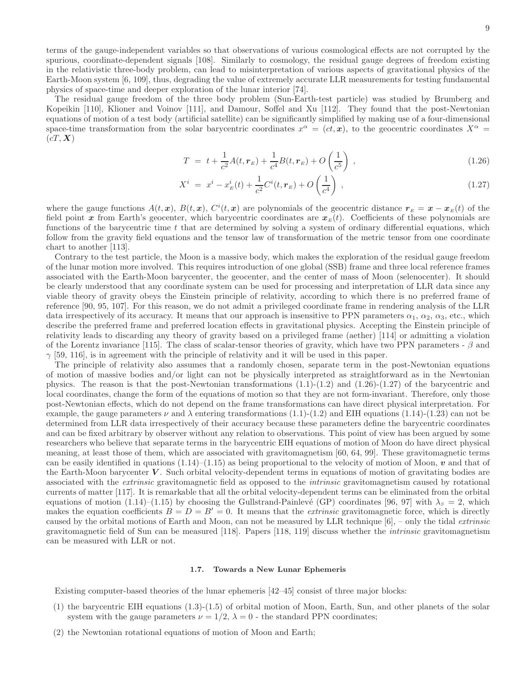9

terms of the gauge-independent variables so that observations of various cosmological effects are not corrupted by the spurious, coordinate-dependent signals [108]. Similarly to cosmology, the residual gauge degrees of freedom existing in the relativistic three-body problem, can lead to misinterpretation of various aspects of gravitational physics of the Earth-Moon system [6, 109], thus, degrading the value of extremely accurate LLR measurements for testing fundamental physics of space-time and deeper exploration of the lunar interior [74].

The residual gauge freedom of the three body problem (Sun-Earth-test particle) was studied by Brumberg and Kopeikin [110], Klioner and Voinov [111], and Damour, Soffel and Xu [112]. They found that the post-Newtonian equations of motion of a test body (artificial satellite) can be significantly simplified by making use of a four-dimensional space-time transformation from the solar barycentric coordinates  $x^{\alpha} = (ct, x)$ , to the geocentric coordinates  $X^{\alpha} =$  $(cT, X)$ 

$$
T = t + \frac{1}{c^2}A(t, r_E) + \frac{1}{c^4}B(t, r_E) + O\left(\frac{1}{c^5}\right) ,
$$
\n(1.26)

$$
X^{i} = x^{i} - x_{E}^{i}(t) + \frac{1}{c^{2}}C^{i}(t, \mathbf{r}_{E}) + O\left(\frac{1}{c^{4}}\right) , \qquad (1.27)
$$

where the gauge functions  $A(t, x)$ ,  $B(t, x)$ ,  $C^{i}(t, x)$  are polynomials of the geocentric distance  $r_{E} = x - x_{E}(t)$  of the field point x from Earth's geocenter, which barycentric coordinates are  $x<sub>E</sub>(t)$ . Coefficients of these polynomials are functions of the barycentric time  $t$  that are determined by solving a system of ordinary differential equations, which follow from the gravity field equations and the tensor law of transformation of the metric tensor from one coordinate chart to another [113].

Contrary to the test particle, the Moon is a massive body, which makes the exploration of the residual gauge freedom of the lunar motion more involved. This requires introduction of one global (SSB) frame and three local reference frames associated with the Earth-Moon barycenter, the geocenter, and the center of mass of Moon (selenocenter). It should be clearly understood that any coordinate system can be used for processing and interpretation of LLR data since any viable theory of gravity obeys the Einstein principle of relativity, according to which there is no preferred frame of reference [90, 95, 107]. For this reason, we do not admit a privileged coordinate frame in rendering analysis of the LLR data irrespectively of its accuracy. It means that our approach is insensitive to PPN parameters  $\alpha_1, \alpha_2, \alpha_3$ , etc., which describe the preferred frame and preferred location effects in gravitational physics. Accepting the Einstein principle of relativity leads to discarding any theory of gravity based on a privileged frame (aether) [114] or admitting a violation of the Lorentz invariance [115]. The class of scalar-tensor theories of gravity, which have two PPN parameters -  $\beta$  and  $\gamma$  [59, 116], is in agreement with the principle of relativity and it will be used in this paper.

The principle of relativity also assumes that a randomly chosen, separate term in the post-Newtonian equations of motion of massive bodies and/or light can not be physically interpreted as straightforward as in the Newtonian physics. The reason is that the post-Newtonian transformations  $(1.1)-(1.2)$  and  $(1.26)-(1.27)$  of the barycentric and local coordinates, change the form of the equations of motion so that they are not form-invariant. Therefore, only those post-Newtonian effects, which do not depend on the frame transformations can have direct physical interpretation. For example, the gauge parameters  $\nu$  and  $\lambda$  entering transformations (1.1)-(1.2) and EIH equations (1.14)-(1.23) can not be determined from LLR data irrespectively of their accuracy because these parameters define the barycentric coordinates and can be fixed arbitrary by observer without any relation to observations. This point of view has been argued by some researchers who believe that separate terms in the barycentric EIH equations of motion of Moon do have direct physical meaning, at least those of them, which are associated with gravitomagnetism [60, 64, 99]. These gravitomagnetic terms can be easily identified in quations  $(1.14)$ – $(1.15)$  as being proportional to the velocity of motion of Moon, v and that of the Earth-Moon barycenter  $V$ . Such orbital velocity-dependent terms in equations of motion of gravitating bodies are associated with the extrinsic gravitomagnetic field as opposed to the intrinsic gravitomagnetism caused by rotational currents of matter [117]. It is remarkable that all the orbital velocity-dependent terms can be eliminated from the orbital equations of motion (1.14)–(1.15) by choosing the Gullstrand-Painlevé (GP) coordinates [96, 97] with  $\lambda_s = 2$ , which makes the equation coefficients  $B = D = B' = 0$ . It means that the *extrinsic* gravitomagnetic force, which is directly caused by the orbital motions of Earth and Moon, can not be measured by LLR technique [6], – only the tidal extrinsic gravitomagnetic field of Sun can be measured [118]. Papers [118, 119] discuss whether the intrinsic gravitomagnetism can be measured with LLR or not.

# 1.7. Towards a New Lunar Ephemeris

Existing computer-based theories of the lunar ephemeris [42–45] consist of three major blocks:

- (1) the barycentric EIH equations (1.3)-(1.5) of orbital motion of Moon, Earth, Sun, and other planets of the solar system with the gauge parameters  $\nu = 1/2$ ,  $\lambda = 0$  - the standard PPN coordinates;
- (2) the Newtonian rotational equations of motion of Moon and Earth;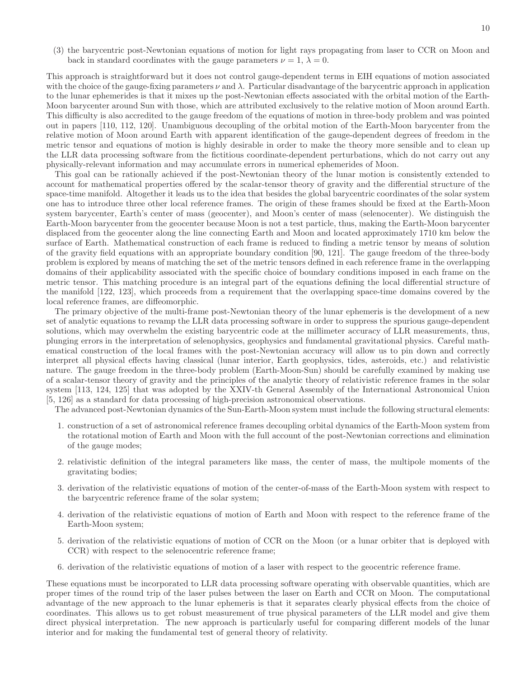(3) the barycentric post-Newtonian equations of motion for light rays propagating from laser to CCR on Moon and back in standard coordinates with the gauge parameters  $\nu = 1, \lambda = 0$ .

This approach is straightforward but it does not control gauge-dependent terms in EIH equations of motion associated with the choice of the gauge-fixing parameters  $\nu$  and  $\lambda$ . Particular disadvantage of the barycentric approach in application to the lunar ephemerides is that it mixes up the post-Newtonian effects associated with the orbital motion of the Earth-Moon barycenter around Sun with those, which are attributed exclusively to the relative motion of Moon around Earth. This difficulty is also accredited to the gauge freedom of the equations of motion in three-body problem and was pointed out in papers [110, 112, 120]. Unambiguous decoupling of the orbital motion of the Earth-Moon barycenter from the relative motion of Moon around Earth with apparent identification of the gauge-dependent degrees of freedom in the metric tensor and equations of motion is highly desirable in order to make the theory more sensible and to clean up the LLR data processing software from the fictitious coordinate-dependent perturbations, which do not carry out any physically-relevant information and may accumulate errors in numerical ephemerides of Moon.

This goal can be rationally achieved if the post-Newtonian theory of the lunar motion is consistently extended to account for mathematical properties offered by the scalar-tensor theory of gravity and the differential structure of the space-time manifold. Altogether it leads us to the idea that besides the global barycentric coordinates of the solar system one has to introduce three other local reference frames. The origin of these frames should be fixed at the Earth-Moon system barycenter, Earth's center of mass (geocenter), and Moon's center of mass (selenocenter). We distinguish the Earth-Moon barycenter from the geocenter because Moon is not a test particle, thus, making the Earth-Moon barycenter displaced from the geocenter along the line connecting Earth and Moon and located approximately 1710 km below the surface of Earth. Mathematical construction of each frame is reduced to finding a metric tensor by means of solution of the gravity field equations with an appropriate boundary condition [90, 121]. The gauge freedom of the three-body problem is explored by means of matching the set of the metric tensors defined in each reference frame in the overlapping domains of their applicability associated with the specific choice of boundary conditions imposed in each frame on the metric tensor. This matching procedure is an integral part of the equations defining the local differential structure of the manifold [122, 123], which proceeds from a requirement that the overlapping space-time domains covered by the local reference frames, are diffeomorphic.

The primary objective of the multi-frame post-Newtonian theory of the lunar ephemeris is the development of a new set of analytic equations to revamp the LLR data processing software in order to suppress the spurious gauge-dependent solutions, which may overwhelm the existing barycentric code at the millimeter accuracy of LLR measurements, thus, plunging errors in the interpretation of selenophysics, geophysics and fundamental gravitational physics. Careful mathematical construction of the local frames with the post-Newtonian accuracy will allow us to pin down and correctly interpret all physical effects having classical (lunar interior, Earth geophysics, tides, asteroids, etc.) and relativistic nature. The gauge freedom in the three-body problem (Earth-Moon-Sun) should be carefully examined by making use of a scalar-tensor theory of gravity and the principles of the analytic theory of relativistic reference frames in the solar system [113, 124, 125] that was adopted by the XXIV-th General Assembly of the International Astronomical Union [5, 126] as a standard for data processing of high-precision astronomical observations.

The advanced post-Newtonian dynamics of the Sun-Earth-Moon system must include the following structural elements:

- 1. construction of a set of astronomical reference frames decoupling orbital dynamics of the Earth-Moon system from the rotational motion of Earth and Moon with the full account of the post-Newtonian corrections and elimination of the gauge modes;
- 2. relativistic definition of the integral parameters like mass, the center of mass, the multipole moments of the gravitating bodies;
- 3. derivation of the relativistic equations of motion of the center-of-mass of the Earth-Moon system with respect to the barycentric reference frame of the solar system;
- 4. derivation of the relativistic equations of motion of Earth and Moon with respect to the reference frame of the Earth-Moon system;
- 5. derivation of the relativistic equations of motion of CCR on the Moon (or a lunar orbiter that is deployed with CCR) with respect to the selenocentric reference frame;
- 6. derivation of the relativistic equations of motion of a laser with respect to the geocentric reference frame.

These equations must be incorporated to LLR data processing software operating with observable quantities, which are proper times of the round trip of the laser pulses between the laser on Earth and CCR on Moon. The computational advantage of the new approach to the lunar ephemeris is that it separates clearly physical effects from the choice of coordinates. This allows us to get robust measurement of true physical parameters of the LLR model and give them direct physical interpretation. The new approach is particularly useful for comparing different models of the lunar interior and for making the fundamental test of general theory of relativity.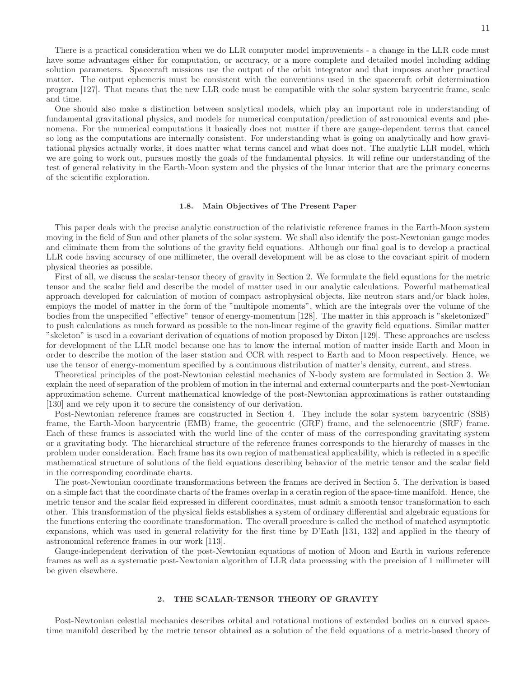There is a practical consideration when we do LLR computer model improvements - a change in the LLR code must have some advantages either for computation, or accuracy, or a more complete and detailed model including adding solution parameters. Spacecraft missions use the output of the orbit integrator and that imposes another practical matter. The output ephemeris must be consistent with the conventions used in the spacecraft orbit determination program [127]. That means that the new LLR code must be compatible with the solar system barycentric frame, scale and time.

One should also make a distinction between analytical models, which play an important role in understanding of fundamental gravitational physics, and models for numerical computation/prediction of astronomical events and phenomena. For the numerical computations it basically does not matter if there are gauge-dependent terms that cancel so long as the computations are internally consistent. For understanding what is going on analytically and how gravitational physics actually works, it does matter what terms cancel and what does not. The analytic LLR model, which we are going to work out, pursues mostly the goals of the fundamental physics. It will refine our understanding of the test of general relativity in the Earth-Moon system and the physics of the lunar interior that are the primary concerns of the scientific exploration.

# 1.8. Main Objectives of The Present Paper

This paper deals with the precise analytic construction of the relativistic reference frames in the Earth-Moon system moving in the field of Sun and other planets of the solar system. We shall also identify the post-Newtonian gauge modes and eliminate them from the solutions of the gravity field equations. Although our final goal is to develop a practical LLR code having accuracy of one millimeter, the overall development will be as close to the covariant spirit of modern physical theories as possible.

First of all, we discuss the scalar-tensor theory of gravity in Section 2. We formulate the field equations for the metric tensor and the scalar field and describe the model of matter used in our analytic calculations. Powerful mathematical approach developed for calculation of motion of compact astrophysical objects, like neutron stars and/or black holes, employs the model of matter in the form of the "multipole moments", which are the integrals over the volume of the bodies from the unspecified "effective" tensor of energy-momentum [128]. The matter in this approach is "skeletonized" to push calculations as much forward as possible to the non-linear regime of the gravity field equations. Similar matter "skeleton" is used in a covariant derivation of equations of motion proposed by Dixon [129]. These approaches are useless for development of the LLR model because one has to know the internal motion of matter inside Earth and Moon in order to describe the motion of the laser station and CCR with respect to Earth and to Moon respectively. Hence, we use the tensor of energy-momentum specified by a continuous distribution of matter's density, current, and stress.

Theoretical principles of the post-Newtonian celestial mechanics of N-body system are formulated in Section 3. We explain the need of separation of the problem of motion in the internal and external counterparts and the post-Newtonian approximation scheme. Current mathematical knowledge of the post-Newtonian approximations is rather outstanding [130] and we rely upon it to secure the consistency of our derivation.

Post-Newtonian reference frames are constructed in Section 4. They include the solar system barycentric (SSB) frame, the Earth-Moon barycentric (EMB) frame, the geocentric (GRF) frame, and the selenocentric (SRF) frame. Each of these frames is associated with the world line of the center of mass of the corresponding gravitating system or a gravitating body. The hierarchical structure of the reference frames corresponds to the hierarchy of masses in the problem under consideration. Each frame has its own region of mathematical applicability, which is reflected in a specific mathematical structure of solutions of the field equations describing behavior of the metric tensor and the scalar field in the corresponding coordinate charts.

The post-Newtonian coordinate transformations between the frames are derived in Section 5. The derivation is based on a simple fact that the coordinate charts of the frames overlap in a ceratin region of the space-time manifold. Hence, the metric tensor and the scalar field expressed in different coordinates, must admit a smooth tensor transformation to each other. This transformation of the physical fields establishes a system of ordinary differential and algebraic equations for the functions entering the coordinate transformation. The overall procedure is called the method of matched asymptotic expansions, which was used in general relativity for the first time by D'Eath [131, 132] and applied in the theory of astronomical reference frames in our work [113].

Gauge-independent derivation of the post-Newtonian equations of motion of Moon and Earth in various reference frames as well as a systematic post-Newtonian algorithm of LLR data processing with the precision of 1 millimeter will be given elsewhere.

# 2. THE SCALAR-TENSOR THEORY OF GRAVITY

Post-Newtonian celestial mechanics describes orbital and rotational motions of extended bodies on a curved spacetime manifold described by the metric tensor obtained as a solution of the field equations of a metric-based theory of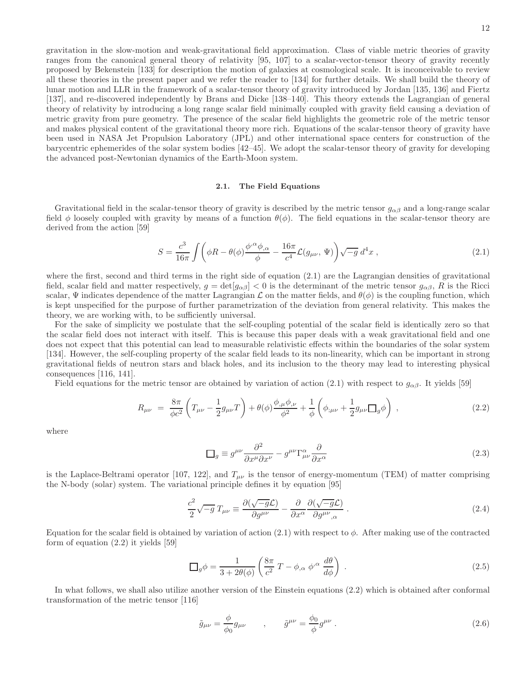gravitation in the slow-motion and weak-gravitational field approximation. Class of viable metric theories of gravity ranges from the canonical general theory of relativity [95, 107] to a scalar-vector-tensor theory of gravity recently proposed by Bekenstein [133] for description the motion of galaxies at cosmological scale. It is inconceivable to review all these theories in the present paper and we refer the reader to [134] for further details. We shall build the theory of lunar motion and LLR in the framework of a scalar-tensor theory of gravity introduced by Jordan [135, 136] and Fiertz [137], and re-discovered independently by Brans and Dicke [138–140]. This theory extends the Lagrangian of general theory of relativity by introducing a long range scalar field minimally coupled with gravity field causing a deviation of metric gravity from pure geometry. The presence of the scalar field highlights the geometric role of the metric tensor and makes physical content of the gravitational theory more rich. Equations of the scalar-tensor theory of gravity have been used in NASA Jet Propulsion Laboratory (JPL) and other international space centers for construction of the barycentric ephemerides of the solar system bodies [42–45]. We adopt the scalar-tensor theory of gravity for developing the advanced post-Newtonian dynamics of the Earth-Moon system.

### 2.1. The Field Equations

Gravitational field in the scalar-tensor theory of gravity is described by the metric tensor  $g_{\alpha\beta}$  and a long-range scalar field  $\phi$  loosely coupled with gravity by means of a function  $\theta(\phi)$ . The field equations in the scalar-tensor theory are derived from the action [59]

$$
S = \frac{c^3}{16\pi} \int \left( \phi R - \theta(\phi) \frac{\phi^{,\alpha} \phi_{,\alpha}}{\phi} - \frac{16\pi}{c^4} \mathcal{L}(g_{\mu\nu}, \Psi) \right) \sqrt{-g} d^4 x , \qquad (2.1)
$$

where the first, second and third terms in the right side of equation (2.1) are the Lagrangian densities of gravitational field, scalar field and matter respectively,  $g = det[g_{\alpha\beta}] < 0$  is the determinant of the metric tensor  $g_{\alpha\beta}$ , R is the Ricci scalar,  $\Psi$  indicates dependence of the matter Lagrangian  $\mathcal L$  on the matter fields, and  $\theta(\phi)$  is the coupling function, which is kept unspecified for the purpose of further parametrization of the deviation from general relativity. This makes the theory, we are working with, to be sufficiently universal.

For the sake of simplicity we postulate that the self-coupling potential of the scalar field is identically zero so that the scalar field does not interact with itself. This is because this paper deals with a weak gravitational field and one does not expect that this potential can lead to measurable relativistic effects within the boundaries of the solar system [134]. However, the self-coupling property of the scalar field leads to its non-linearity, which can be important in strong gravitational fields of neutron stars and black holes, and its inclusion to the theory may lead to interesting physical consequences [116, 141].

Field equations for the metric tensor are obtained by variation of action (2.1) with respect to  $g_{\alpha\beta}$ . It yields [59]

$$
R_{\mu\nu} = \frac{8\pi}{\phi c^2} \left( T_{\mu\nu} - \frac{1}{2} g_{\mu\nu} T \right) + \theta(\phi) \frac{\phi_{,\mu}\phi_{,\nu}}{\phi^2} + \frac{1}{\phi} \left( \phi_{;\mu\nu} + \frac{1}{2} g_{\mu\nu} \square_g \phi \right) , \qquad (2.2)
$$

where

$$
\Box_g \equiv g^{\mu\nu} \frac{\partial^2}{\partial x^\mu \partial x^\nu} - g^{\mu\nu} \Gamma^\alpha_{\mu\nu} \frac{\partial}{\partial x^\alpha}
$$
\n(2.3)

is the Laplace-Beltrami operator [107, 122], and  $T_{\mu\nu}$  is the tensor of energy-momentum (TEM) of matter comprising the N-body (solar) system. The variational principle defines it by equation [95]

$$
\frac{c^2}{2}\sqrt{-g}T_{\mu\nu}\equiv\frac{\partial(\sqrt{-g}\mathcal{L})}{\partial g^{\mu\nu}}-\frac{\partial}{\partial x^{\alpha}}\frac{\partial(\sqrt{-g}\mathcal{L})}{\partial g^{\mu\nu}_{,\alpha}}.
$$
\n(2.4)

Equation for the scalar field is obtained by variation of action (2.1) with respect to  $\phi$ . After making use of the contracted form of equation (2.2) it yields [59]

$$
\Box_g \phi = \frac{1}{3 + 2\theta(\phi)} \left( \frac{8\pi}{c^2} T - \phi_{,\alpha} \phi^{,\alpha} \frac{d\theta}{d\phi} \right) . \tag{2.5}
$$

In what follows, we shall also utilize another version of the Einstein equations (2.2) which is obtained after conformal transformation of the metric tensor [116]

$$
\tilde{g}_{\mu\nu} = \frac{\phi}{\phi_0} g_{\mu\nu} \qquad , \qquad \tilde{g}^{\mu\nu} = \frac{\phi_0}{\phi} g^{\mu\nu} \ . \tag{2.6}
$$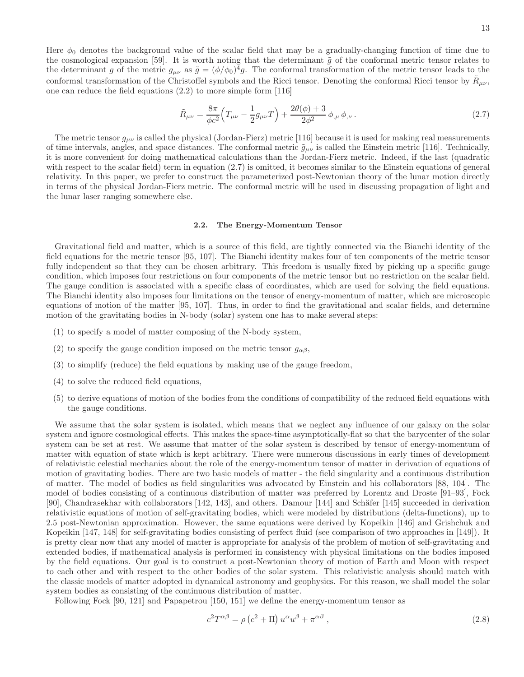Here  $\phi_0$  denotes the background value of the scalar field that may be a gradually-changing function of time due to the cosmological expansion [59]. It is worth noting that the determinant  $\tilde{g}$  of the conformal metric tensor relates to the determinant g of the metric  $g_{\mu\nu}$  as  $\tilde{g} = (\phi/\phi_0)^4 g$ . The conformal transformation of the metric tensor leads to the conformal transformation of the Christoffel symbols and the Ricci tensor. Denoting the conformal Ricci tensor by  $\tilde{R}_{\mu\nu}$ , one can reduce the field equations (2.2) to more simple form [116]

$$
\tilde{R}_{\mu\nu} = \frac{8\pi}{\phi c^2} \Big( T_{\mu\nu} - \frac{1}{2} g_{\mu\nu} T \Big) + \frac{2\theta(\phi) + 3}{2\phi^2} \phi_{,\mu} \phi_{,\nu} \,. \tag{2.7}
$$

The metric tensor  $g_{\mu\nu}$  is called the physical (Jordan-Fierz) metric [116] because it is used for making real measurements of time intervals, angles, and space distances. The conformal metric  $\tilde{g}_{\mu\nu}$  is called the Einstein metric [116]. Technically, it is more convenient for doing mathematical calculations than the Jordan-Fierz metric. Indeed, if the last (quadratic with respect to the scalar field) term in equation (2.7) is omitted, it becomes similar to the Einstein equations of general relativity. In this paper, we prefer to construct the parameterized post-Newtonian theory of the lunar motion directly in terms of the physical Jordan-Fierz metric. The conformal metric will be used in discussing propagation of light and the lunar laser ranging somewhere else.

### 2.2. The Energy-Momentum Tensor

Gravitational field and matter, which is a source of this field, are tightly connected via the Bianchi identity of the field equations for the metric tensor [95, 107]. The Bianchi identity makes four of ten components of the metric tensor fully independent so that they can be chosen arbitrary. This freedom is usually fixed by picking up a specific gauge condition, which imposes four restrictions on four components of the metric tensor but no restriction on the scalar field. The gauge condition is associated with a specific class of coordinates, which are used for solving the field equations. The Bianchi identity also imposes four limitations on the tensor of energy-momentum of matter, which are microscopic equations of motion of the matter [95, 107]. Thus, in order to find the gravitational and scalar fields, and determine motion of the gravitating bodies in N-body (solar) system one has to make several steps:

- (1) to specify a model of matter composing of the N-body system,
- (2) to specify the gauge condition imposed on the metric tensor  $g_{\alpha\beta}$ ,
- (3) to simplify (reduce) the field equations by making use of the gauge freedom,
- (4) to solve the reduced field equations,
- (5) to derive equations of motion of the bodies from the conditions of compatibility of the reduced field equations with the gauge conditions.

We assume that the solar system is isolated, which means that we neglect any influence of our galaxy on the solar system and ignore cosmological effects. This makes the space-time asymptotically-flat so that the barycenter of the solar system can be set at rest. We assume that matter of the solar system is described by tensor of energy-momentum of matter with equation of state which is kept arbitrary. There were numerous discussions in early times of development of relativistic celestial mechanics about the role of the energy-momentum tensor of matter in derivation of equations of motion of gravitating bodies. There are two basic models of matter - the field singularity and a continuous distribution of matter. The model of bodies as field singularities was advocated by Einstein and his collaborators [88, 104]. The model of bodies consisting of a continuous distribution of matter was preferred by Lorentz and Droste [91–93], Fock [90], Chandrasekhar with collaborators [142, 143], and others. Damour [144] and Schäfer [145] succeeded in derivation relativistic equations of motion of self-gravitating bodies, which were modeled by distributions (delta-functions), up to 2.5 post-Newtonian approximation. However, the same equations were derived by Kopeikin [146] and Grishchuk and Kopeikin [147, 148] for self-gravitating bodies consisting of perfect fluid (see comparison of two approaches in [149]). It is pretty clear now that any model of matter is appropriate for analysis of the problem of motion of self-gravitating and extended bodies, if mathematical analysis is performed in consistency with physical limitations on the bodies imposed by the field equations. Our goal is to construct a post-Newtonian theory of motion of Earth and Moon with respect to each other and with respect to the other bodies of the solar system. This relativistic analysis should match with the classic models of matter adopted in dynamical astronomy and geophysics. For this reason, we shall model the solar system bodies as consisting of the continuous distribution of matter.

Following Fock [90, 121] and Papapetrou [150, 151] we define the energy-momentum tensor as

$$
c^2 T^{\alpha \beta} = \rho \left( c^2 + \Pi \right) u^{\alpha} u^{\beta} + \pi^{\alpha \beta} , \qquad (2.8)
$$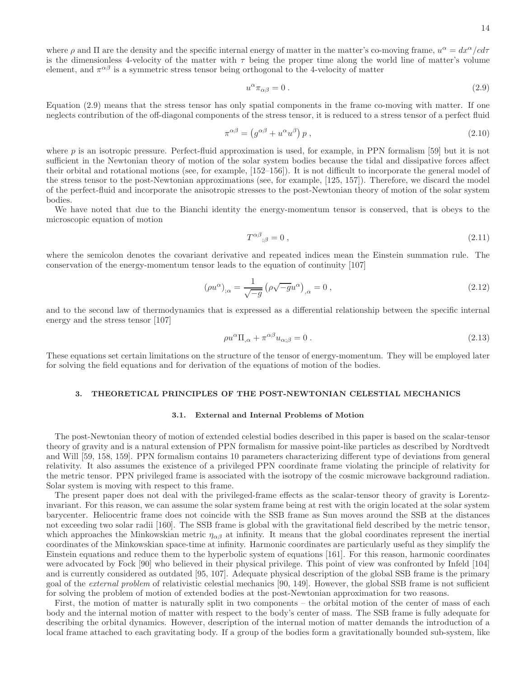14

where  $\rho$  and  $\Pi$  are the density and the specific internal energy of matter in the matter's co-moving frame,  $u^{\alpha} = dx^{\alpha}/cd\tau$ is the dimensionless 4-velocity of the matter with  $\tau$  being the proper time along the world line of matter's volume element, and  $\pi^{\alpha\beta}$  is a symmetric stress tensor being orthogonal to the 4-velocity of matter

$$
u^{\alpha}\pi_{\alpha\beta} = 0. \tag{2.9}
$$

Equation (2.9) means that the stress tensor has only spatial components in the frame co-moving with matter. If one neglects contribution of the off-diagonal components of the stress tensor, it is reduced to a stress tensor of a perfect fluid

$$
\pi^{\alpha\beta} = (g^{\alpha\beta} + u^{\alpha}u^{\beta})p , \qquad (2.10)
$$

where p is an isotropic pressure. Perfect-fluid approximation is used, for example, in PPN formalism  $[59]$  but it is not sufficient in the Newtonian theory of motion of the solar system bodies because the tidal and dissipative forces affect their orbital and rotational motions (see, for example, [152–156]). It is not difficult to incorporate the general model of the stress tensor to the post-Newtonian approximations (see, for example, [125, 157]). Therefore, we discard the model of the perfect-fluid and incorporate the anisotropic stresses to the post-Newtonian theory of motion of the solar system bodies.

We have noted that due to the Bianchi identity the energy-momentum tensor is conserved, that is obeys to the microscopic equation of motion

$$
T^{\alpha\beta}{}_{;\beta} = 0 \tag{2.11}
$$

where the semicolon denotes the covariant derivative and repeated indices mean the Einstein summation rule. The conservation of the energy-momentum tensor leads to the equation of continuity [107]

$$
(\rho u^{\alpha})_{;\alpha} = \frac{1}{\sqrt{-g}} \left( \rho \sqrt{-g} u^{\alpha} \right)_{,\alpha} = 0 , \qquad (2.12)
$$

and to the second law of thermodynamics that is expressed as a differential relationship between the specific internal energy and the stress tensor [107]

$$
\rho u^{\alpha} \Pi_{,\alpha} + \pi^{\alpha \beta} u_{\alpha;\beta} = 0 \tag{2.13}
$$

These equations set certain limitations on the structure of the tensor of energy-momentum. They will be employed later for solving the field equations and for derivation of the equations of motion of the bodies.

# 3. THEORETICAL PRINCIPLES OF THE POST-NEWTONIAN CELESTIAL MECHANICS

## 3.1. External and Internal Problems of Motion

The post-Newtonian theory of motion of extended celestial bodies described in this paper is based on the scalar-tensor theory of gravity and is a natural extension of PPN formalism for massive point-like particles as described by Nordtvedt and Will [59, 158, 159]. PPN formalism contains 10 parameters characterizing different type of deviations from general relativity. It also assumes the existence of a privileged PPN coordinate frame violating the principle of relativity for the metric tensor. PPN privileged frame is associated with the isotropy of the cosmic microwave background radiation. Solar system is moving with respect to this frame.

The present paper does not deal with the privileged-frame effects as the scalar-tensor theory of gravity is Lorentzinvariant. For this reason, we can assume the solar system frame being at rest with the origin located at the solar system barycenter. Heliocentric frame does not coincide with the SSB frame as Sun moves around the SSB at the distances not exceeding two solar radii [160]. The SSB frame is global with the gravitational field described by the metric tensor, which approaches the Minkowskian metric  $\eta_{\alpha\beta}$  at infinity. It means that the global coordinates represent the inertial coordinates of the Minkowskian space-time at infinity. Harmonic coordinates are particularly useful as they simplify the Einstein equations and reduce them to the hyperbolic system of equations [161]. For this reason, harmonic coordinates were advocated by Fock [90] who believed in their physical privilege. This point of view was confronted by Infeld [104] and is currently considered as outdated [95, 107]. Adequate physical description of the global SSB frame is the primary goal of the external problem of relativistic celestial mechanics [90, 149]. However, the global SSB frame is not sufficient for solving the problem of motion of extended bodies at the post-Newtonian approximation for two reasons.

First, the motion of matter is naturally split in two components – the orbital motion of the center of mass of each body and the internal motion of matter with respect to the body's center of mass. The SSB frame is fully adequate for describing the orbital dynamics. However, description of the internal motion of matter demands the introduction of a local frame attached to each gravitating body. If a group of the bodies form a gravitationally bounded sub-system, like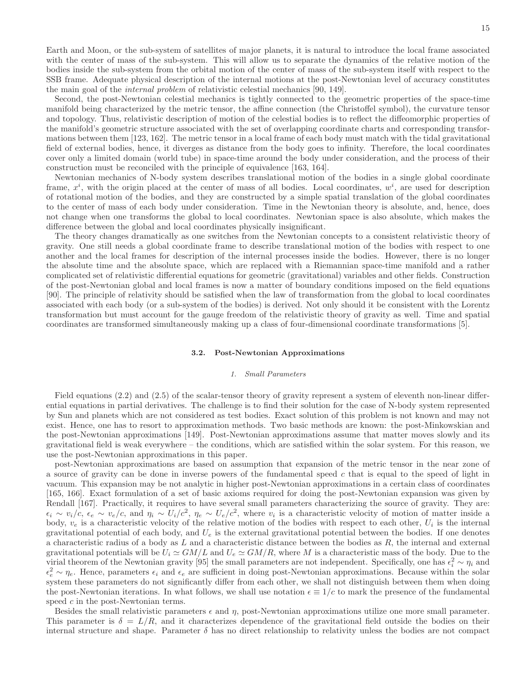Earth and Moon, or the sub-system of satellites of major planets, it is natural to introduce the local frame associated with the center of mass of the sub-system. This will allow us to separate the dynamics of the relative motion of the bodies inside the sub-system from the orbital motion of the center of mass of the sub-system itself with respect to the SSB frame. Adequate physical description of the internal motions at the post-Newtonian level of accuracy constitutes the main goal of the internal problem of relativistic celestial mechanics [90, 149].

Second, the post-Newtonian celestial mechanics is tightly connected to the geometric properties of the space-time manifold being characterized by the metric tensor, the affine connection (the Christoffel symbol), the curvature tensor and topology. Thus, relativistic description of motion of the celestial bodies is to reflect the diffeomorphic properties of the manifold's geometric structure associated with the set of overlapping coordinate charts and corresponding transformations between them [123, 162]. The metric tensor in a local frame of each body must match with the tidal gravitational field of external bodies, hence, it diverges as distance from the body goes to infinity. Therefore, the local coordinates cover only a limited domain (world tube) in space-time around the body under consideration, and the process of their construction must be reconciled with the principle of equivalence [163, 164].

Newtonian mechanics of N-body system describes translational motion of the bodies in a single global coordinate frame,  $x^i$ , with the origin placed at the center of mass of all bodies. Local coordinates,  $w^i$ , are used for description of rotational motion of the bodies, and they are constructed by a simple spatial translation of the global coordinates to the center of mass of each body under consideration. Time in the Newtonian theory is absolute, and, hence, does not change when one transforms the global to local coordinates. Newtonian space is also absolute, which makes the difference between the global and local coordinates physically insignificant.

The theory changes dramatically as one switches from the Newtonian concepts to a consistent relativistic theory of gravity. One still needs a global coordinate frame to describe translational motion of the bodies with respect to one another and the local frames for description of the internal processes inside the bodies. However, there is no longer the absolute time and the absolute space, which are replaced with a Riemannian space-time manifold and a rather complicated set of relativistic differential equations for geometric (gravitational) variables and other fields. Construction of the post-Newtonian global and local frames is now a matter of boundary conditions imposed on the field equations [90]. The principle of relativity should be satisfied when the law of transformation from the global to local coordinates associated with each body (or a sub-system of the bodies) is derived. Not only should it be consistent with the Lorentz transformation but must account for the gauge freedom of the relativistic theory of gravity as well. Time and spatial coordinates are transformed simultaneously making up a class of four-dimensional coordinate transformations [5].

### 3.2. Post-Newtonian Approximations

## *1. Small Parameters*

Field equations (2.2) and (2.5) of the scalar-tensor theory of gravity represent a system of eleventh non-linear differential equations in partial derivatives. The challenge is to find their solution for the case of N-body system represented by Sun and planets which are not considered as test bodies. Exact solution of this problem is not known and may not exist. Hence, one has to resort to approximation methods. Two basic methods are known: the post-Minkowskian and the post-Newtonian approximations [149]. Post-Newtonian approximations assume that matter moves slowly and its gravitational field is weak everywhere – the conditions, which are satisfied within the solar system. For this reason, we use the post-Newtonian approximations in this paper.

post-Newtonian approximations are based on assumption that expansion of the metric tensor in the near zone of a source of gravity can be done in inverse powers of the fundamental speed  $c$  that is equal to the speed of light in vacuum. This expansion may be not analytic in higher post-Newtonian approximations in a certain class of coordinates [165, 166]. Exact formulation of a set of basic axioms required for doing the post-Newtonian expansion was given by Rendall [167]. Practically, it requires to have several small parameters characterizing the source of gravity. They are:  $\epsilon_i \sim v_i/c$ ,  $\epsilon_e \sim v_e/c$ , and  $\eta_i \sim U_i/c^2$ ,  $\eta_e \sim U_e/c^2$ , where  $v_i$  is a characteristic velocity of motion of matter inside a body,  $v_e$  is a characteristic velocity of the relative motion of the bodies with respect to each other,  $U_i$  is the internal gravitational potential of each body, and  $U_e$  is the external gravitational potential between the bodies. If one denotes a characteristic radius of a body as  $L$  and a characteristic distance between the bodies as  $R$ , the internal and external gravitational potentials will be  $U_i \simeq GM/L$  and  $U_e \simeq GM/R$ , where M is a characteristic mass of the body. Due to the virial theorem of the Newtonian gravity [95] the small parameters are not independent. Specifically, one has  $\epsilon_i^2 \sim \eta_i$  and  $\epsilon_e^2 \sim \eta_e$ . Hence, parameters  $\epsilon_i$  and  $\epsilon_e$  are sufficient in doing post-Newtonian approximations. Because within the solar system these parameters do not significantly differ from each other, we shall not distinguish between them when doing the post-Newtonian iterations. In what follows, we shall use notation  $\epsilon \equiv 1/c$  to mark the presence of the fundamental speed c in the post-Newtonian terms.

Besides the small relativistic parameters  $\epsilon$  and  $\eta$ , post-Newtonian approximations utilize one more small parameter. This parameter is  $\delta = L/R$ , and it characterizes dependence of the gravitational field outside the bodies on their internal structure and shape. Parameter  $\delta$  has no direct relationship to relativity unless the bodies are not compact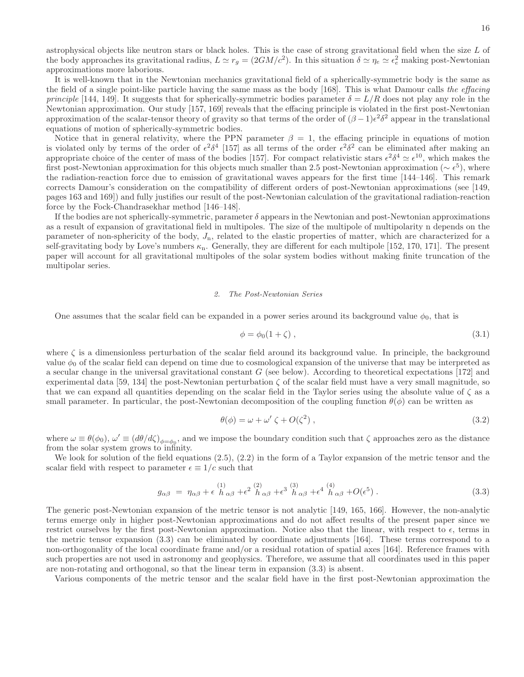astrophysical objects like neutron stars or black holes. This is the case of strong gravitational field when the size  $L$  of the body approaches its gravitational radius,  $L \simeq r_g = (2GM/c^2)$ . In this situation  $\delta \simeq \eta_e \simeq \epsilon_e^2$  making post-Newtonian approximations more laborious.

It is well-known that in the Newtonian mechanics gravitational field of a spherically-symmetric body is the same as the field of a single point-like particle having the same mass as the body [168]. This is what Damour calls the effacing principle [144, 149]. It suggests that for spherically-symmetric bodies parameter  $\delta = L/R$  does not play any role in the Newtonian approximation. Our study [157, 169] reveals that the effacing principle is violated in the first post-Newtonian approximation of the scalar-tensor theory of gravity so that terms of the order of  $(\beta - 1)\epsilon^2 \delta^2$  appear in the translational equations of motion of spherically-symmetric bodies.

Notice that in general relativity, where the PPN parameter  $\beta = 1$ , the effacing principle in equations of motion is violated only by terms of the order of  $\epsilon^2 \delta^4$  [157] as all terms of the order  $\epsilon^2 \delta^2$  can be eliminated after making an appropriate choice of the center of mass of the bodies [157]. For compact relativistic stars  $\epsilon^2 \delta^4 \simeq \epsilon^{10}$ , which makes the first post-Newtonian approximation for this objects much smaller than 2.5 post-Newtonian approximation ( $\sim \epsilon^5$ ), where the radiation-reaction force due to emission of gravitational waves appears for the first time [144–146]. This remark corrects Damour's consideration on the compatibility of different orders of post-Newtonian approximations (see [149, pages 163 and 169]) and fully justifies our result of the post-Newtonian calculation of the gravitational radiation-reaction force by the Fock-Chandrasekhar method [146–148].

If the bodies are not spherically-symmetric, parameter  $\delta$  appears in the Newtonian and post-Newtonian approximations as a result of expansion of gravitational field in multipoles. The size of the multipole of multipolarity n depends on the parameter of non-sphericity of the body,  $J_n$ , related to the elastic properties of matter, which are characterized for a self-gravitating body by Love's numbers  $\kappa_n$ . Generally, they are different for each multipole [152, 170, 171]. The present paper will account for all gravitational multipoles of the solar system bodies without making finite truncation of the multipolar series.

### *2. The Post-Newtonian Series*

One assumes that the scalar field can be expanded in a power series around its background value  $\phi_0$ , that is

$$
\phi = \phi_0(1+\zeta) \tag{3.1}
$$

where  $\zeta$  is a dimensionless perturbation of the scalar field around its background value. In principle, the background value  $\phi_0$  of the scalar field can depend on time due to cosmological expansion of the universe that may be interpreted as a secular change in the universal gravitational constant  $G$  (see below). According to theoretical expectations [172] and experimental data [59, 134] the post-Newtonian perturbation  $\zeta$  of the scalar field must have a very small magnitude, so that we can expand all quantities depending on the scalar field in the Taylor series using the absolute value of  $\zeta$  as a small parameter. In particular, the post-Newtonian decomposition of the coupling function  $\theta(\phi)$  can be written as

$$
\theta(\phi) = \omega + \omega' \zeta + O(\zeta^2) \,, \tag{3.2}
$$

where  $\omega \equiv \theta(\phi_0)$ ,  $\omega' \equiv (d\theta/d\zeta)_{\phi=\phi_0}$ , and we impose the boundary condition such that  $\zeta$  approaches zero as the distance from the solar system grows to infinity.

We look for solution of the field equations (2.5), (2.2) in the form of a Taylor expansion of the metric tensor and the scalar field with respect to parameter  $\epsilon \equiv 1/c$  such that

$$
g_{\alpha\beta} = \eta_{\alpha\beta} + \epsilon \stackrel{(1)}{h}_{\alpha\beta} + \epsilon^2 \stackrel{(2)}{h}_{\alpha\beta} + \epsilon^3 \stackrel{(3)}{h}_{\alpha\beta} + \epsilon^4 \stackrel{(4)}{h}_{\alpha\beta} + O(\epsilon^5) \,. \tag{3.3}
$$

The generic post-Newtonian expansion of the metric tensor is not analytic [149, 165, 166]. However, the non-analytic terms emerge only in higher post-Newtonian approximations and do not affect results of the present paper since we restrict ourselves by the first post-Newtonian approximation. Notice also that the linear, with respect to  $\epsilon$ , terms in the metric tensor expansion (3.3) can be eliminated by coordinate adjustments [164]. These terms correspond to a non-orthogonality of the local coordinate frame and/or a residual rotation of spatial axes [164]. Reference frames with such properties are not used in astronomy and geophysics. Therefore, we assume that all coordinates used in this paper are non-rotating and orthogonal, so that the linear term in expansion (3.3) is absent.

Various components of the metric tensor and the scalar field have in the first post-Newtonian approximation the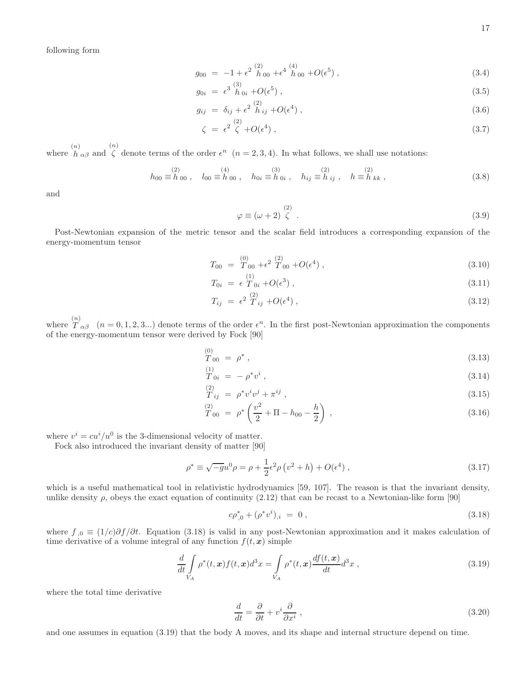$$
g_{00} = -1 + \epsilon^2 \stackrel{(2)}{h}_{00} + \epsilon^4 \stackrel{(4)}{h}_{00} + O(\epsilon^5) , \qquad (3.4)
$$

$$
g_{0i} = \epsilon^3 \stackrel{(3)}{h}_{0i} + O(\epsilon^5) \,, \tag{3.5}
$$

$$
g_{ij} = \delta_{ij} + \epsilon^2 \stackrel{(2)}{h}_{ij} + O(\epsilon^4) , \qquad (3.6)
$$

$$
\zeta = \epsilon^2 \stackrel{(2)}{\zeta} + O(\epsilon^4) \,, \tag{3.7}
$$

where  $\begin{pmatrix} n \\ h \alpha \beta \end{pmatrix}$  and  $\begin{pmatrix} n \\ \zeta \end{pmatrix}$  denote terms of the order  $\epsilon^n$   $(n = 2, 3, 4)$ . In what follows, we shall use notations:

$$
h_{00} \equiv \stackrel{(2)}{h}_{00}, \quad l_{00} \equiv \stackrel{(4)}{h}_{00}, \quad h_{0i} \equiv \stackrel{(3)}{h}_{0i}, \quad h_{ij} \equiv \stackrel{(2)}{h}_{ij}, \quad h \equiv \stackrel{(2)}{h}_{kk}, \tag{3.8}
$$

and

$$
\varphi \equiv (\omega + 2) \stackrel{(2)}{\zeta} \tag{3.9}
$$

Post-Newtonian expansion of the metric tensor and the scalar field introduces a corresponding expansion of the energy-momentum tensor

$$
T_{00} = \overset{(0)}{T}_{00} + \epsilon^2 \overset{(2)}{T}_{00} + O(\epsilon^4) , \qquad (3.10)
$$

$$
T_{0i} = \epsilon \stackrel{(1)}{T}_{0i} + O(\epsilon^3) , \qquad (3.11)
$$

$$
T_{ij} = \epsilon^2 \stackrel{(2)}{T}_{ij} + O(\epsilon^4) , \qquad (3.12)
$$

where  $T_{\alpha\beta}$   $(n = 0, 1, 2, 3...)$  denote terms of the order  $\epsilon^n$ . In the first post-Newtonian approximation the components of the energy-momentum tensor were derived by Fock [90]

$$
T_{00} = \rho^*, \qquad (3.13)
$$

$$
\mathbf{1}_{\text{D}i} = -\rho^* v^i \,,\tag{3.14}
$$

$$
\mathop{T}_{ij}^{(2)} = \rho^* v^i v^j + \pi^{ij} \,, \tag{3.15}
$$

$$
\mathcal{T}_{00} = \rho^* \left( \frac{v^2}{2} + \Pi - h_{00} - \frac{h}{2} \right) , \qquad (3.16)
$$

where  $v^i = cu^i/u^0$  is the 3-dimensional velocity of matter.

Fock also introduced the invariant density of matter [90]

$$
\rho^* \equiv \sqrt{-g}u^0 \rho = \rho + \frac{1}{2}\epsilon^2 \rho (v^2 + h) + O(\epsilon^4) , \qquad (3.17)
$$

which is a useful mathematical tool in relativistic hydrodynamics [59, 107]. The reason is that the invariant density, unlike density  $\rho$ , obeys the exact equation of continuity (2.12) that can be recast to a Newtonian-like form [90]

$$
c\rho_{,0}^* + (\rho^* v^i)_{,i} = 0 , \qquad (3.18)
$$

where  $f_{,0} \equiv (1/c)\partial f/\partial t$ . Equation (3.18) is valid in any post-Newtonian approximation and it makes calculation of time derivative of a volume integral of any function  $f(t, x)$  simple

$$
\frac{d}{dt} \int\limits_{V_A} \rho^*(t, x) f(t, x) d^3x = \int\limits_{V_A} \rho^*(t, x) \frac{df(t, x)}{dt} d^3x , \qquad (3.19)
$$

where the total time derivative

$$
\frac{d}{dt} = \frac{\partial}{\partial t} + v^i \frac{\partial}{\partial x^i} ,\qquad (3.20)
$$

and one assumes in equation (3.19) that the body A moves, and its shape and internal structure depend on time.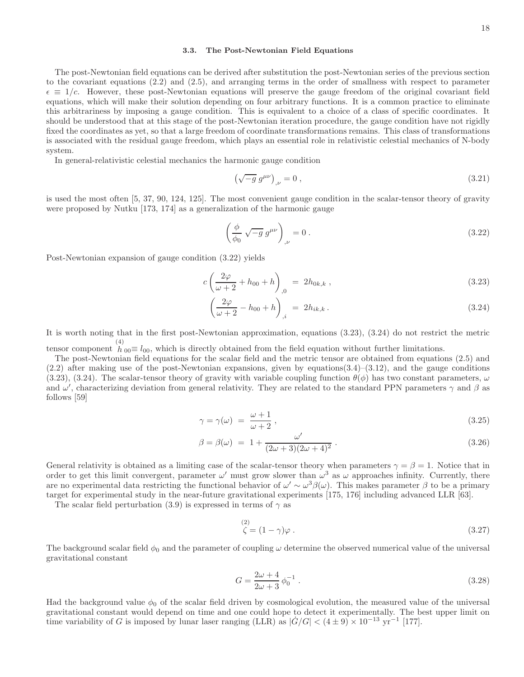### 3.3. The Post-Newtonian Field Equations

The post-Newtonian field equations can be derived after substitution the post-Newtonian series of the previous section to the covariant equations (2.2) and (2.5), and arranging terms in the order of smallness with respect to parameter  $\epsilon \equiv 1/c$ . However, these post-Newtonian equations will preserve the gauge freedom of the original covariant field equations, which will make their solution depending on four arbitrary functions. It is a common practice to eliminate this arbitrariness by imposing a gauge condition. This is equivalent to a choice of a class of specific coordinates. It should be understood that at this stage of the post-Newtonian iteration procedure, the gauge condition have not rigidly fixed the coordinates as yet, so that a large freedom of coordinate transformations remains. This class of transformations is associated with the residual gauge freedom, which plays an essential role in relativistic celestial mechanics of N-body system.

In general-relativistic celestial mechanics the harmonic gauge condition

$$
\left(\sqrt{-g} g^{\mu\nu}\right)_{,\nu} = 0\tag{3.21}
$$

is used the most often [5, 37, 90, 124, 125]. The most convenient gauge condition in the scalar-tensor theory of gravity were proposed by Nutku [173, 174] as a generalization of the harmonic gauge

$$
\left(\frac{\phi}{\phi_0}\sqrt{-g}g^{\mu\nu}\right)_{,\nu}=0\,. \tag{3.22}
$$

Post-Newtonian expansion of gauge condition (3.22) yields

$$
c\left(\frac{2\varphi}{\omega+2} + h_{00} + h\right)_{,0} = 2h_{0k,k} , \qquad (3.23)
$$

$$
\left(\frac{2\varphi}{\omega+2} - h_{00} + h\right)_{,i} = 2h_{ik,k} \,. \tag{3.24}
$$

It is worth noting that in the first post-Newtonian approximation, equations (3.23), (3.24) do not restrict the metric tensor component  $\stackrel{(4)}{h}_{00} \equiv l_{00}$ , which is directly obtained from the field equation without further limitations.

The post-Newtonian field equations for the scalar field and the metric tensor are obtained from equations (2.5) and  $(2.2)$  after making use of the post-Newtonian expansions, given by equations $(3.4)$ – $(3.12)$ , and the gauge conditions (3.23), (3.24). The scalar-tensor theory of gravity with variable coupling function  $\theta(\phi)$  has two constant parameters,  $\omega$ and  $\omega'$ , characterizing deviation from general relativity. They are related to the standard PPN parameters  $\gamma$  and  $\beta$  as follows [59]

$$
\gamma = \gamma(\omega) = \frac{\omega + 1}{\omega + 2},\tag{3.25}
$$

$$
\beta = \beta(\omega) = 1 + \frac{\omega'}{(2\omega + 3)(2\omega + 4)^2}.
$$
\n(3.26)

General relativity is obtained as a limiting case of the scalar-tensor theory when parameters  $\gamma = \beta = 1$ . Notice that in order to get this limit convergent, parameter  $\omega'$  must grow slower than  $\omega^3$  as  $\omega$  approaches infinity. Currently, there are no experimental data restricting the functional behavior of  $\omega' \sim \omega^3 \beta(\omega)$ . This makes parameter  $\beta$  to be a primary target for experimental study in the near-future gravitational experiments [175, 176] including advanced LLR [63].

The scalar field perturbation (3.9) is expressed in terms of  $\gamma$  as

$$
\zeta^{(2)} = (1 - \gamma)\varphi \,. \tag{3.27}
$$

The background scalar field  $\phi_0$  and the parameter of coupling  $\omega$  determine the observed numerical value of the universal gravitational constant

$$
G = \frac{2\omega + 4}{2\omega + 3} \phi_0^{-1} . \tag{3.28}
$$

Had the background value  $\phi_0$  of the scalar field driven by cosmological evolution, the measured value of the universal gravitational constant would depend on time and one could hope to detect it experimentally. The best upper limit on time variability of G is imposed by lunar laser ranging (LLR) as  $|\dot{G}/G| < (4 \pm 9) \times 10^{-13} \text{ yr}^{-1}$  [177].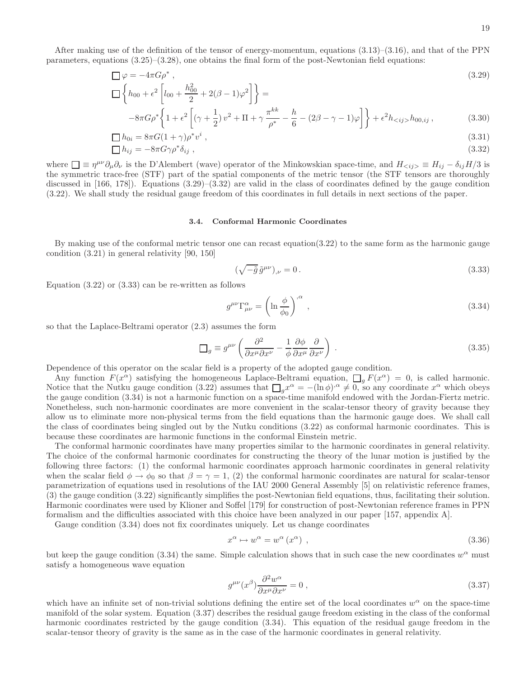$$
\Box \varphi = -4\pi G \rho^*,
$$
  
\n
$$
\Box \left\{ h_{00} + \epsilon^2 \left[ l_{00} + \frac{h_{00}^2}{2} + 2(\beta - 1)\varphi^2 \right] \right\} =
$$
\n(3.29)

$$
-8\pi G\rho^* \left\{ 1 + \epsilon^2 \left[ (\gamma + \frac{1}{2}) v^2 + \Pi + \gamma \frac{\pi^{kk}}{\rho^*} - \frac{h}{6} - (2\beta - \gamma - 1)\varphi \right] \right\} + \epsilon^2 h_{
$$

$$
\Box h_{0i} = 8\pi G (1+\gamma)\rho^* v^i , \qquad (3.31)
$$

$$
\Box h_{ij} = -8\pi G \gamma \rho^* \delta_{ij} , \qquad (3.32)
$$

where  $\Box \equiv \eta^{\mu\nu}\partial_{\mu}\partial_{\nu}$  is the D'Alembert (wave) operator of the Minkowskian space-time, and  $H_{\langle ij \rangle} \equiv H_{ij} - \delta_{ij}H/3$  is the symmetric trace-free (STF) part of the spatial components of the metric tensor (the STF tensors are thoroughly discussed in  $[166, 178]$ . Equations  $(3.29)-(3.32)$  are valid in the class of coordinates defined by the gauge condition (3.22). We shall study the residual gauge freedom of this coordinates in full details in next sections of the paper.

### 3.4. Conformal Harmonic Coordinates

By making use of the conformal metric tensor one can recast equation(3.22) to the same form as the harmonic gauge condition (3.21) in general relativity [90, 150]

$$
(\sqrt{-\tilde{g}}\,\tilde{g}^{\mu\nu})_{,\nu} = 0\,. \tag{3.33}
$$

Equation  $(3.22)$  or  $(3.33)$  can be re-written as follows

$$
g^{\mu\nu}\Gamma^{\alpha}_{\mu\nu} = \left(\ln \frac{\phi}{\phi_0}\right)^{\alpha},\tag{3.34}
$$

so that the Laplace-Beltrami operator (2.3) assumes the form

$$
\Box_g \equiv g^{\mu\nu} \left( \frac{\partial^2}{\partial x^\mu \partial x^\nu} - \frac{1}{\phi} \frac{\partial \phi}{\partial x^\mu} \frac{\partial}{\partial x^\nu} \right) . \tag{3.35}
$$

Dependence of this operator on the scalar field is a property of the adopted gauge condition.

Any function  $F(x^{\alpha})$  satisfying the homogeneous Laplace-Beltrami equation,  $\Box_g F(x^{\alpha}) = 0$ , is called harmonic. Notice that the Nutku gauge condition (3.22) assumes that  $\Box_g x^\alpha = -(\ln \phi)^\alpha \neq 0$ , so any coordinate  $x^\alpha$  which obeys the gauge condition (3.34) is not a harmonic function on a space-time manifold endowed with the Jordan-Fiertz metric. Nonetheless, such non-harmonic coordinates are more convenient in the scalar-tensor theory of gravity because they allow us to eliminate more non-physical terms from the field equations than the harmonic gauge does. We shall call the class of coordinates being singled out by the Nutku conditions (3.22) as conformal harmonic coordinates. This is because these coordinates are harmonic functions in the conformal Einstein metric.

The conformal harmonic coordinates have many properties similar to the harmonic coordinates in general relativity. The choice of the conformal harmonic coordinates for constructing the theory of the lunar motion is justified by the following three factors: (1) the conformal harmonic coordinates approach harmonic coordinates in general relativity when the scalar field  $\phi \to \phi_0$  so that  $\beta = \gamma = 1$ , (2) the conformal harmonic coordinates are natural for scalar-tensor parametrization of equations used in resolutions of the IAU 2000 General Assembly [5] on relativistic reference frames, (3) the gauge condition (3.22) significantly simplifies the post-Newtonian field equations, thus, facilitating their solution. Harmonic coordinates were used by Klioner and Soffel [179] for construction of post-Newtonian reference frames in PPN formalism and the difficulties associated with this choice have been analyzed in our paper [157, appendix A].

Gauge condition (3.34) does not fix coordinates uniquely. Let us change coordinates

$$
x^{\alpha} \mapsto w^{\alpha} = w^{\alpha} (x^{\alpha}) , \qquad (3.36)
$$

but keep the gauge condition (3.34) the same. Simple calculation shows that in such case the new coordinates  $w^{\alpha}$  must satisfy a homogeneous wave equation

$$
g^{\mu\nu}(x^{\beta})\frac{\partial^2 w^{\alpha}}{\partial x^{\mu}\partial x^{\nu}} = 0 , \qquad (3.37)
$$

which have an infinite set of non-trivial solutions defining the entire set of the local coordinates  $w^{\alpha}$  on the space-time manifold of the solar system. Equation (3.37) describes the residual gauge freedom existing in the class of the conformal harmonic coordinates restricted by the gauge condition (3.34). This equation of the residual gauge freedom in the scalar-tensor theory of gravity is the same as in the case of the harmonic coordinates in general relativity.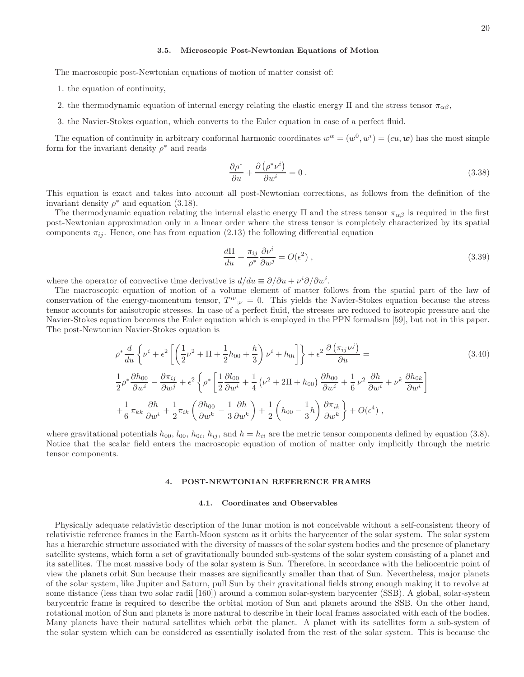### 3.5. Microscopic Post-Newtonian Equations of Motion

The macroscopic post-Newtonian equations of motion of matter consist of:

- 1. the equation of continuity,
- 2. the thermodynamic equation of internal energy relating the elastic energy Π and the stress tensor  $\pi_{\alpha\beta}$ ,
- 3. the Navier-Stokes equation, which converts to the Euler equation in case of a perfect fluid.

The equation of continuity in arbitrary conformal harmonic coordinates  $w^{\alpha} = (w^0, w^i) = (cu, \boldsymbol{w})$  has the most simple form for the invariant density  $\rho^*$  and reads

$$
\frac{\partial \rho^*}{\partial u} + \frac{\partial (\rho^* \nu^i)}{\partial w^i} = 0.
$$
\n(3.38)

This equation is exact and takes into account all post-Newtonian corrections, as follows from the definition of the invariant density  $\rho^*$  and equation (3.18).

The thermodynamic equation relating the internal elastic energy Π and the stress tensor  $\pi_{\alpha\beta}$  is required in the first post-Newtonian approximation only in a linear order where the stress tensor is completely characterized by its spatial components  $\pi_{ij}$ . Hence, one has from equation (2.13) the following differential equation

$$
\frac{d\Pi}{du} + \frac{\pi_{ij}}{\rho^*} \frac{\partial \nu^i}{\partial w^j} = O(\epsilon^2) , \qquad (3.39)
$$

where the operator of convective time derivative is  $d/du \equiv \partial/\partial u + \nu^{i}\partial/\partial w^{i}$ .

The macroscopic equation of motion of a volume element of matter follows from the spatial part of the law of conservation of the energy-momentum tensor,  $T^{\nu}{}_{;\nu} = 0$ . This yields the Navier-Stokes equation because the stress tensor accounts for anisotropic stresses. In case of a perfect fluid, the stresses are reduced to isotropic pressure and the Navier-Stokes equation becomes the Euler equation which is employed in the PPN formalism [59], but not in this paper. The post-Newtonian Navier-Stokes equation is

$$
\rho^* \frac{d}{du} \left\{ \nu^i + \epsilon^2 \left[ \left( \frac{1}{2} \nu^2 + \Pi + \frac{1}{2} h_{00} + \frac{h}{3} \right) \nu^i + h_{0i} \right] \right\} + \epsilon^2 \frac{\partial \left( \pi_{ij} \nu^j \right)}{\partial u} =
$$
\n
$$
\frac{1}{2} \rho^* \frac{\partial h_{00}}{\partial w^i} - \frac{\partial \pi_{ij}}{\partial w^j} + \epsilon^2 \left\{ \rho^* \left[ \frac{1}{2} \frac{\partial l_{00}}{\partial w^i} + \frac{1}{4} \left( \nu^2 + 2\Pi + h_{00} \right) \frac{\partial h_{00}}{\partial w^i} + \frac{1}{6} \nu^2 \frac{\partial h}{\partial w^i} + \nu^k \frac{\partial h_{0k}}{\partial w^i} \right] + \frac{1}{6} \pi_{kk} \frac{\partial h}{\partial w^i} + \frac{1}{2} \pi_{ik} \left( \frac{\partial h_{00}}{\partial w^k} - \frac{1}{3} \frac{\partial h}{\partial w^k} \right) + \frac{1}{2} \left( h_{00} - \frac{1}{3} h \right) \frac{\partial \pi_{ik}}{\partial w^k} + O(\epsilon^4) ,
$$
\n(3.40)

where gravitational potentials  $h_{00}$ ,  $l_{00}$ ,  $h_{0i}$ ,  $h_{ij}$ , and  $h = h_{ii}$  are the metric tensor components defined by equation (3.8). Notice that the scalar field enters the macroscopic equation of motion of matter only implicitly through the metric tensor components.

# 4. POST-NEWTONIAN REFERENCE FRAMES

# 4.1. Coordinates and Observables

Physically adequate relativistic description of the lunar motion is not conceivable without a self-consistent theory of relativistic reference frames in the Earth-Moon system as it orbits the barycenter of the solar system. The solar system has a hierarchic structure associated with the diversity of masses of the solar system bodies and the presence of planetary satellite systems, which form a set of gravitationally bounded sub-systems of the solar system consisting of a planet and its satellites. The most massive body of the solar system is Sun. Therefore, in accordance with the heliocentric point of view the planets orbit Sun because their masses are significantly smaller than that of Sun. Nevertheless, major planets of the solar system, like Jupiter and Saturn, pull Sun by their gravitational fields strong enough making it to revolve at some distance (less than two solar radii [160]) around a common solar-system barycenter (SSB). A global, solar-system barycentric frame is required to describe the orbital motion of Sun and planets around the SSB. On the other hand, rotational motion of Sun and planets is more natural to describe in their local frames associated with each of the bodies. Many planets have their natural satellites which orbit the planet. A planet with its satellites form a sub-system of the solar system which can be considered as essentially isolated from the rest of the solar system. This is because the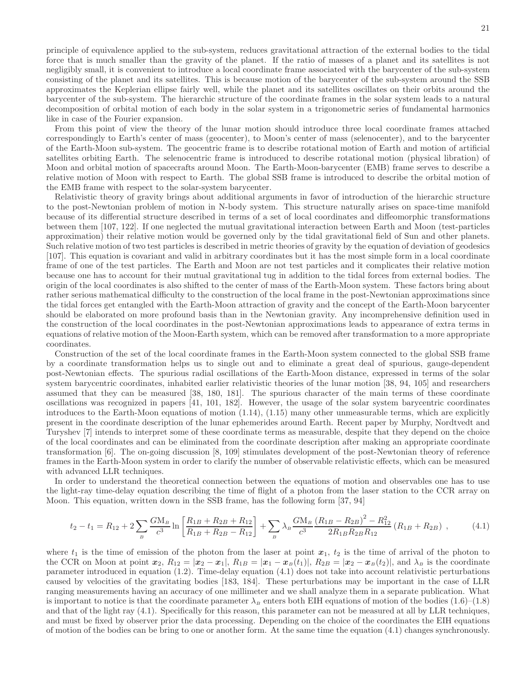principle of equivalence applied to the sub-system, reduces gravitational attraction of the external bodies to the tidal force that is much smaller than the gravity of the planet. If the ratio of masses of a planet and its satellites is not negligibly small, it is convenient to introduce a local coordinate frame associated with the barycenter of the sub-system consisting of the planet and its satellites. This is because motion of the barycenter of the sub-system around the SSB approximates the Keplerian ellipse fairly well, while the planet and its satellites oscillates on their orbits around the barycenter of the sub-system. The hierarchic structure of the coordinate frames in the solar system leads to a natural decomposition of orbital motion of each body in the solar system in a trigonometric series of fundamental harmonics like in case of the Fourier expansion.

From this point of view the theory of the lunar motion should introduce three local coordinate frames attached correspondingly to Earth's center of mass (geocenter), to Moon's center of mass (selenocenter), and to the barycenter of the Earth-Moon sub-system. The geocentric frame is to describe rotational motion of Earth and motion of artificial satellites orbiting Earth. The selenocentric frame is introduced to describe rotational motion (physical libration) of Moon and orbital motion of spacecrafts around Moon. The Earth-Moon-barycenter (EMB) frame serves to describe a relative motion of Moon with respect to Earth. The global SSB frame is introduced to describe the orbital motion of the EMB frame with respect to the solar-system barycenter.

Relativistic theory of gravity brings about additional arguments in favor of introduction of the hierarchic structure to the post-Newtonian problem of motion in N-body system. This structure naturally arises on space-time manifold because of its differential structure described in terms of a set of local coordinates and diffeomorphic transformations between them [107, 122]. If one neglected the mutual gravitational interaction between Earth and Moon (test-particles approximation) their relative motion would be governed only by the tidal gravitational field of Sun and other planets. Such relative motion of two test particles is described in metric theories of gravity by the equation of deviation of geodesics [107]. This equation is covariant and valid in arbitrary coordinates but it has the most simple form in a local coordinate frame of one of the test particles. The Earth and Moon are not test particles and it complicates their relative motion because one has to account for their mutual gravitational tug in addition to the tidal forces from external bodies. The origin of the local coordinates is also shifted to the center of mass of the Earth-Moon system. These factors bring about rather serious mathematical difficulty to the construction of the local frame in the post-Newtonian approximations since the tidal forces get entangled with the Earth-Moon attraction of gravity and the concept of the Earth-Moon barycenter should be elaborated on more profound basis than in the Newtonian gravity. Any incomprehensive definition used in the construction of the local coordinates in the post-Newtonian approximations leads to appearance of extra terms in equations of relative motion of the Moon-Earth system, which can be removed after transformation to a more appropriate coordinates.

Construction of the set of the local coordinate frames in the Earth-Moon system connected to the global SSB frame by a coordinate transformation helps us to single out and to eliminate a great deal of spurious, gauge-dependent post-Newtonian effects. The spurious radial oscillations of the Earth-Moon distance, expressed in terms of the solar system barycentric coordinates, inhabited earlier relativistic theories of the lunar motion [38, 94, 105] and researchers assumed that they can be measured [38, 180, 181]. The spurious character of the main terms of these coordinate oscillations was recognized in papers [41, 101, 182]. However, the usage of the solar system barycentric coordinates introduces to the Earth-Moon equations of motion (1.14), (1.15) many other unmeasurable terms, which are explicitly present in the coordinate description of the lunar ephemerides around Earth. Recent paper by Murphy, Nordtvedt and Turyshev [7] intends to interpret some of these coordinate terms as measurable, despite that they depend on the choice of the local coordinates and can be eliminated from the coordinate description after making an appropriate coordinate transformation [6]. The on-going discussion [8, 109] stimulates development of the post-Newtonian theory of reference frames in the Earth-Moon system in order to clarify the number of observable relativistic effects, which can be measured with advanced LLR techniques.

In order to understand the theoretical connection between the equations of motion and observables one has to use the light-ray time-delay equation describing the time of flight of a photon from the laser station to the CCR array on Moon. This equation, written down in the SSB frame, has the following form [37, 94]

$$
t_2 - t_1 = R_{12} + 2\sum_{B} \frac{GM_B}{c^3} \ln\left[\frac{R_{1B} + R_{2B} + R_{12}}{R_{1B} + R_{2B} - R_{12}}\right] + \sum_{B} \lambda_B \frac{GM_B}{c^3} \frac{(R_{1B} - R_{2B})^2 - R_{12}^2}{2R_{1B}R_{2B}R_{12}} (R_{1B} + R_{2B}) \tag{4.1}
$$

where  $t_1$  is the time of emission of the photon from the laser at point  $x_1$ ,  $t_2$  is the time of arrival of the photon to the CCR on Moon at point  $x_2$ ,  $R_{12} = |x_2 - x_1|$ ,  $R_{1B} = |x_1 - x_B(t_1)|$ ,  $R_{2B} = |x_2 - x_B(t_2)|$ , and  $\lambda_B$  is the coordinate parameter introduced in equation (1.2). Time-delay equation (4.1) does not take into account relativistic perturbations caused by velocities of the gravitating bodies [183, 184]. These perturbations may be important in the case of LLR ranging measurements having an accuracy of one millimeter and we shall analyze them in a separate publication. What is important to notice is that the coordinate parameter  $\lambda_B$  enters both EIH equations of motion of the bodies (1.6)–(1.8) and that of the light ray (4.1). Specifically for this reason, this parameter can not be measured at all by LLR techniques, and must be fixed by observer prior the data processing. Depending on the choice of the coordinates the EIH equations of motion of the bodies can be bring to one or another form. At the same time the equation (4.1) changes synchronously.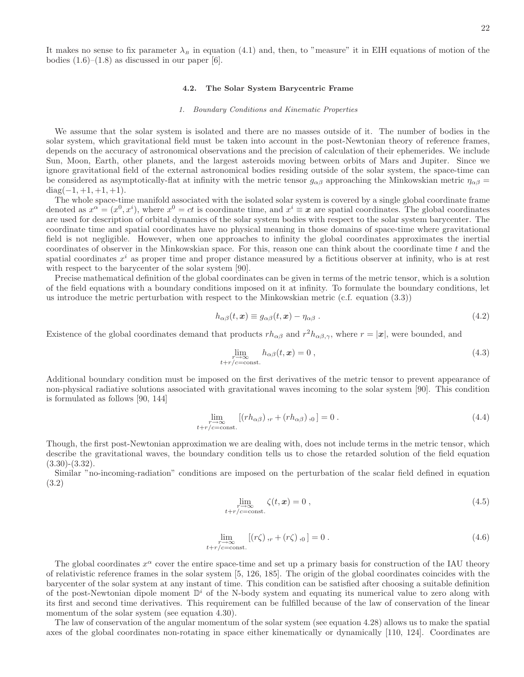It makes no sense to fix parameter  $\lambda_B$  in equation (4.1) and, then, to "measure" it in EIH equations of motion of the bodies  $(1.6)$ – $(1.8)$  as discussed in our paper [6].

# 4.2. The Solar System Barycentric Frame

### *1. Boundary Conditions and Kinematic Properties*

We assume that the solar system is isolated and there are no masses outside of it. The number of bodies in the solar system, which gravitational field must be taken into account in the post-Newtonian theory of reference frames, depends on the accuracy of astronomical observations and the precision of calculation of their ephemerides. We include Sun, Moon, Earth, other planets, and the largest asteroids moving between orbits of Mars and Jupiter. Since we ignore gravitational field of the external astronomical bodies residing outside of the solar system, the space-time can be considered as asymptotically-flat at infinity with the metric tensor  $g_{\alpha\beta}$  approaching the Minkowskian metric  $\eta_{\alpha\beta}$  $diag(-1, +1, +1, +1).$ 

The whole space-time manifold associated with the isolated solar system is covered by a single global coordinate frame denoted as  $x^{\alpha} = (x^0, x^i)$ , where  $x^0 = ct$  is coordinate time, and  $x^i \equiv x$  are spatial coordinates. The global coordinates are used for description of orbital dynamics of the solar system bodies with respect to the solar system barycenter. The coordinate time and spatial coordinates have no physical meaning in those domains of space-time where gravitational field is not negligible. However, when one approaches to infinity the global coordinates approximates the inertial coordinates of observer in the Minkowskian space. For this, reason one can think about the coordinate time  $t$  and the spatial coordinates  $x^i$  as proper time and proper distance measured by a fictitious observer at infinity, who is at rest with respect to the barycenter of the solar system [90].

Precise mathematical definition of the global coordinates can be given in terms of the metric tensor, which is a solution of the field equations with a boundary conditions imposed on it at infinity. To formulate the boundary conditions, let us introduce the metric perturbation with respect to the Minkowskian metric (c.f. equation (3.3))

$$
h_{\alpha\beta}(t,\mathbf{x}) \equiv g_{\alpha\beta}(t,\mathbf{x}) - \eta_{\alpha\beta} \,. \tag{4.2}
$$

Existence of the global coordinates demand that products  $rh_{\alpha\beta}$  and  $r^2h_{\alpha\beta,\gamma}$ , where  $r = |\mathbf{x}|$ , were bounded, and

$$
\lim_{\substack{r \to \infty \\ t + r/c = \text{const.}}} h_{\alpha\beta}(t, \mathbf{x}) = 0 ,
$$
\n(4.3)

Additional boundary condition must be imposed on the first derivatives of the metric tensor to prevent appearance of non-physical radiative solutions associated with gravitational waves incoming to the solar system [90]. This condition is formulated as follows [90, 144]

$$
\lim_{\substack{r \to \infty \\ t+r/c \equiv \text{const.}}} [(rh_{\alpha\beta})_{,r} + (rh_{\alpha\beta})_{,0}] = 0.
$$
\n(4.4)

Though, the first post-Newtonian approximation we are dealing with, does not include terms in the metric tensor, which describe the gravitational waves, the boundary condition tells us to chose the retarded solution of the field equation  $(3.30)-(3.32)$ .

Similar "no-incoming-radiation" conditions are imposed on the perturbation of the scalar field defined in equation (3.2)

$$
\lim_{\substack{r \to \infty \\ t+r/c=\text{const.}}} \zeta(t, \mathbf{x}) = 0 ,
$$
\n(4.5)

$$
\lim_{\substack{r \to \infty \\ t+r/c=\text{const.}}} [(r\zeta),_r + (r\zeta),_0] = 0.
$$
\n(4.6)

The global coordinates  $x^{\alpha}$  cover the entire space-time and set up a primary basis for construction of the IAU theory of relativistic reference frames in the solar system [5, 126, 185]. The origin of the global coordinates coincides with the barycenter of the solar system at any instant of time. This condition can be satisfied after choosing a suitable definition of the post-Newtonian dipole moment  $\mathbb{D}^i$  of the N-body system and equating its numerical value to zero along with its first and second time derivatives. This requirement can be fulfilled because of the law of conservation of the linear momentum of the solar system (see equation 4.30).

The law of conservation of the angular momentum of the solar system (see equation 4.28) allows us to make the spatial axes of the global coordinates non-rotating in space either kinematically or dynamically [110, 124]. Coordinates are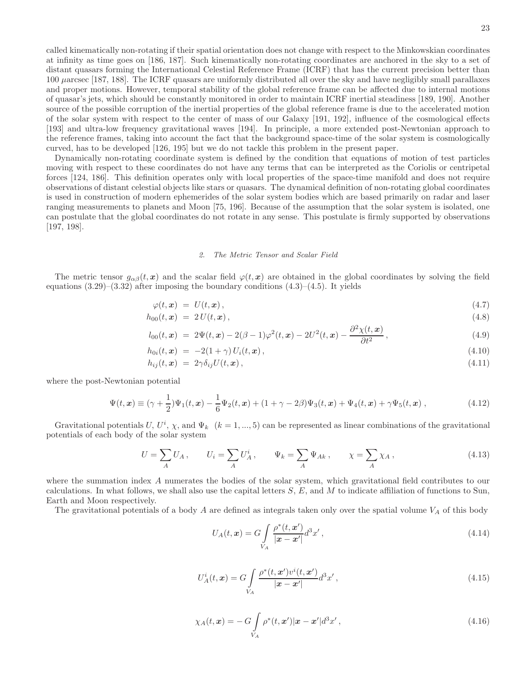called kinematically non-rotating if their spatial orientation does not change with respect to the Minkowskian coordinates at infinity as time goes on [186, 187]. Such kinematically non-rotating coordinates are anchored in the sky to a set of distant quasars forming the International Celestial Reference Frame (ICRF) that has the current precision better than 100 µarcsec [187, 188]. The ICRF quasars are uniformly distributed all over the sky and have negligibly small parallaxes and proper motions. However, temporal stability of the global reference frame can be affected due to internal motions of quasar's jets, which should be constantly monitored in order to maintain ICRF inertial steadiness [189, 190]. Another source of the possible corruption of the inertial properties of the global reference frame is due to the accelerated motion of the solar system with respect to the center of mass of our Galaxy [191, 192], influence of the cosmological effects [193] and ultra-low frequency gravitational waves [194]. In principle, a more extended post-Newtonian approach to the reference frames, taking into account the fact that the background space-time of the solar system is cosmologically curved, has to be developed [126, 195] but we do not tackle this problem in the present paper.

Dynamically non-rotating coordinate system is defined by the condition that equations of motion of test particles moving with respect to these coordinates do not have any terms that can be interpreted as the Coriolis or centripetal forces [124, 186]. This definition operates only with local properties of the space-time manifold and does not require observations of distant celestial objects like stars or quasars. The dynamical definition of non-rotating global coordinates is used in construction of modern ephemerides of the solar system bodies which are based primarily on radar and laser ranging measurements to planets and Moon [75, 196]. Because of the assumption that the solar system is isolated, one can postulate that the global coordinates do not rotate in any sense. This postulate is firmly supported by observations [197, 198].

# *2. The Metric Tensor and Scalar Field*

The metric tensor  $g_{\alpha\beta}(t, x)$  and the scalar field  $\varphi(t, x)$  are obtained in the global coordinates by solving the field equations  $(3.29)$ – $(3.32)$  after imposing the boundary conditions  $(4.3)$ – $(4.5)$ . It yields

$$
\varphi(t,\boldsymbol{x}) = U(t,\boldsymbol{x}),\tag{4.7}
$$

$$
h_{00}(t, \mathbf{x}) = 2U(t, \mathbf{x}), \tag{4.8}
$$

$$
l_{00}(t, \mathbf{x}) = 2\Psi(t, \mathbf{x}) - 2(\beta - 1)\varphi^{2}(t, \mathbf{x}) - 2U^{2}(t, \mathbf{x}) - \frac{\partial^{2}\chi(t, \mathbf{x})}{\partial t^{2}},
$$
\n(4.9)

$$
h_{0i}(t, \mathbf{x}) = -2(1+\gamma) U_i(t, \mathbf{x}), \qquad (4.10)
$$

$$
h_{ij}(t,\boldsymbol{x}) = 2\gamma \delta_{ij} U(t,\boldsymbol{x}), \qquad (4.1)
$$

where the post-Newtonian potential

$$
\Psi(t, \mathbf{x}) \equiv (\gamma + \frac{1}{2})\Psi_1(t, \mathbf{x}) - \frac{1}{6}\Psi_2(t, \mathbf{x}) + (1 + \gamma - 2\beta)\Psi_3(t, \mathbf{x}) + \Psi_4(t, \mathbf{x}) + \gamma\Psi_5(t, \mathbf{x}) ,
$$
\n(4.12)

Gravitational potentials U,  $U^i$ ,  $\chi$ , and  $\Psi_k$   $(k = 1, ..., 5)$  can be represented as linear combinations of the gravitational potentials of each body of the solar system

$$
U = \sum_{A} U_{A} , \qquad U_{i} = \sum_{A} U_{A}^{i} , \qquad \Psi_{k} = \sum_{A} \Psi_{Ak} , \qquad \chi = \sum_{A} \chi_{A} , \qquad (4.13)
$$

where the summation index A numerates the bodies of the solar system, which gravitational field contributes to our calculations. In what follows, we shall also use the capital letters  $S, E$ , and M to indicate affiliation of functions to Sun, Earth and Moon respectively.

The gravitational potentials of a body  $A$  are defined as integrals taken only over the spatial volume  $V_A$  of this body

$$
U_A(t, \mathbf{x}) = G \int\limits_{V_A} \frac{\rho^*(t, \mathbf{x}')}{|\mathbf{x} - \mathbf{x}'|} d^3 x', \qquad (4.14)
$$

$$
U_A^i(t, x) = G \int_{V_A} \frac{\rho^*(t, x')v^i(t, x')}{|x - x'|} d^3 x', \qquad (4.15)
$$

$$
\chi_A(t, \mathbf{x}) = -G \int\limits_{V_A} \rho^*(t, \mathbf{x}') |\mathbf{x} - \mathbf{x}'| d^3 x', \qquad (4.16)
$$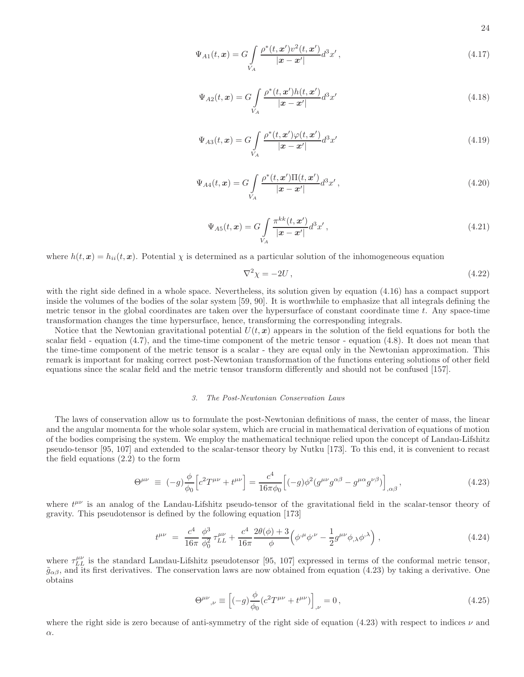24

$$
\Psi_{A1}(t,\mathbf{x}) = G \int_{V_A} \frac{\rho^*(t,\mathbf{x}')v^2(t,\mathbf{x}')}{|\mathbf{x}-\mathbf{x}'|} d^3 x', \qquad (4.17)
$$

$$
\Psi_{A2}(t,\boldsymbol{x}) = G \int\limits_{V_A} \frac{\rho^*(t,\boldsymbol{x}')h(t,\boldsymbol{x}')}{|\boldsymbol{x}-\boldsymbol{x}'|} d^3 x' \tag{4.18}
$$

$$
\Psi_{A3}(t,\mathbf{x}) = G \int\limits_{V_A} \frac{\rho^*(t,\mathbf{x}')\varphi(t,\mathbf{x}')}{|\mathbf{x}-\mathbf{x}'|} d^3 x' \tag{4.19}
$$

$$
\Psi_{A4}(t,\boldsymbol{x}) = G \int\limits_{V_A} \frac{\rho^*(t,\boldsymbol{x}')\Pi(t,\boldsymbol{x}')}{|\boldsymbol{x}-\boldsymbol{x}'|} d^3 x', \qquad (4.20)
$$

$$
\Psi_{A5}(t,\mathbf{x}) = G \int_{V_A} \frac{\pi^{kk}(t,\mathbf{x}')}{|\mathbf{x} - \mathbf{x}'|} d^3 x', \qquad (4.21)
$$

where  $h(t, x) = h_{ii}(t, x)$ . Potential  $\chi$  is determined as a particular solution of the inhomogeneous equation

$$
\nabla^2 \chi = -2U \,,\tag{4.22}
$$

with the right side defined in a whole space. Nevertheless, its solution given by equation  $(4.16)$  has a compact support inside the volumes of the bodies of the solar system [59, 90]. It is worthwhile to emphasize that all integrals defining the metric tensor in the global coordinates are taken over the hypersurface of constant coordinate time  $t$ . Any space-time transformation changes the time hypersurface, hence, transforming the corresponding integrals.

Notice that the Newtonian gravitational potential  $U(t, x)$  appears in the solution of the field equations for both the scalar field - equation  $(4.7)$ , and the time-time component of the metric tensor - equation  $(4.8)$ . It does not mean that the time-time component of the metric tensor is a scalar - they are equal only in the Newtonian approximation. This remark is important for making correct post-Newtonian transformation of the functions entering solutions of other field equations since the scalar field and the metric tensor transform differently and should not be confused [157].

### *3. The Post-Newtonian Conservation Laws*

The laws of conservation allow us to formulate the post-Newtonian definitions of mass, the center of mass, the linear and the angular momenta for the whole solar system, which are crucial in mathematical derivation of equations of motion of the bodies comprising the system. We employ the mathematical technique relied upon the concept of Landau-Lifshitz pseudo-tensor [95, 107] and extended to the scalar-tensor theory by Nutku [173]. To this end, it is convenient to recast the field equations (2.2) to the form

$$
\Theta^{\mu\nu} \equiv (-g)\frac{\phi}{\phi_0} \Big[ c^2 T^{\mu\nu} + t^{\mu\nu} \Big] = \frac{c^4}{16\pi\phi_0} \Big[ (-g)\phi^2 (g^{\mu\nu} g^{\alpha\beta} - g^{\mu\alpha} g^{\nu\beta}) \Big]_{,\alpha\beta},\tag{4.23}
$$

where  $t^{\mu\nu}$  is an analog of the Landau-Lifshitz pseudo-tensor of the gravitational field in the scalar-tensor theory of gravity. This pseudotensor is defined by the following equation [173]

$$
t^{\mu\nu} = \frac{c^4}{16\pi} \frac{\phi^3}{\phi_0^2} \tau_{LL}^{\mu\nu} + \frac{c^4}{16\pi} \frac{2\theta(\phi) + 3}{\phi} \left( \phi^{\mu} \phi^{\nu} - \frac{1}{2} g^{\mu\nu} \phi_{,\lambda} \phi^{\lambda} \right), \tag{4.24}
$$

where  $\tau_{LL}^{\mu\nu}$  is the standard Landau-Lifshitz pseudotensor [95, 107] expressed in terms of the conformal metric tensor,  $\tilde{g}_{\alpha\beta}$ , and its first derivatives. The conservation laws are now obtained from equation (4.23) by taking a derivative. One obtains

$$
\Theta^{\mu\nu}{}_{,\nu} \equiv \left[ (-g) \frac{\phi}{\phi_0} (c^2 T^{\mu\nu} + t^{\mu\nu}) \right]_{,\nu} = 0, \qquad (4.25)
$$

where the right side is zero because of anti-symmetry of the right side of equation (4.23) with respect to indices  $\nu$  and α.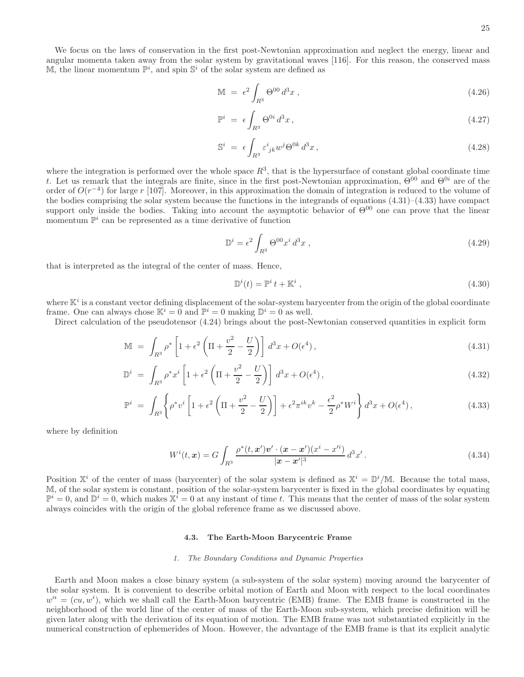We focus on the laws of conservation in the first post-Newtonian approximation and neglect the energy, linear and angular momenta taken away from the solar system by gravitational waves [116]. For this reason, the conserved mass M, the linear momentum  $\mathbb{P}^i$ , and spin  $\mathbb{S}^i$  of the solar system are defined as

$$
\mathbb{M} = \epsilon^2 \int_{R^3} \Theta^{00} d^3 x \,, \tag{4.26}
$$

$$
\mathbb{P}^i = \epsilon \int_{R^3} \Theta^{0i} d^3 x, \qquad (4.27)
$$

$$
\mathbb{S}^i = \epsilon \int_{R^3} \varepsilon^i_{\ jk} w^j \Theta^{0k} \, d^3x \,, \tag{4.28}
$$

where the integration is performed over the whole space  $R^3$ , that is the hypersurface of constant global coordinate time t. Let us remark that the integrals are finite, since in the first post-Newtonian approximation,  $\Theta^{00}$  and  $\Theta^{0i}$  are of the order of  $O(r^{-4})$  for large r [107]. Moreover, in this approximation the domain of integration is reduced to the volume of the bodies comprising the solar system because the functions in the integrands of equations  $(4.31)$ – $(4.33)$  have compact support only inside the bodies. Taking into account the asymptotic behavior of  $\Theta^{00}$  one can prove that the linear momentum  $\mathbb{P}^i$  can be represented as a time derivative of function

$$
\mathbb{D}^i = \epsilon^2 \int_{R^3} \Theta^{00} x^i d^3 x , \qquad (4.29)
$$

that is interpreted as the integral of the center of mass. Hence,

$$
\mathbb{D}^i(t) = \mathbb{P}^i \, t + \mathbb{K}^i \,,\tag{4.30}
$$

where  $K^i$  is a constant vector defining displacement of the solar-system barycenter from the origin of the global coordinate frame. One can always chose  $\mathbb{K}^i = \mathbb{0}$  and  $\mathbb{P}^i = \mathbb{0}$  making  $\mathbb{D}^i = \mathbb{0}$  as well.

Direct calculation of the pseudotensor (4.24) brings about the post-Newtonian conserved quantities in explicit form

$$
\mathbb{M} = \int_{R^3} \rho^* \left[ 1 + \epsilon^2 \left( \Pi + \frac{v^2}{2} - \frac{U}{2} \right) \right] d^3 x + O(\epsilon^4), \tag{4.31}
$$

$$
\mathbb{D}^{i} = \int_{R^{3}} \rho^{*} x^{i} \left[ 1 + \epsilon^{2} \left( \Pi + \frac{v^{2}}{2} - \frac{U}{2} \right) \right] d^{3} x + O(\epsilon^{4}), \qquad (4.32)
$$

$$
\mathbb{P}^{i} = \int_{R^{3}} \left\{ \rho^{*} v^{i} \left[ 1 + \epsilon^{2} \left( \Pi + \frac{v^{2}}{2} - \frac{U}{2} \right) \right] + \epsilon^{2} \pi^{ik} v^{k} - \frac{\epsilon^{2}}{2} \rho^{*} W^{i} \right\} d^{3} x + O(\epsilon^{4}), \tag{4.33}
$$

where by definition

$$
W^{i}(t, x) = G \int_{R^{3}} \frac{\rho^{*}(t, x') \nu' \cdot (x - x') (x^{i} - x'^{i})}{|x - x'|^{3}} d^{3}x'.
$$
 (4.34)

Position  $\mathbb{X}^i$  of the center of mass (barycenter) of the solar system is defined as  $\mathbb{X}^i = \mathbb{D}^i/\mathbb{M}$ . Because the total mass, M, of the solar system is constant, position of the solar-system barycenter is fixed in the global coordinates by equating  $\mathbb{P}^i = 0$ , and  $\mathbb{D}^i = 0$ , which makes  $\mathbb{X}^i = 0$  at any instant of time t. This means that the center of mass of the solar system always coincides with the origin of the global reference frame as we discussed above.

# 4.3. The Earth-Moon Barycentric Frame

# *1. The Boundary Conditions and Dynamic Properties*

Earth and Moon makes a close binary system (a sub-system of the solar system) moving around the barycenter of the solar system. It is convenient to describe orbital motion of Earth and Moon with respect to the local coordinates  $w^{\alpha} = (cu, w^{i}),$  which we shall call the Earth-Moon barycentric (EMB) frame. The EMB frame is constructed in the neighborhood of the world line of the center of mass of the Earth-Moon sub-system, which precise definition will be given later along with the derivation of its equation of motion. The EMB frame was not substantiated explicitly in the numerical construction of ephemerides of Moon. However, the advantage of the EMB frame is that its explicit analytic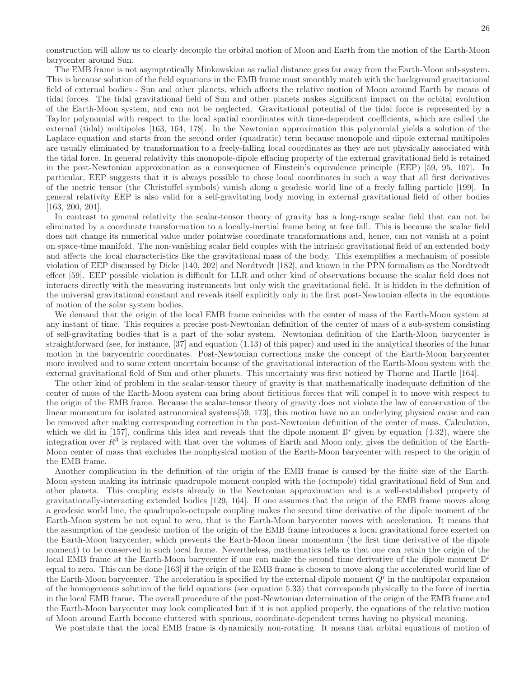construction will allow us to clearly decouple the orbital motion of Moon and Earth from the motion of the Earth-Moon barycenter around Sun.

The EMB frame is not asymptotically Minkowskian as radial distance goes far away from the Earth-Moon sub-system. This is because solution of the field equations in the EMB frame must smoothly match with the background gravitational field of external bodies - Sun and other planets, which affects the relative motion of Moon around Earth by means of tidal forces. The tidal gravitational field of Sun and other planets makes significant impact on the orbital evolution of the Earth-Moon system, and can not be neglected. Gravitational potential of the tidal force is represented by a Taylor polynomial with respect to the local spatial coordinates with time-dependent coefficients, which are called the external (tidal) multipoles [163, 164, 178]. In the Newtonian approximation this polynomial yields a solution of the Laplace equation and starts from the second order (quadratic) term because monopole and dipole external multipoles are usually eliminated by transformation to a freely-falling local coordinates as they are not physically associated with the tidal force. In general relativity this monopole-dipole effacing property of the external gravitational field is retained in the post-Newtonian approximation as a consequence of Einstein's equivalence principle (EEP) [59, 95, 107]. In particular, EEP suggests that it is always possible to chose local coordinates in such a way that all first derivatives of the metric tensor (the Christoffel symbols) vanish along a geodesic world line of a freely falling particle [199]. In general relativity EEP is also valid for a self-gravitating body moving in external gravitational field of other bodies [163, 200, 201].

In contrast to general relativity the scalar-tensor theory of gravity has a long-range scalar field that can not be eliminated by a coordinate transformation to a locally-inertial frame being at free fall. This is because the scalar field does not change its numerical value under pointwise coordinate transformations and, hence, can not vanish at a point on space-time manifold. The non-vanishing scalar field couples with the intrinsic gravitational field of an extended body and affects the local characteristics like the gravitational mass of the body. This exemplifies a mechanism of possible violation of EEP discussed by Dicke [140, 202] and Nordtvedt [182], and known in the PPN formalism as the Nordtvedt effect [59]. EEP possible violation is difficult for LLR and other kind of observations because the scalar field does not interacts directly with the measuring instruments but only with the gravitational field. It is hidden in the definition of the universal gravitational constant and reveals itself explicitly only in the first post-Newtonian effects in the equations of motion of the solar system bodies.

We demand that the origin of the local EMB frame coincides with the center of mass of the Earth-Moon system at any instant of time. This requires a precise post-Newtonian definition of the center of mass of a sub-system consisting of self-gravitating bodies that is a part of the solar system. Newtonian definition of the Earth-Moon barycenter is straightforward (see, for instance, [37] and equation (1.13) of this paper) and used in the analytical theories of the lunar motion in the barycentric coordinates. Post-Newtonian corrections make the concept of the Earth-Moon barycenter more involved and to some extent uncertain because of the gravitational interaction of the Earth-Moon system with the external gravitational field of Sun and other planets. This uncertainty was first noticed by Thorne and Hartle [164].

The other kind of problem in the scalar-tensor theory of gravity is that mathematically inadequate definition of the center of mass of the Earth-Moon system can bring about fictitious forces that will compel it to move with respect to the origin of the EMB frame. Because the scalar-tensor theory of gravity does not violate the law of conservation of the linear momentum for isolated astronomical systems[59, 173], this motion have no an underlying physical cause and can be removed after making corresponding correction in the post-Newtonian definition of the center of mass. Calculation, which we did in [157], confirms this idea and reveals that the dipole moment  $\mathbb{D}^i$  given by equation (4.32), where the integration over  $R^3$  is replaced with that over the volumes of Earth and Moon only, gives the definition of the Earth-Moon center of mass that excludes the nonphysical motion of the Earth-Moon barycenter with respect to the origin of the EMB frame.

Another complication in the definition of the origin of the EMB frame is caused by the finite size of the Earth-Moon system making its intrinsic quadrupole moment coupled with the (octupole) tidal gravitational field of Sun and other planets. This coupling exists already in the Newtonian approximation and is a well-established property of gravitationally-interacting extended bodies [129, 164]. If one assumes that the origin of the EMB frame moves along a geodesic world line, the quadrupole-octupole coupling makes the second time derivative of the dipole moment of the Earth-Moon system be not equal to zero, that is the Earth-Moon barycenter moves with acceleration. It means that the assumption of the geodesic motion of the origin of the EMB frame introduces a local gravitational force exerted on the Earth-Moon barycenter, which prevents the Earth-Moon linear momentum (the first time derivative of the dipole moment) to be conserved in such local frame. Nevertheless, mathematics tells us that one can retain the origin of the local EMB frame at the Earth-Moon barycenter if one can make the second time derivative of the dipole moment  $\mathbb{D}^i$ equal to zero. This can be done [163] if the origin of the EMB frame is chosen to move along the accelerated world line of the Earth-Moon barycenter. The acceleration is specified by the external dipole moment  $Q^i$  in the multipolar expansion of the homogeneous solution of the field equations (see equation 5.33) that corresponds physically to the force of inertia in the local EMB frame. The overall procedure of the post-Newtonian determination of the origin of the EMB frame and the Earth-Moon barycenter may look complicated but if it is not applied properly, the equations of the relative motion of Moon around Earth become cluttered with spurious, coordinate-dependent terms having no physical meaning.

We postulate that the local EMB frame is dynamically non-rotating. It means that orbital equations of motion of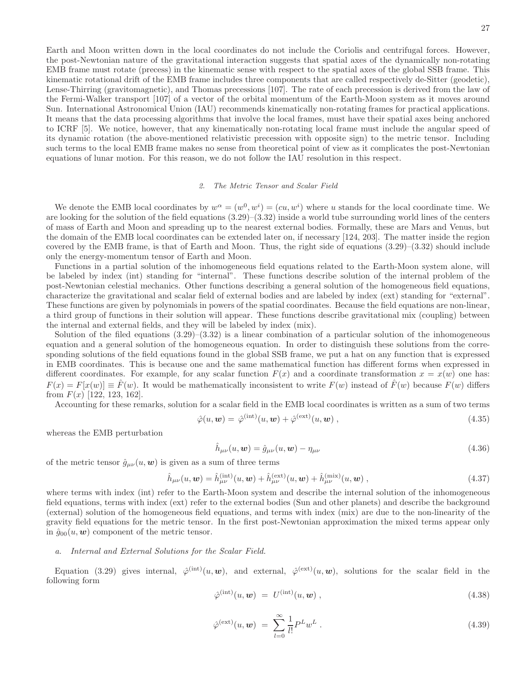Earth and Moon written down in the local coordinates do not include the Coriolis and centrifugal forces. However, the post-Newtonian nature of the gravitational interaction suggests that spatial axes of the dynamically non-rotating EMB frame must rotate (precess) in the kinematic sense with respect to the spatial axes of the global SSB frame. This kinematic rotational drift of the EMB frame includes three components that are called respectively de-Sitter (geodetic), Lense-Thirring (gravitomagnetic), and Thomas precessions [107]. The rate of each precession is derived from the law of the Fermi-Walker transport [107] of a vector of the orbital momentum of the Earth-Moon system as it moves around Sun. International Astronomical Union (IAU) recommends kinematically non-rotating frames for practical applications. It means that the data processing algorithms that involve the local frames, must have their spatial axes being anchored to ICRF [5]. We notice, however, that any kinematically non-rotating local frame must include the angular speed of its dynamic rotation (the above-mentioned relativistic precession with opposite sign) to the metric tensor. Including such terms to the local EMB frame makes no sense from theoretical point of view as it complicates the post-Newtonian equations of lunar motion. For this reason, we do not follow the IAU resolution in this respect.

### *2. The Metric Tensor and Scalar Field*

We denote the EMB local coordinates by  $w^{\alpha} = (w^0, w^i) = (cu, w^i)$  where u stands for the local coordinate time. We are looking for the solution of the field equations  $(3.29)$ – $(3.32)$  inside a world tube surrounding world lines of the centers of mass of Earth and Moon and spreading up to the nearest external bodies. Formally, these are Mars and Venus, but the domain of the EMB local coordinates can be extended later on, if necessary [124, 203]. The matter inside the region covered by the EMB frame, is that of Earth and Moon. Thus, the right side of equations (3.29)–(3.32) should include only the energy-momentum tensor of Earth and Moon.

Functions in a partial solution of the inhomogeneous field equations related to the Earth-Moon system alone, will be labeled by index (int) standing for "internal". These functions describe solution of the internal problem of the post-Newtonian celestial mechanics. Other functions describing a general solution of the homogeneous field equations, characterize the gravitational and scalar field of external bodies and are labeled by index (ext) standing for "external". These functions are given by polynomials in powers of the spatial coordinates. Because the field equations are non-linear, a third group of functions in their solution will appear. These functions describe gravitational mix (coupling) between the internal and external fields, and they will be labeled by index (mix).

Solution of the filed equations  $(3.29)$ – $(3.32)$  is a linear combination of a particular solution of the inhomogeneous equation and a general solution of the homogeneous equation. In order to distinguish these solutions from the corresponding solutions of the field equations found in the global SSB frame, we put a hat on any function that is expressed in EMB coordinates. This is because one and the same mathematical function has different forms when expressed in different coordinates. For example, for any scalar function  $F(x)$  and a coordinate transformation  $x = x(w)$  one has:  $F(x) = F[x(w)] \equiv \hat{F}(w)$ . It would be mathematically inconsistent to write  $F(w)$  instead of  $\hat{F}(w)$  because  $F(w)$  differs from  $F(x)$  [122, 123, 162].

Accounting for these remarks, solution for a scalar field in the EMB local coordinates is written as a sum of two terms

$$
\hat{\varphi}(u, \mathbf{w}) = \hat{\varphi}^{(\text{int})}(u, \mathbf{w}) + \hat{\varphi}^{(\text{ext})}(u, \mathbf{w}), \qquad (4.35)
$$

whereas the EMB perturbation

$$
\hat{h}_{\mu\nu}(u,\mathbf{w}) = \hat{g}_{\mu\nu}(u,\mathbf{w}) - \eta_{\mu\nu}
$$
\n(4.36)

of the metric tensor  $\hat{g}_{\mu\nu}(u, \boldsymbol{w})$  is given as a sum of three terms

$$
\hat{h}_{\mu\nu}(u,\mathbf{w}) = \hat{h}^{\text{(int)}}_{\mu\nu}(u,\mathbf{w}) + \hat{h}^{\text{(ext)}}_{\mu\nu}(u,\mathbf{w}) + \hat{h}^{\text{(mix)}}_{\mu\nu}(u,\mathbf{w})\,,\tag{4.37}
$$

where terms with index (int) refer to the Earth-Moon system and describe the internal solution of the inhomogeneous field equations, terms with index (ext) refer to the external bodies (Sun and other planets) and describe the background (external) solution of the homogeneous field equations, and terms with index (mix) are due to the non-linearity of the gravity field equations for the metric tensor. In the first post-Newtonian approximation the mixed terms appear only in  $\hat{g}_{00}(u, \boldsymbol{w})$  component of the metric tensor.

# a. Internal and External Solutions for the Scalar Field.

Equation (3.29) gives internal,  $\hat{\varphi}^{(int)}(u, w)$ , and external,  $\hat{\varphi}^{(ext)}(u, w)$ , solutions for the scalar field in the following form

$$
\hat{\varphi}^{(\text{int})}(u, \boldsymbol{w}) = U^{(\text{int})}(u, \boldsymbol{w}), \qquad (4.38)
$$

$$
\hat{\varphi}^{(\text{ext})}(u, \mathbf{w}) = \sum_{l=0}^{\infty} \frac{1}{l!} P^L w^L . \qquad (4.39)
$$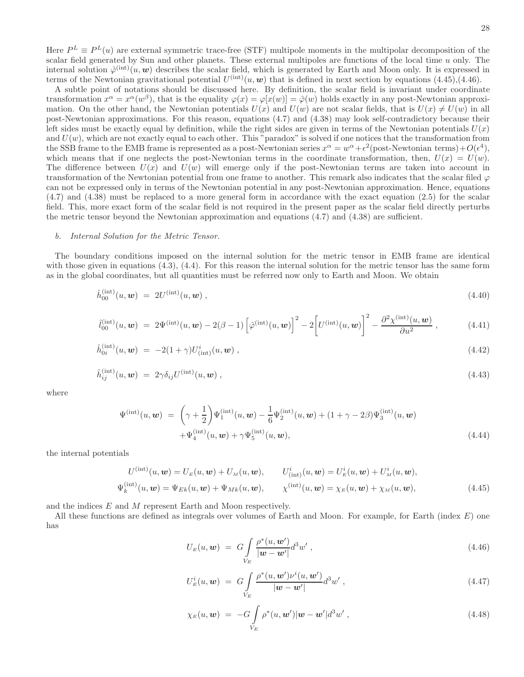Here  $P^L \equiv P^L(u)$  are external symmetric trace-free (STF) multipole moments in the multipolar decomposition of the scalar field generated by Sun and other planets. These external multipoles are functions of the local time  $u$  only. The internal solution  $\hat{\varphi}^{(int)}(u, w)$  describes the scalar field, which is generated by Earth and Moon only. It is expressed in terms of the Newtonian gravitational potential  $U^{(\text{int})}(u, w)$  that is defined in next section by equations (4.45),(4.46).

A subtle point of notations should be discussed here. By definition, the scalar field is invariant under coordinate transformation  $x^{\alpha} = x^{\alpha}(w^{\beta})$ , that is the equality  $\varphi(x) = \varphi(x(w)) = \varphi(w)$  holds exactly in any post-Newtonian approximation. On the other hand, the Newtonian potentials  $U(x)$  and  $U(w)$  are not scalar fields, that is  $U(x) \neq U(w)$  in all post-Newtonian approximations. For this reason, equations (4.7) and (4.38) may look self-contradictory because their left sides must be exactly equal by definition, while the right sides are given in terms of the Newtonian potentials  $U(x)$ and  $U(w)$ , which are not exactly equal to each other. This "paradox" is solved if one notices that the transformation from the SSB frame to the EMB frame is represented as a post-Newtonian series  $x^{\alpha} = w^{\alpha} + \epsilon^2$  (post-Newtonian terms) +  $O(\epsilon^4)$ , which means that if one neglects the post-Newtonian terms in the coordinate transformation, then,  $U(x) = U(w)$ . The difference between  $U(x)$  and  $U(w)$  will emerge only if the post-Newtonian terms are taken into account in transformation of the Newtonian potential from one frame to another. This remark also indicates that the scalar filed  $\varphi$ can not be expressed only in terms of the Newtonian potential in any post-Newtonian approximation. Hence, equations (4.7) and (4.38) must be replaced to a more general form in accordance with the exact equation (2.5) for the scalar field. This, more exact form of the scalar field is not required in the present paper as the scalar field directly perturbs the metric tensor beyond the Newtonian approximation and equations (4.7) and (4.38) are sufficient.

### b. Internal Solution for the Metric Tensor.

The boundary conditions imposed on the internal solution for the metric tensor in EMB frame are identical with those given in equations (4.3), (4.4). For this reason the internal solution for the metric tensor has the same form as in the global coordinates, but all quantities must be referred now only to Earth and Moon. We obtain

$$
\hat{h}_{00}^{(\text{int})}(u, \mathbf{w}) = 2U^{(\text{int})}(u, \mathbf{w}), \qquad (4.40)
$$

$$
\hat{l}_{00}^{(\text{int})}(u,\boldsymbol{w}) = 2\Psi^{(\text{int})}(u,\boldsymbol{w}) - 2(\beta - 1)\left[\hat{\varphi}^{(\text{int})}(u,\boldsymbol{w})\right]^2 - 2\left[U^{(\text{int})}(u,\boldsymbol{w})\right]^2 - \frac{\partial^2 \chi^{(\text{int})}(u,\boldsymbol{w})}{\partial u^2}, \quad (4.41)
$$

$$
\hat{h}_{0i}^{(\text{int})}(u, \mathbf{w}) = -2(1+\gamma)U_{(\text{int})}^{i}(u, \mathbf{w}), \qquad (4.42)
$$

$$
\hat{h}_{ij}^{(\text{int})}(u,\boldsymbol{w}) = 2\gamma \delta_{ij} U^{(\text{int})}(u,\boldsymbol{w}) , \qquad (4.43)
$$

where

$$
\Psi^{(\text{int})}(u, \mathbf{w}) = \left(\gamma + \frac{1}{2}\right) \Psi_1^{(\text{int})}(u, \mathbf{w}) - \frac{1}{6} \Psi_2^{(\text{int})}(u, \mathbf{w}) + (1 + \gamma - 2\beta) \Psi_3^{(\text{int})}(u, \mathbf{w}) \n+ \Psi_4^{(\text{int})}(u, \mathbf{w}) + \gamma \Psi_5^{(\text{int})}(u, \mathbf{w}),
$$
\n(4.44)

the internal potentials

$$
U^{(\text{int})}(u,\boldsymbol{w}) = U_E(u,\boldsymbol{w}) + U_M(u,\boldsymbol{w}), \qquad U^i_{(\text{int})}(u,\boldsymbol{w}) = U^i_E(u,\boldsymbol{w}) + U^i_M(u,\boldsymbol{w}),
$$
  

$$
\Psi_k^{(\text{int})}(u,\boldsymbol{w}) = \Psi_{Ek}(u,\boldsymbol{w}) + \Psi_{Mk}(u,\boldsymbol{w}), \qquad \chi^{(\text{int})}(u,\boldsymbol{w}) = \chi_E(u,\boldsymbol{w}) + \chi_M(u,\boldsymbol{w}),
$$
(4.45)

and the indices E and M represent Earth and Moon respectively.

All these functions are defined as integrals over volumes of Earth and Moon. For example, for Earth (index  $E$ ) one has

$$
U_E(u, \mathbf{w}) = G \int\limits_{V_E} \frac{\rho^*(u, \mathbf{w}^\prime)}{|\mathbf{w} - \mathbf{w}^\prime|} d^3 w^\prime , \qquad (4.46)
$$

$$
U_E^i(u, \mathbf{w}) = G \int_{V_E} \frac{\rho^*(u, \mathbf{w}')\nu^i(u, \mathbf{w}')}{|\mathbf{w} - \mathbf{w}'|} d^3w', \qquad (4.47)
$$

$$
\chi_E(u, \mathbf{w}) = -G \int\limits_{V_E} \rho^*(u, \mathbf{w}') |\mathbf{w} - \mathbf{w}'| d^3 w' , \qquad (4.48)
$$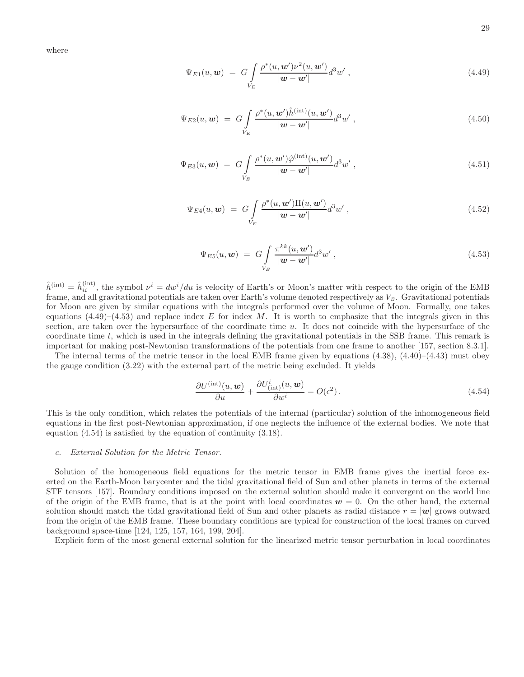where

$$
\Psi_{E1}(u,\mathbf{w}) = G \int\limits_{V_E} \frac{\rho^*(u,\mathbf{w}')\nu^2(u,\mathbf{w}')}{|\mathbf{w}-\mathbf{w}'|} d^3w', \qquad (4.49)
$$

$$
\Psi_{E2}(u,\mathbf{w}) = G \int\limits_{V_E} \frac{\rho^*(u,\mathbf{w}')\hat{h}^{(\mathrm{int})}(u,\mathbf{w}')}{|\mathbf{w}-\mathbf{w}'|} d^3w', \qquad (4.50)
$$

$$
\Psi_{E3}(u,\mathbf{w}) = G \int_{V_E} \frac{\rho^*(u,\mathbf{w}')\hat{\varphi}^{(\mathrm{int})}(u,\mathbf{w}')}{|\mathbf{w}-\mathbf{w}'|} d^3w', \qquad (4.51)
$$

$$
\Psi_{E4}(u, \mathbf{w}) = G \int_{V_E} \frac{\rho^*(u, \mathbf{w}') \Pi(u, \mathbf{w}')}{|\mathbf{w} - \mathbf{w}'|} d^3 w', \qquad (4.52)
$$

$$
\Psi_{E5}(u,\mathbf{w}) = G \int_{V_E} \frac{\pi^{kk}(u,\mathbf{w}^{\prime})}{|\mathbf{w}-\mathbf{w}^{\prime}|} d^3w^{\prime}, \qquad (4.53)
$$

 $\hat{h}^{(\text{int})} = \hat{h}^{(\text{int})}_{ii}$ , the symbol  $\nu^i = dw^i/du$  is velocity of Earth's or Moon's matter with respect to the origin of the EMB frame, and all gravitational potentials are taken over Earth's volume denoted respectively as  $V<sub>E</sub>$ . Gravitational potentials for Moon are given by similar equations with the integrals performed over the volume of Moon. Formally, one takes equations  $(4.49)$ – $(4.53)$  and replace index E for index M. It is worth to emphasize that the integrals given in this section, are taken over the hypersurface of the coordinate time u. It does not coincide with the hypersurface of the coordinate time t, which is used in the integrals defining the gravitational potentials in the SSB frame. This remark is important for making post-Newtonian transformations of the potentials from one frame to another [157, section 8.3.1].

The internal terms of the metric tensor in the local EMB frame given by equations  $(4.38)$ ,  $(4.40)$ – $(4.43)$  must obey the gauge condition (3.22) with the external part of the metric being excluded. It yields

$$
\frac{\partial U^{(\text{int})}(u,\mathbf{w})}{\partial u} + \frac{\partial U^{i}_{(\text{int})}(u,\mathbf{w})}{\partial w^{i}} = O(\epsilon^{2}).
$$
\n(4.54)

This is the only condition, which relates the potentials of the internal (particular) solution of the inhomogeneous field equations in the first post-Newtonian approximation, if one neglects the influence of the external bodies. We note that equation (4.54) is satisfied by the equation of continuity (3.18).

### c. External Solution for the Metric Tensor.

Solution of the homogeneous field equations for the metric tensor in EMB frame gives the inertial force exerted on the Earth-Moon barycenter and the tidal gravitational field of Sun and other planets in terms of the external STF tensors [157]. Boundary conditions imposed on the external solution should make it convergent on the world line of the origin of the EMB frame, that is at the point with local coordinates  $w = 0$ . On the other hand, the external solution should match the tidal gravitational field of Sun and other planets as radial distance  $r = |w|$  grows outward from the origin of the EMB frame. These boundary conditions are typical for construction of the local frames on curved background space-time [124, 125, 157, 164, 199, 204].

Explicit form of the most general external solution for the linearized metric tensor perturbation in local coordinates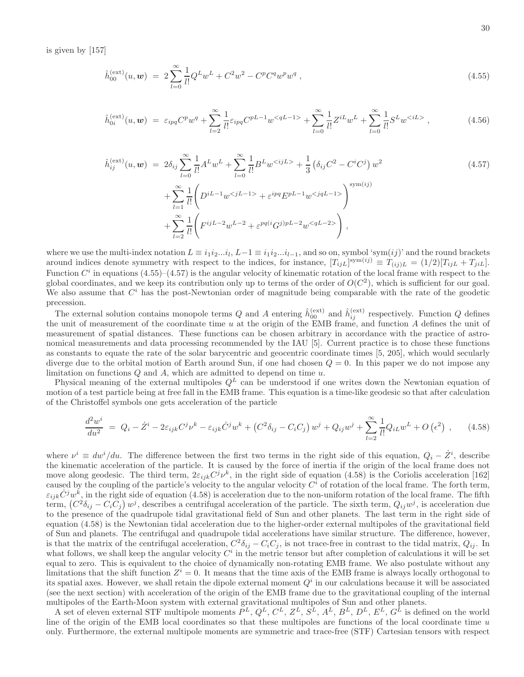is given by [157]

$$
\hat{h}_{00}^{(\text{ext})}(u, \mathbf{w}) = 2 \sum_{l=0}^{\infty} \frac{1}{l!} Q^L w^L + C^2 w^2 - C^p C^q w^p w^q , \qquad (4.55)
$$

$$
\hat{h}_{0i}^{(\text{ext})}(u,\mathbf{w}) = \varepsilon_{ipq} C^p w^q + \sum_{l=2}^{\infty} \frac{1}{l!} \varepsilon_{ipq} C^{pL-1} w^{} + \sum_{l=0}^{\infty} \frac{1}{l!} Z^{iL} w^L + \sum_{l=0}^{\infty} \frac{1}{l!} S^L w^{L},
$$
\n(4.56)

$$
\hat{h}_{ij}^{(\text{ext})}(u, \mathbf{w}) = 2\delta_{ij} \sum_{l=0}^{\infty} \frac{1}{l!} A^L w^L + \sum_{l=0}^{\infty} \frac{1}{l!} B^L w^{} + \frac{1}{3} \left( \delta_{ij} C^2 - C^i C^j \right) w^2 \n+ \sum_{l=1}^{\infty} \frac{1}{l!} \left( D^{iL-1} w^{} + \varepsilon^{ipq} E^{pL-1} w^{} \right)^{\text{sym}(ij)} \n+ \sum_{l=2}^{\infty} \frac{1}{l!} \left( F^{ijL-2} w^{L-2} + \varepsilon^{pq(i} G^{j)pL-2} w^{} \right),
$$
\n(4.57)

where we use the multi-index notation  $L \equiv i_1 i_2 ... i_l$ ,  $L-1 \equiv i_1 i_2 ... i_{l-1}$ , and so on, symbol 'sym $(ij)$ ' and the round brackets around indices denote symmetry with respect to the indices, for instance,  $[T_{ijL}]^{sym(ij)} \equiv T_{(ij)L} = (1/2)[T_{ijL} + T_{jiL}]$ . Function  $C^i$  in equations (4.55)–(4.57) is the angular velocity of kinematic rotation of the local frame with respect to the global coordinates, and we keep its contribution only up to terms of the order of  $O(C^2)$ , which is sufficient for our goal. We also assume that  $C<sup>i</sup>$  has the post-Newtonian order of magnitude being comparable with the rate of the geodetic precession.

The external solution contains monopole terms Q and A entering  $\hat{h}_{00}^{(ext)}$  and  $\hat{h}_{ij}^{(ext)}$  respectively. Function Q defines the unit of measurement of the coordinate time u at the origin of the EMB frame, and function  $A$  defines the unit of measurement of spatial distances. These functions can be chosen arbitrary in accordance with the practice of astronomical measurements and data processing recommended by the IAU [5]. Current practice is to chose these functions as constants to equate the rate of the solar barycentric and geocentric coordinate times [5, 205], which would secularly diverge due to the orbital motion of Earth around Sun, if one had chosen  $Q = 0$ . In this paper we do not impose any limitation on functions  $Q$  and  $A$ , which are admitted to depend on time  $u$ .

Physical meaning of the external multipoles  $Q<sup>L</sup>$  can be understood if one writes down the Newtonian equation of motion of a test particle being at free fall in the EMB frame. This equation is a time-like geodesic so that after calculation of the Christoffel symbols one gets acceleration of the particle

$$
\frac{d^2w^i}{du^2} = Q_i - \dot{Z}^i - 2\varepsilon_{ijk}C^j\nu^k - \varepsilon_{ijk}\dot{C}^jw^k + \left(C^2\delta_{ij} - C_iC_j\right)w^j + Q_{ij}w^j + \sum_{l=2}^{\infty}\frac{1}{l!}Q_{iL}w^L + O\left(\epsilon^2\right) ,\qquad(4.58)
$$

where  $\nu^i \equiv dw^i/du$ . The difference between the first two terms in the right side of this equation,  $Q_i - \dot{Z}^i$ , describe the kinematic acceleration of the particle. It is caused by the force of inertia if the origin of the local frame does not move along geodesic. The third term,  $2\varepsilon_{ijk}C^j\nu^k$ , in the right side of equation (4.58) is the Coriolis acceleration [162] caused by the coupling of the particle's velocity to the angular velocity  $C^i$  of rotation of the local frame. The forth term,  $\varepsilon_{ijk}\dot{C}^j w^k$ , in the right side of equation (4.58) is acceleration due to the non-uniform rotation of the local frame. The fifth term,  $(C^2 \delta_{ij} - C_i C_j) w^j$ , describes a centrifugal acceleration of the particle. The sixth term,  $Q_{ij} w^j$ , is acceleration due to the presence of the quadrupole tidal gravitational field of Sun and other planets. The last term in the right side of equation (4.58) is the Newtonian tidal acceleration due to the higher-order external multipoles of the gravitational field of Sun and planets. The centrifugal and quadrupole tidal accelerations have similar structure. The difference, however, is that the matrix of the centrifugal acceleration,  $C^2 \delta_{ij} - C_i C_j$ , is not trace-free in contrast to the tidal matrix,  $Q_{ij}$ . In what follows, we shall keep the angular velocity  $C^i$  in the metric tensor but after completion of calculations it will be set equal to zero. This is equivalent to the choice of dynamically non-rotating EMB frame. We also postulate without any limitations that the shift function  $Z^i = 0$ . It means that the time axis of the EMB frame is always locally orthogonal to its spatial axes. However, we shall retain the dipole external moment  $Q^i$  in our calculations because it will be associated (see the next section) with acceleration of the origin of the EMB frame due to the gravitational coupling of the internal multipoles of the Earth-Moon system with external gravitational multipoles of Sun and other planets.

A set of eleven external STF multipole moments  $P^L$ ,  $Q^L$ ,  $C^L$ ,  $Z^L$ ,  $S^L$ ,  $A^L$ ,  $B^L$ ,  $D^L$ ,  $E^L$ ,  $G^L$  is defined on the world line of the origin of the EMB local coordinates so that these multipoles are functions of the local coordinate time  $u$ only. Furthermore, the external multipole moments are symmetric and trace-free (STF) Cartesian tensors with respect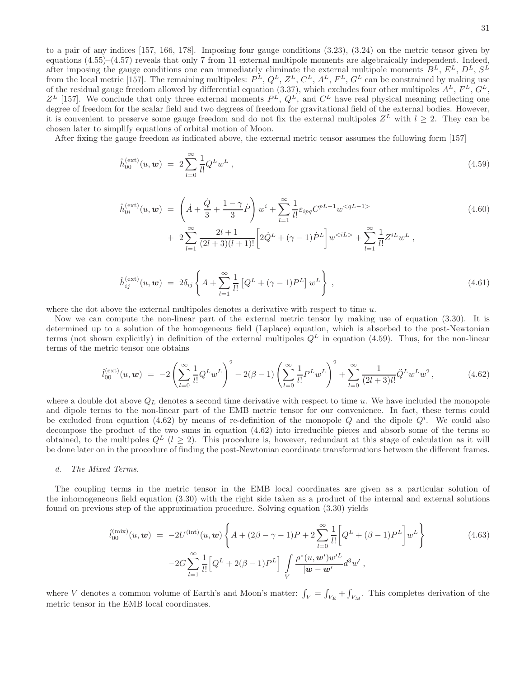to a pair of any indices [157, 166, 178]. Imposing four gauge conditions (3.23), (3.24) on the metric tensor given by equations (4.55)–(4.57) reveals that only 7 from 11 external multipole moments are algebraically independent. Indeed, after imposing the gauge conditions one can immediately eliminate the external multipole moments  $B^L$ ,  $E^L$ ,  $D^L$ ,  $S^L$ from the local metric [157]. The remaining multipoles:  $P^L$ ,  $Q^L$ ,  $Z^L$ ,  $C^L$ ,  $A^L$ ,  $F^L$ ,  $G^L$  can be constrained by making use of the residual gauge freedom allowed by differential equation (3.37), which excludes four other multipoles  $A^L$ ,  $F^L$ ,  $G^L$ ,  $Z^L$  [157]. We conclude that only three external moments  $P^L$ ,  $Q^L$ , and  $C^L$  have real physical meaning reflecting one degree of freedom for the scalar field and two degrees of freedom for gravitational field of the external bodies. However, it is convenient to preserve some gauge freedom and do not fix the external multipoles  $Z^L$  with  $l \geq 2$ . They can be chosen later to simplify equations of orbital motion of Moon.

After fixing the gauge freedom as indicated above, the external metric tensor assumes the following form [157]

$$
\hat{h}_{00}^{(\text{ext})}(u, \mathbf{w}) = 2 \sum_{l=0}^{\infty} \frac{1}{l!} Q^L w^L , \qquad (4.59)
$$

$$
\hat{h}_{0i}^{(\text{ext})}(u, \mathbf{w}) = \left(\dot{A} + \frac{\dot{Q}}{3} + \frac{1 - \gamma}{3}\dot{P}\right)w^{i} + \sum_{l=1}^{\infty} \frac{1}{l!} \varepsilon_{ipq} C^{pL-1} w^{\n(4.60)
$$

$$
\hat{h}_{ij}^{(\text{ext})}(u, \mathbf{w}) = 2\delta_{ij} \left\{ A + \sum_{l=1}^{\infty} \frac{1}{l!} \left[ Q^L + (\gamma - 1)P^L \right] w^L \right\},\tag{4.61}
$$

where the dot above the external multipoles denotes a derivative with respect to time  $u$ .

Now we can compute the non-linear part of the external metric tensor by making use of equation (3.30). It is determined up to a solution of the homogeneous field (Laplace) equation, which is absorbed to the post-Newtonian terms (not shown explicitly) in definition of the external multipoles  $Q^L$  in equation (4.59). Thus, for the non-linear terms of the metric tensor one obtains

$$
\hat{l}_{00}^{(\text{ext})}(u, \mathbf{w}) = -2\left(\sum_{l=0}^{\infty} \frac{1}{l!} Q^L w^L\right)^2 - 2(\beta - 1)\left(\sum_{l=0}^{\infty} \frac{1}{l!} P^L w^L\right)^2 + \sum_{l=0}^{\infty} \frac{1}{(2l+3)l!} \ddot{Q}^L w^L w^2,
$$
\n(4.62)

where a double dot above  $Q_L$  denotes a second time derivative with respect to time u. We have included the monopole and dipole terms to the non-linear part of the EMB metric tensor for our convenience. In fact, these terms could be excluded from equation (4.62) by means of re-definition of the monopole Q and the dipole  $Q<sup>i</sup>$ . We could also decompose the product of the two sums in equation (4.62) into irreducible pieces and absorb some of the terms so obtained, to the multipoles  $Q^L$  ( $l \geq 2$ ). This procedure is, however, redundant at this stage of calculation as it will be done later on in the procedure of finding the post-Newtonian coordinate transformations between the different frames.

## d. The Mixed Terms.

The coupling terms in the metric tensor in the EMB local coordinates are given as a particular solution of the inhomogeneous field equation (3.30) with the right side taken as a product of the internal and external solutions found on previous step of the approximation procedure. Solving equation (3.30) yields

$$
\hat{l}_{00}^{(\text{mix})}(u, \mathbf{w}) = -2U^{(\text{int})}(u, \mathbf{w}) \left\{ A + (2\beta - \gamma - 1)P + 2 \sum_{l=0}^{\infty} \frac{1}{l!} \left[ Q^{L} + (\beta - 1)P^{L} \right] w^{L} \right\} \n-2G \sum_{l=1}^{\infty} \frac{1}{l!} \left[ Q^{L} + 2(\beta - 1)P^{L} \right] \int_{V} \frac{\rho^{*}(u, \mathbf{w}') w'^{L}}{|w - \mathbf{w}'|} d^{3}w',
$$
\n(4.63)

where V denotes a common volume of Earth's and Moon's matter:  $\int_V = \int_{V_E} + \int_{V_M}$ . This completes derivation of the metric tensor in the EMB local coordinates.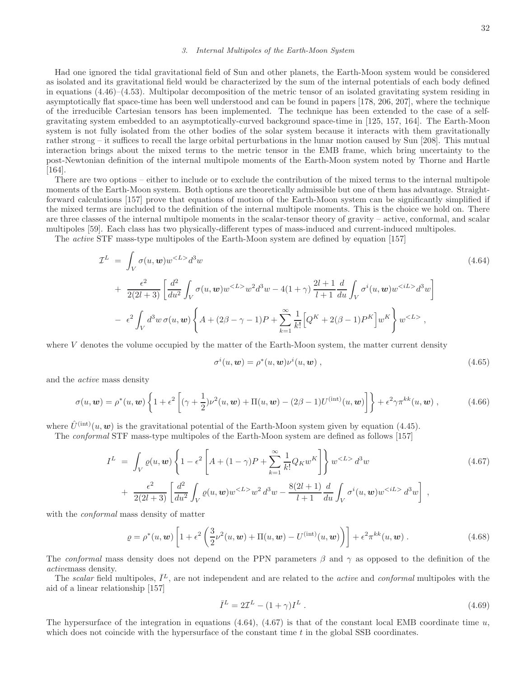### *3. Internal Multipoles of the Earth-Moon System*

Had one ignored the tidal gravitational field of Sun and other planets, the Earth-Moon system would be considered as isolated and its gravitational field would be characterized by the sum of the internal potentials of each body defined in equations (4.46)–(4.53). Multipolar decomposition of the metric tensor of an isolated gravitating system residing in asymptotically flat space-time has been well understood and can be found in papers [178, 206, 207], where the technique of the irreducible Cartesian tensors has been implemented. The technique has been extended to the case of a selfgravitating system embedded to an asymptotically-curved background space-time in [125, 157, 164]. The Earth-Moon system is not fully isolated from the other bodies of the solar system because it interacts with them gravitationally rather strong – it suffices to recall the large orbital perturbations in the lunar motion caused by Sun [208]. This mutual interaction brings about the mixed terms to the metric tensor in the EMB frame, which bring uncertainty to the post-Newtonian definition of the internal multipole moments of the Earth-Moon system noted by Thorne and Hartle [164].

There are two options – either to include or to exclude the contribution of the mixed terms to the internal multipole moments of the Earth-Moon system. Both options are theoretically admissible but one of them has advantage. Straightforward calculations [157] prove that equations of motion of the Earth-Moon system can be significantly simplified if the mixed terms are included to the definition of the internal multipole moments. This is the choice we hold on. There are three classes of the internal multipole moments in the scalar-tensor theory of gravity – active, conformal, and scalar multipoles [59]. Each class has two physically-different types of mass-induced and current-induced multipoles.

The active STF mass-type multipoles of the Earth-Moon system are defined by equation [157]

$$
\mathcal{I}^{L} = \int_{V} \sigma(u, \mathbf{w}) w^{} d^{3}w
$$
\n
$$
+ \frac{\epsilon^{2}}{2(2l+3)} \left[ \frac{d^{2}}{du^{2}} \int_{V} \sigma(u, \mathbf{w}) w^{} w^{2} d^{3}w - 4(1+\gamma) \frac{2l+1}{l+1} \frac{d}{du} \int_{V} \sigma^{i}(u, \mathbf{w}) w^{L>} d^{3}w \right]
$$
\n
$$
- \epsilon^{2} \int_{V} d^{3}w \,\sigma(u, \mathbf{w}) \left\{ A + (2\beta - \gamma - 1)P + \sum_{k=1}^{\infty} \frac{1}{k!} \left[ Q^{K} + 2(\beta - 1)P^{K} \right] w^{K} \right\} w^{},
$$
\n(4.64)

where  $V$  denotes the volume occupied by the matter of the Earth-Moon system, the matter current density

$$
\sigma^{i}(u, \mathbf{w}) = \rho^{*}(u, \mathbf{w})\nu^{i}(u, \mathbf{w}), \qquad (4.65)
$$

and the active mass density

$$
\sigma(u,\mathbf{w}) = \rho^*(u,\mathbf{w}) \left\{ 1 + \epsilon^2 \left[ (\gamma + \frac{1}{2})\nu^2(u,\mathbf{w}) + \Pi(u,\mathbf{w}) - (2\beta - 1)U^{(\mathrm{int})}(u,\mathbf{w}) \right] \right\} + \epsilon^2 \gamma \pi^{kk}(u,\mathbf{w}) , \tag{4.66}
$$

where  $\hat{U}^{(\text{int})}(u, \boldsymbol{w})$  is the gravitational potential of the Earth-Moon system given by equation (4.45).

The conformal STF mass-type multipoles of the Earth-Moon system are defined as follows [157]

$$
I^{L} = \int_{V} \varrho(u, \mathbf{w}) \left\{ 1 - \epsilon^{2} \left[ A + (1 - \gamma)P + \sum_{k=1}^{\infty} \frac{1}{k!} Q_{K} w^{K} \right] \right\} w^{} d^{3}w + \frac{\epsilon^{2}}{2(2l+3)} \left[ \frac{d^{2}}{du^{2}} \int_{V} \varrho(u, \mathbf{w}) w^{} w^{2} d^{3}w - \frac{8(2l+1)}{l+1} \frac{d}{du} \int_{V} \sigma^{i}(u, \mathbf{w}) w^{L>} d^{3}w \right],
$$
\n(4.67)

with the *conformal* mass density of matter

$$
\varrho = \rho^*(u, \mathbf{w}) \left[ 1 + \epsilon^2 \left( \frac{3}{2} \nu^2(u, \mathbf{w}) + \Pi(u, \mathbf{w}) - U^{(\text{int})}(u, \mathbf{w}) \right) \right] + \epsilon^2 \pi^{kk}(u, \mathbf{w}) . \tag{4.68}
$$

The conformal mass density does not depend on the PPN parameters  $\beta$  and  $\gamma$  as opposed to the definition of the activemass density.

The scalar field multipoles,  $\bar{I}^L$ , are not independent and are related to the active and conformal multipoles with the aid of a linear relationship [157]

$$
\bar{I}^L = 2\mathcal{I}^L - (1+\gamma)I^L \tag{4.69}
$$

The hypersurface of the integration in equations  $(4.64)$ ,  $(4.67)$  is that of the constant local EMB coordinate time u, which does not coincide with the hypersurface of the constant time  $t$  in the global SSB coordinates.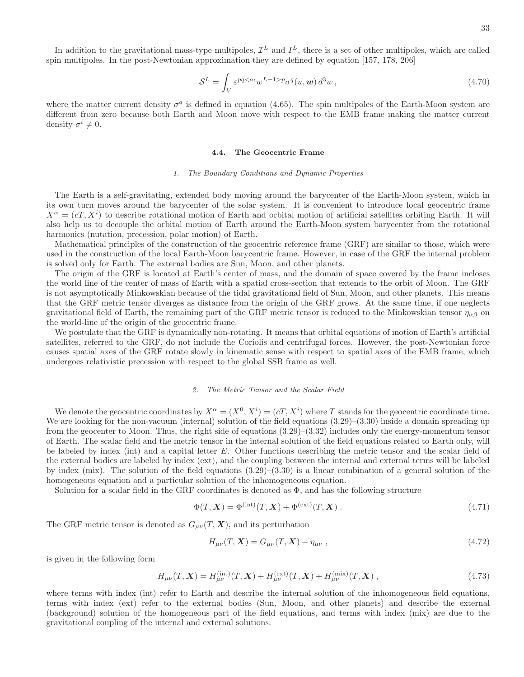In addition to the gravitational mass-type multipoles,  $\mathcal{I}^L$  and  $I^L$ , there is a set of other multipoles, which are called spin multipoles. In the post-Newtonian approximation they are defined by equation [157, 178, 206]

$$
S^{L} = \int_{V} \varepsilon^{pq < a_{l}} w^{L-1 > p} \sigma^{q}(u, \mathbf{w}) d^{3}w \,, \tag{4.70}
$$

where the matter current density  $\sigma^q$  is defined in equation (4.65). The spin multipoles of the Earth-Moon system are different from zero because both Earth and Moon move with respect to the EMB frame making the matter current density  $\sigma^i \neq 0$ .

### 4.4. The Geocentric Frame

# *1. The Boundary Conditions and Dynamic Properties*

The Earth is a self-gravitating, extended body moving around the barycenter of the Earth-Moon system, which in its own turn moves around the barycenter of the solar system. It is convenient to introduce local geocentric frame  $X^{\alpha} = (cT, X^{i})$  to describe rotational motion of Earth and orbital motion of artificial satellites orbiting Earth. It will also help us to decouple the orbital motion of Earth around the Earth-Moon system barycenter from the rotational harmonics (nutation, precession, polar motion) of Earth.

Mathematical principles of the construction of the geocentric reference frame (GRF) are similar to those, which were used in the construction of the local Earth-Moon barycentric frame. However, in case of the GRF the internal problem is solved only for Earth. The external bodies are Sun, Moon, and other planets.

The origin of the GRF is located at Earth's center of mass, and the domain of space covered by the frame incloses the world line of the center of mass of Earth with a spatial cross-section that extends to the orbit of Moon. The GRF is not asymptotically Minkowskian because of the tidal gravitational field of Sun, Moon, and other planets. This means that the GRF metric tensor diverges as distance from the origin of the GRF grows. At the same time, if one neglects gravitational field of Earth, the remaining part of the GRF metric tensor is reduced to the Minkowskian tensor  $\eta_{\alpha\beta}$  on the world-line of the origin of the geocentric frame.

We postulate that the GRF is dynamically non-rotating. It means that orbital equations of motion of Earth's artificial satellites, referred to the GRF, do not include the Coriolis and centrifugal forces. However, the post-Newtonian force causes spatial axes of the GRF rotate slowly in kinematic sense with respect to spatial axes of the EMB frame, which undergoes relativistic precession with respect to the global SSB frame as well.

# *2. The Metric Tensor and the Scalar Field*

We denote the geocentric coordinates by  $X^{\alpha} = (X^0, X^i) = (cT, X^i)$  where T stands for the geocentric coordinate time. We are looking for the non-vacuum (internal) solution of the field equations  $(3.29)$ – $(3.30)$  inside a domain spreading up from the geocenter to Moon. Thus, the right side of equations (3.29)–(3.32) includes only the energy-momentum tensor of Earth. The scalar field and the metric tensor in the internal solution of the field equations related to Earth only, will be labeled by index (int) and a capital letter E. Other functions describing the metric tensor and the scalar field of the external bodies are labeled by index (ext), and the coupling between the internal and external terms will be labeled by index (mix). The solution of the field equations  $(3.29)$ – $(3.30)$  is a linear combination of a general solution of the homogeneous equation and a particular solution of the inhomogeneous equation.

Solution for a scalar field in the GRF coordinates is denoted as  $\Phi$ , and has the following structure

$$
\Phi(T, \mathbf{X}) = \Phi^{(\text{int})}(T, \mathbf{X}) + \Phi^{(\text{ext})}(T, \mathbf{X}). \tag{4.71}
$$

The GRF metric tensor is denoted as  $G_{\mu\nu}(T, X)$ , and its perturbation

$$
H_{\mu\nu}(T, \mathbf{X}) = G_{\mu\nu}(T, \mathbf{X}) - \eta_{\mu\nu} , \qquad (4.72)
$$

is given in the following form

$$
H_{\mu\nu}(T, \mathbf{X}) = H_{\mu\nu}^{(\text{int})}(T, \mathbf{X}) + H_{\mu\nu}^{(\text{ext})}(T, \mathbf{X}) + H_{\mu\nu}^{(\text{mix})}(T, \mathbf{X}), \qquad (4.73)
$$

where terms with index (int) refer to Earth and describe the internal solution of the inhomogeneous field equations, terms with index (ext) refer to the external bodies (Sun, Moon, and other planets) and describe the external (background) solution of the homogeneous part of the field equations, and terms with index (mix) are due to the gravitational coupling of the internal and external solutions.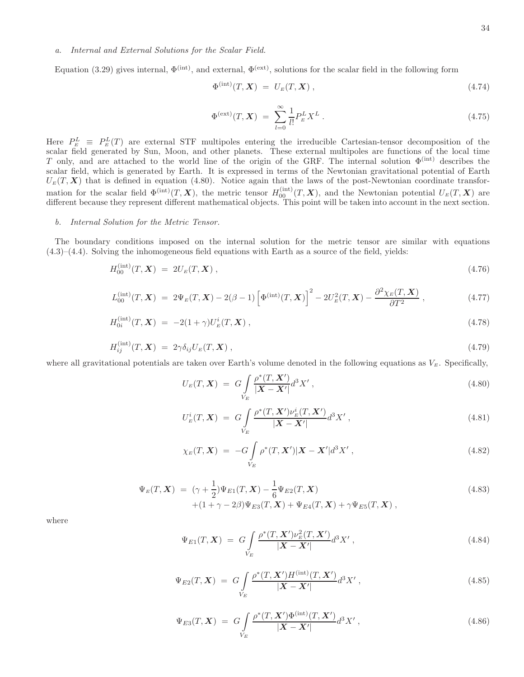# a. Internal and External Solutions for the Scalar Field.

Equation (3.29) gives internal,  $\Phi^{(int)}$ , and external,  $\Phi^{(ext)}$ , solutions for the scalar field in the following form

$$
\Phi^{(\text{int})}(T,\boldsymbol{X}) = U_E(T,\boldsymbol{X}), \qquad (4.74)
$$

$$
\Phi^{(\text{ext})}(T, \mathbf{X}) = \sum_{l=0}^{\infty} \frac{1}{l!} P_E^L X^L.
$$
\n(4.75)

Here  $P_E^L \equiv P_E^L(T)$  are external STF multipoles entering the irreducible Cartesian-tensor decomposition of the scalar field generated by Sun, Moon, and other planets. These external multipoles are functions of the local time T only, and are attached to the world line of the origin of the GRF. The internal solution  $\Phi^{(int)}$  describes the scalar field, which is generated by Earth. It is expressed in terms of the Newtonian gravitational potential of Earth  $U_E(T, X)$  that is defined in equation (4.80). Notice again that the laws of the post-Newtonian coordinate transformation for the scalar field  $\Phi^{(\text{int})}(T, X)$ , the metric tensor  $H_{00}^{(\text{int})}(T, X)$ , and the Newtonian potential  $U_E(T, X)$  are different because they represent different mathematical objects. This point will be taken into account in the next section.

# b. Internal Solution for the Metric Tensor.

 $\lambda$ 

The boundary conditions imposed on the internal solution for the metric tensor are similar with equations (4.3)–(4.4). Solving the inhomogeneous field equations with Earth as a source of the field, yields:

$$
H_{00}^{(\rm int)}(T,\mathbf{X}) = 2U_E(T,\mathbf{X}), \qquad (4.76)
$$

$$
L_{00}^{(\text{int})}(T,\boldsymbol{X}) = 2\Psi_E(T,\boldsymbol{X}) - 2(\beta - 1)\left[\Phi^{(\text{int})}(T,\boldsymbol{X})\right]^2 - 2U_E^2(T,\boldsymbol{X}) - \frac{\partial^2 \chi_E(T,\boldsymbol{X})}{\partial T^2},
$$
\n(4.77)

$$
H_{0i}^{(\text{int})}(T, \mathbf{X}) = -2(1+\gamma)U_{E}^{i}(T, \mathbf{X}), \qquad (4.78)
$$

$$
H_{ij}^{(\text{int})}(T,\boldsymbol{X}) = 2\gamma \delta_{ij} U_E(T,\boldsymbol{X}), \qquad (4.79)
$$

where all gravitational potentials are taken over Earth's volume denoted in the following equations as  $V<sub>E</sub>$ . Specifically,

$$
U_E(T, \boldsymbol{X}) = G \int\limits_{V_E} \frac{\rho^*(T, \boldsymbol{X}')}{|\boldsymbol{X} - \boldsymbol{X}'|} d^3 X', \qquad (4.80)
$$

$$
U_E^i(T, \boldsymbol{X}) = G \int \limits_{V_E} \frac{\rho^*(T, \boldsymbol{X}') \nu_E^i(T, \boldsymbol{X}')}{|\boldsymbol{X} - \boldsymbol{X}'|} d^3 X' , \qquad (4.81)
$$

$$
\chi_E(T, \mathbf{X}) = -G \int_{V_E} \rho^*(T, \mathbf{X'}) |\mathbf{X} - \mathbf{X'}| d^3 X', \qquad (4.82)
$$

$$
\Psi_E(T, \mathbf{X}) = (\gamma + \frac{1}{2}) \Psi_{E1}(T, \mathbf{X}) - \frac{1}{6} \Psi_{E2}(T, \mathbf{X}) \n+ (1 + \gamma - 2\beta) \Psi_{E3}(T, \mathbf{X}) + \Psi_{E4}(T, \mathbf{X}) + \gamma \Psi_{E5}(T, \mathbf{X}),
$$
\n(4.83)

where

$$
\Psi_{E1}(T, \mathbf{X}) = G \int_{V_E} \frac{\rho^*(T, \mathbf{X}') \nu_E^2(T, \mathbf{X}')}{|\mathbf{X} - \mathbf{X}'|} d^3 X', \qquad (4.84)
$$

$$
\Psi_{E2}(T,\boldsymbol{X}) = G \int\limits_{V_E} \frac{\rho^*(T,\boldsymbol{X}')H^{(\mathrm{int})}(T,\boldsymbol{X}')}{|\boldsymbol{X}-\boldsymbol{X}'|} d^3 X' , \qquad (4.85)
$$

$$
\Psi_{E3}(T,\boldsymbol{X}) = G \int\limits_{V_E} \frac{\rho^*(T,\boldsymbol{X}') \Phi^{(\text{int})}(T,\boldsymbol{X}')}{|\boldsymbol{X}-\boldsymbol{X}'|} d^3 X', \qquad (4.86)
$$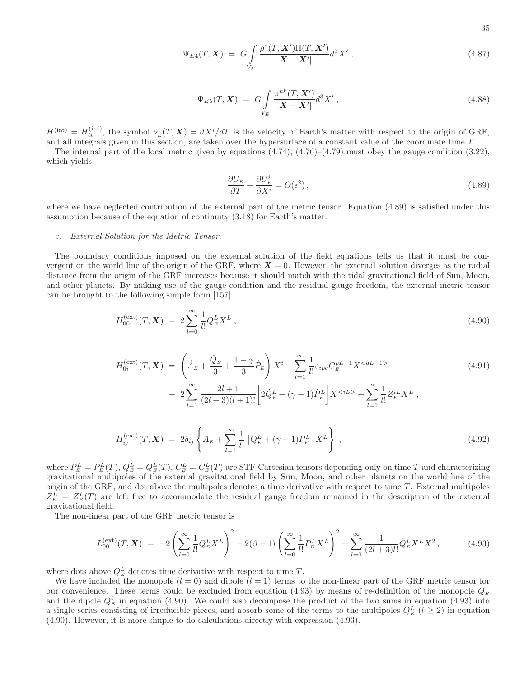$$
35\,
$$

$$
\Psi_{E4}(T,\boldsymbol{X}) = G \int_{V_E} \frac{\rho^*(T,\boldsymbol{X}')\Pi(T,\boldsymbol{X}')}{|\boldsymbol{X}-\boldsymbol{X}'|} d^3 X', \qquad (4.87)
$$

$$
\Psi_{E5}(T,\boldsymbol{X}) = G \int_{V_E} \frac{\pi^{kk}(T,\boldsymbol{X}')}{|\boldsymbol{X}-\boldsymbol{X}'|} d^3 X', \qquad (4.88)
$$

 $H^{(\text{int})} = H_{ii}^{(\text{int})}$ , the symbol  $\nu_E^i(T, X) = dX^i/dT$  is the velocity of Earth's matter with respect to the origin of GRF, and all integrals given in this section, are taken over the hypersurface of a constant value of the coordinate time T.

The internal part of the local metric given by equations  $(4.74)$ ,  $(4.76)-(4.79)$  must obey the gauge condition  $(3.22)$ . which yields

$$
\frac{\partial U_E}{\partial T} + \frac{\partial U_E^i}{\partial X^i} = O(\epsilon^2),\tag{4.89}
$$

where we have neglected contribution of the external part of the metric tensor. Equation (4.89) is satisfied under this assumption because of the equation of continuity (3.18) for Earth's matter.

## c. External Solution for the Metric Tensor.

The boundary conditions imposed on the external solution of the field equations tells us that it must be convergent on the world line of the origin of the GRF, where  $X = 0$ . However, the external solution diverges as the radial distance from the origin of the GRF increases because it should match with the tidal gravitational field of Sun, Moon, and other planets. By making use of the gauge condition and the residual gauge freedom, the external metric tensor can be brought to the following simple form [157]

$$
H_{00}^{(\text{ext})}(T, \mathbf{X}) = 2 \sum_{l=0}^{\infty} \frac{1}{l!} Q_E^L X^L , \qquad (4.90)
$$

$$
H_{0i}^{(\text{ext})}(T, \mathbf{X}) = \left(\dot{A}_E + \frac{\dot{Q}_E}{3} + \frac{1-\gamma}{3} \dot{P}_E\right) X^i + \sum_{l=1}^{\infty} \frac{1}{l!} \varepsilon_{ipq} C_E^{pL-1} X^{\n
$$
(4.91)
$$
$$

$$
H_{ij}^{(\text{ext})}(T, \mathbf{X}) = 2\delta_{ij} \left\{ A_E + \sum_{l=1}^{\infty} \frac{1}{l!} \left[ Q_E^L + (\gamma - 1) P_E^L \right] X^L \right\}, \tag{4.92}
$$

where  $P_E^L = P_E^L(T), Q_E^L = Q_E^L(T), C_E^L = C_E^L(T)$  are STF Cartesian tensors depending only on time T and characterizing gravitational multipoles of the external gravitational field by Sun, Moon, and other planets on the world line of the origin of the GRF, and dot above the multipoles denotes a time derivative with respect to time  $T$ . External multipoles  $Z_E^L = Z_E^L(T)$  are left free to accommodate the residual gauge freedom remained in the description of the external gravitational field.

The non-linear part of the GRF metric tensor is

$$
L_{00}^{(\text{ext})}(T, \mathbf{X}) = -2\left(\sum_{l=0}^{\infty} \frac{1}{l!} Q_E^L X^L\right)^2 - 2(\beta - 1)\left(\sum_{l=0}^{\infty} \frac{1}{l!} P_E^L X^L\right)^2 + \sum_{l=0}^{\infty} \frac{1}{(2l+3)l!} \ddot{Q}_E^L X^L X^2, \tag{4.93}
$$

where dots above  $Q_E^L$  denotes time derivative with respect to time T.

We have included the monopole  $(l = 0)$  and dipole  $(l = 1)$  terms to the non-linear part of the GRF metric tensor for our convenience. These terms could be excluded from equation (4.93) by means of re-definition of the monopole  $Q_E$ and the dipole  $Q_E^i$  in equation (4.90). We could also decompose the product of the two sums in equation (4.93) into a single series consisting of irreducible pieces, and absorb some of the terms to the multipoles  $Q_{E}^{L}$  ( $l \geq 2$ ) in equation (4.90). However, it is more simple to do calculations directly with expression (4.93).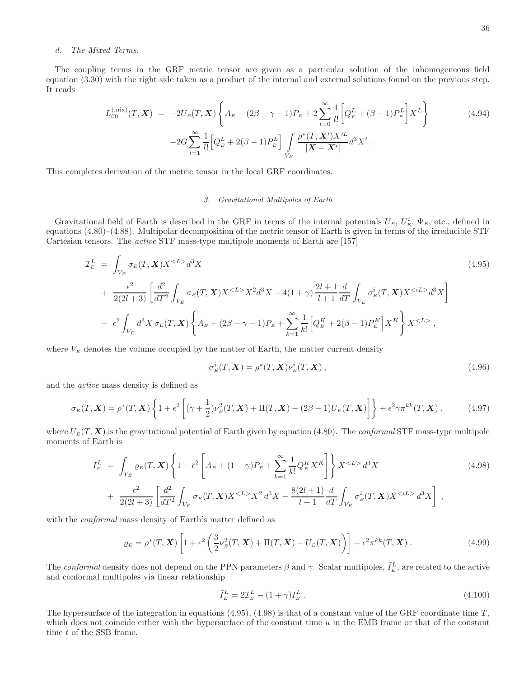### d. The Mixed Terms.

The coupling terms in the GRF metric tensor are given as a particular solution of the inhomogeneous field equation (3.30) with the right side taken as a product of the internal and external solutions found on the previous step. It reads

$$
L_{00}^{(\text{mix})}(T, \mathbf{X}) = -2U_E(T, \mathbf{X}) \left\{ A_E + (2\beta - \gamma - 1) P_E + 2 \sum_{l=0}^{\infty} \frac{1}{l!} \left[ Q_E^L + (\beta - 1) P_E^L \right] X^L \right\}
$$
\n
$$
-2G \sum_{l=1}^{\infty} \frac{1}{l!} \left[ Q_E^L + 2(\beta - 1) P_E^L \right] \int_{V_E} \frac{\rho^*(T, \mathbf{X}') X'^L}{|\mathbf{X} - \mathbf{X}'|} d^3 X' .
$$
\n(4.94)

This completes derivation of the metric tensor in the local GRF coordinates.

### *3. Gravitational Multipoles of Earth*

Gravitational field of Earth is described in the GRF in terms of the internal potentials  $U_E, U_E^i, \Psi_E$ , etc., defined in equations (4.80)–(4.88). Multipolar decomposition of the metric tensor of Earth is given in terms of the irreducible STF Cartesian tensors. The active STF mass-type multipole moments of Earth are [157]

$$
\mathcal{I}_{E}^{L} = \int_{V_{E}} \sigma_{E}(T, \mathbf{X}) X^{}\, d^{3}X
$$
\n
$$
+ \frac{\epsilon^{2}}{2(2l+3)} \left[ \frac{d^{2}}{dT^{2}} \int_{V_{E}} \sigma_{E}(T, \mathbf{X}) X^{}\, X^{2} d^{3}X - 4(1+\gamma) \frac{2l+1}{l+1} \frac{d}{dT} \int_{V_{E}} \sigma_{E}^{i}(T, \mathbf{X}) X^{L>} d^{3}X \right]
$$
\n
$$
- \epsilon^{2} \int_{V_{E}} d^{3}X \sigma_{E}(T, \mathbf{X}) \left\{ A_{E} + (2\beta - \gamma - 1) P_{E} + \sum_{k=1}^{\infty} \frac{1}{k!} \left[ Q_{E}^{K} + 2(\beta - 1) P_{E}^{K} \right] X^{K} \right\} X^{},
$$
\n
$$
(4.95)
$$

where  $V_E$  denotes the volume occupied by the matter of Earth, the matter current density

$$
\sigma_E^i(T, \mathbf{X}) = \rho^*(T, \mathbf{X}) \nu_E^i(T, \mathbf{X}), \qquad (4.96)
$$

and the active mass density is defined as

$$
\sigma_E(T, \mathbf{X}) = \rho^*(T, \mathbf{X}) \left\{ 1 + \epsilon^2 \left[ (\gamma + \frac{1}{2}) \nu_E^2(T, \mathbf{X}) + \Pi(T, \mathbf{X}) - (2\beta - 1) U_E(T, \mathbf{X}) \right] \right\} + \epsilon^2 \gamma \pi^{kk}(T, \mathbf{X}), \tag{4.97}
$$

where  $U_E(T, X)$  is the gravitational potential of Earth given by equation (4.80). The *conformal* STF mass-type multipole moments of Earth is

$$
I_E^L = \int_{V_E} \varrho_E(T, \mathbf{X}) \left\{ 1 - \epsilon^2 \left[ A_E + (1 - \gamma) P_E + \sum_{k=1}^{\infty} \frac{1}{k!} Q_E^K X^K \right] \right\} X^{} d^3 X \tag{4.98}
$$

+ 
$$
\frac{\epsilon^2}{2(2l+3)} \left[ \frac{d^2}{dT^2} \int_{V_E} \sigma_E(T, \mathbf{X}) X^{} X^2 d^3 X - \frac{8(2l+1)}{l+1} \frac{d}{dT} \int_{V_E} \sigma_E^i(T, \mathbf{X}) X^{L} d^3 X \right],
$$

with the conformal mass density of Earth's matter defined as

$$
\varrho_E = \rho^*(T, \mathbf{X}) \left[ 1 + \epsilon^2 \left( \frac{3}{2} \nu_E^2(T, \mathbf{X}) + \Pi(T, \mathbf{X}) - U_E(T, \mathbf{X}) \right) \right] + \epsilon^2 \pi^{kk}(T, \mathbf{X}). \tag{4.99}
$$

The conformal density does not depend on the PPN parameters  $\beta$  and  $\gamma$ . Scalar multipoles,  $\bar{I}_{E}^{L}$ , are related to the active and conformal multipoles via linear relationship

$$
\bar{I}_E^L = 2\mathcal{I}_E^L - (1+\gamma)I_E^L \,. \tag{4.100}
$$

The hypersurface of the integration in equations  $(4.95)$ ,  $(4.98)$  is that of a constant value of the GRF coordinate time T, which does not coincide either with the hypersurface of the constant time  $u$  in the EMB frame or that of the constant time t of the SSB frame.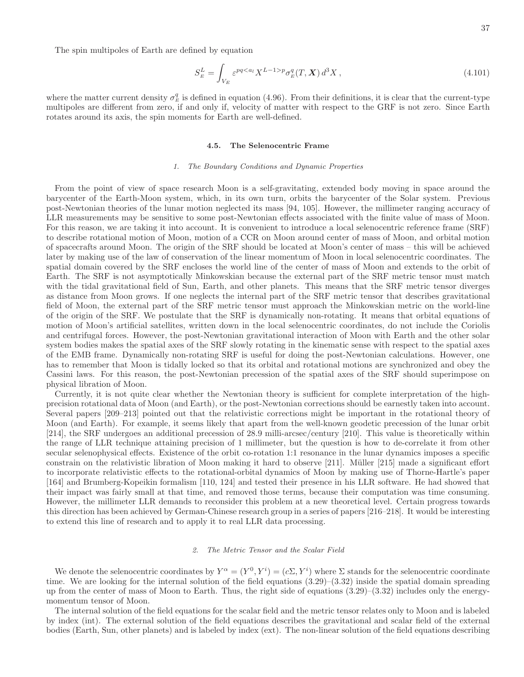The spin multipoles of Earth are defined by equation

$$
S_E^L = \int_{V_E} \varepsilon^{pq < a_l} X^{L-1 > p} \sigma_E^q(T, \boldsymbol{X}) \, d^3 X \,, \tag{4.101}
$$

where the matter current density  $\sigma_E^q$  is defined in equation (4.96). From their definitions, it is clear that the current-type multipoles are different from zero, if and only if, velocity of matter with respect to the GRF is not zero. Since Earth rotates around its axis, the spin moments for Earth are well-defined.

### 4.5. The Selenocentric Frame

### *1. The Boundary Conditions and Dynamic Properties*

From the point of view of space research Moon is a self-gravitating, extended body moving in space around the barycenter of the Earth-Moon system, which, in its own turn, orbits the barycenter of the Solar system. Previous post-Newtonian theories of the lunar motion neglected its mass [94, 105]. However, the millimeter ranging accuracy of LLR measurements may be sensitive to some post-Newtonian effects associated with the finite value of mass of Moon. For this reason, we are taking it into account. It is convenient to introduce a local selenocentric reference frame (SRF) to describe rotational motion of Moon, motion of a CCR on Moon around center of mass of Moon, and orbital motion of spacecrafts around Moon. The origin of the SRF should be located at Moon's center of mass – this will be achieved later by making use of the law of conservation of the linear momentum of Moon in local selenocentric coordinates. The spatial domain covered by the SRF encloses the world line of the center of mass of Moon and extends to the orbit of Earth. The SRF is not asymptotically Minkowskian because the external part of the SRF metric tensor must match with the tidal gravitational field of Sun, Earth, and other planets. This means that the SRF metric tensor diverges as distance from Moon grows. If one neglects the internal part of the SRF metric tensor that describes gravitational field of Moon, the external part of the SRF metric tensor must approach the Minkowskian metric on the world-line of the origin of the SRF. We postulate that the SRF is dynamically non-rotating. It means that orbital equations of motion of Moon's artificial satellites, written down in the local selenocentric coordinates, do not include the Coriolis and centrifugal forces. However, the post-Newtonian gravitational interaction of Moon with Earth and the other solar system bodies makes the spatial axes of the SRF slowly rotating in the kinematic sense with respect to the spatial axes of the EMB frame. Dynamically non-rotating SRF is useful for doing the post-Newtonian calculations. However, one has to remember that Moon is tidally locked so that its orbital and rotational motions are synchronized and obey the Cassini laws. For this reason, the post-Newtonian precession of the spatial axes of the SRF should superimpose on physical libration of Moon.

Currently, it is not quite clear whether the Newtonian theory is sufficient for complete interpretation of the highprecision rotational data of Moon (and Earth), or the post-Newtonian corrections should be earnestly taken into account. Several papers [209–213] pointed out that the relativistic corrections might be important in the rotational theory of Moon (and Earth). For example, it seems likely that apart from the well-known geodetic precession of the lunar orbit [214], the SRF undergoes an additional precession of 28.9 milli-arcsec/century [210]. This value is theoretically within the range of LLR technique attaining precision of 1 millimeter, but the question is how to de-correlate it from other secular selenophysical effects. Existence of the orbit co-rotation 1:1 resonance in the lunar dynamics imposes a specific constrain on the relativistic libration of Moon making it hard to observe [211]. Müller [215] made a significant effort to incorporate relativistic effects to the rotational-orbital dynamics of Moon by making use of Thorne-Hartle's paper [164] and Brumberg-Kopeikin formalism [110, 124] and tested their presence in his LLR software. He had showed that their impact was fairly small at that time, and removed those terms, because their computation was time consuming. However, the millimeter LLR demands to reconsider this problem at a new theoretical level. Certain progress towards this direction has been achieved by German-Chinese research group in a series of papers [216–218]. It would be interesting to extend this line of research and to apply it to real LLR data processing.

### *2. The Metric Tensor and the Scalar Field*

We denote the selenocentric coordinates by  $Y^{\alpha} = (Y^0, Y^i) = (c\Sigma, Y^i)$  where  $\Sigma$  stands for the selenocentric coordinate time. We are looking for the internal solution of the field equations  $(3.29)$ – $(3.32)$  inside the spatial domain spreading up from the center of mass of Moon to Earth. Thus, the right side of equations  $(3.29)-(3.32)$  includes only the energymomentum tensor of Moon.

The internal solution of the field equations for the scalar field and the metric tensor relates only to Moon and is labeled by index (int). The external solution of the field equations describes the gravitational and scalar field of the external bodies (Earth, Sun, other planets) and is labeled by index (ext). The non-linear solution of the field equations describing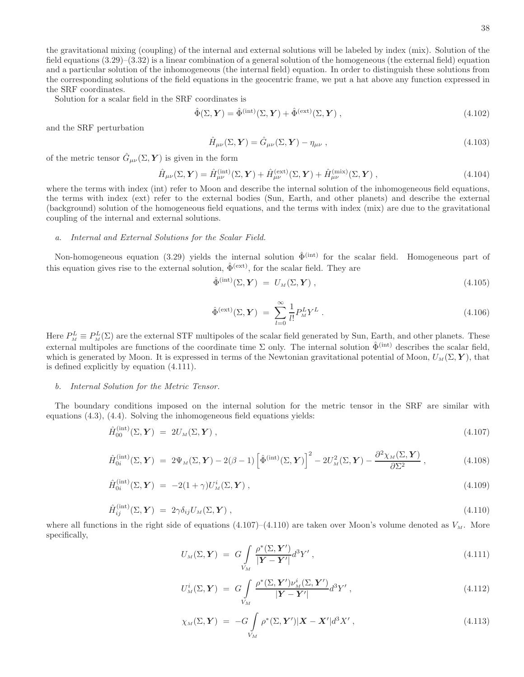38

the gravitational mixing (coupling) of the internal and external solutions will be labeled by index (mix). Solution of the field equations (3.29)–(3.32) is a linear combination of a general solution of the homogeneous (the external field) equation and a particular solution of the inhomogeneous (the internal field) equation. In order to distinguish these solutions from the corresponding solutions of the field equations in the geocentric frame, we put a hat above any function expressed in the SRF coordinates.

Solution for a scalar field in the SRF coordinates is

$$
\hat{\Phi}(\Sigma, \mathbf{Y}) = \hat{\Phi}^{(\text{int})}(\Sigma, \mathbf{Y}) + \hat{\Phi}^{(\text{ext})}(\Sigma, \mathbf{Y}), \qquad (4.102)
$$

and the SRF perturbation

$$
\hat{H}_{\mu\nu}(\Sigma, \mathbf{Y}) = \hat{G}_{\mu\nu}(\Sigma, \mathbf{Y}) - \eta_{\mu\nu} , \qquad (4.103)
$$

of the metric tensor  $\hat{G}_{\mu\nu}(\Sigma, \mathbf{Y})$  is given in the form

$$
\hat{H}_{\mu\nu}(\Sigma, \mathbf{Y}) = \hat{H}_{\mu\nu}^{(\text{int})}(\Sigma, \mathbf{Y}) + \hat{H}_{\mu\nu}^{(\text{ext})}(\Sigma, \mathbf{Y}) + \hat{H}_{\mu\nu}^{(\text{mix})}(\Sigma, \mathbf{Y}), \qquad (4.104)
$$

where the terms with index (int) refer to Moon and describe the internal solution of the inhomogeneous field equations, the terms with index (ext) refer to the external bodies (Sun, Earth, and other planets) and describe the external (background) solution of the homogeneous field equations, and the terms with index (mix) are due to the gravitational coupling of the internal and external solutions.

# a. Internal and External Solutions for the Scalar Field.

Non-homogeneous equation (3.29) yields the internal solution  $\hat{\Phi}^{(int)}$  for the scalar field. Homogeneous part of this equation gives rise to the external solution,  $\hat{\Phi}^{(ext)}$ , for the scalar field. They are

$$
\hat{\Phi}^{(\text{int})}(\Sigma, \boldsymbol{Y}) = U_M(\Sigma, \boldsymbol{Y}), \qquad (4.105)
$$

$$
\hat{\Phi}^{(\text{ext})}(\Sigma, \boldsymbol{Y}) = \sum_{l=0}^{\infty} \frac{1}{l!} P_M^L Y^L . \qquad (4.106)
$$

Here  $P_M^L \equiv P_M^L(\Sigma)$  are the external STF multipoles of the scalar field generated by Sun, Earth, and other planets. These external multipoles are functions of the coordinate time  $\Sigma$  only. The internal solution  $\hat{\Phi}^{(int)}$  describes the scalar field, which is generated by Moon. It is expressed in terms of the Newtonian gravitational potential of Moon,  $U_M(\Sigma, \mathbf{Y})$ , that is defined explicitly by equation (4.111).

### b. Internal Solution for the Metric Tensor.

The boundary conditions imposed on the internal solution for the metric tensor in the SRF are similar with equations (4.3), (4.4). Solving the inhomogeneous field equations yields:

$$
\hat{H}_{00}^{(\rm int)}(\Sigma, \boldsymbol{Y}) = 2U_M(\Sigma, \boldsymbol{Y}), \qquad (4.107)
$$

$$
\hat{H}_{0i}^{(\text{int})}(\Sigma, \mathbf{Y}) = 2\Psi_M(\Sigma, \mathbf{Y}) - 2(\beta - 1) \left[ \hat{\Phi}^{(\text{int})}(\Sigma, \mathbf{Y}) \right]^2 - 2U_M^2(\Sigma, \mathbf{Y}) - \frac{\partial^2 \chi_M(\Sigma, \mathbf{Y})}{\partial \Sigma^2}, \tag{4.108}
$$

$$
\hat{H}_{0i}^{(\text{int})}(\Sigma, \boldsymbol{Y}) = -2(1+\gamma)U_M^i(\Sigma, \boldsymbol{Y}), \qquad (4.109)
$$

$$
\hat{H}_{ij}^{(\text{int})}(\Sigma, \boldsymbol{Y}) = 2\gamma \delta_{ij} U_M(\Sigma, \boldsymbol{Y}), \qquad (4.110)
$$

where all functions in the right side of equations  $(4.107)$ – $(4.110)$  are taken over Moon's volume denoted as  $V_M$ . More specifically,

$$
U_M(\Sigma, \boldsymbol{Y}) = G \int\limits_{V_M} \frac{\rho^*(\Sigma, \boldsymbol{Y}')}{|\boldsymbol{Y} - \boldsymbol{Y}'|} d^3 Y' , \qquad (4.111)
$$

$$
U_M^i(\Sigma, \boldsymbol{Y}) = G \int_{V_M} \frac{\rho^*(\Sigma, \boldsymbol{Y}') \nu_M^i(\Sigma, \boldsymbol{Y}')} {|\boldsymbol{Y} - \boldsymbol{Y}'|} d^3 Y' , \qquad (4.112)
$$

$$
\chi_M(\Sigma, \mathbf{Y}) = -G \int\limits_{V_M} \rho^*(\Sigma, \mathbf{Y}') |\mathbf{X} - \mathbf{X}'| d^3 X' , \qquad (4.113)
$$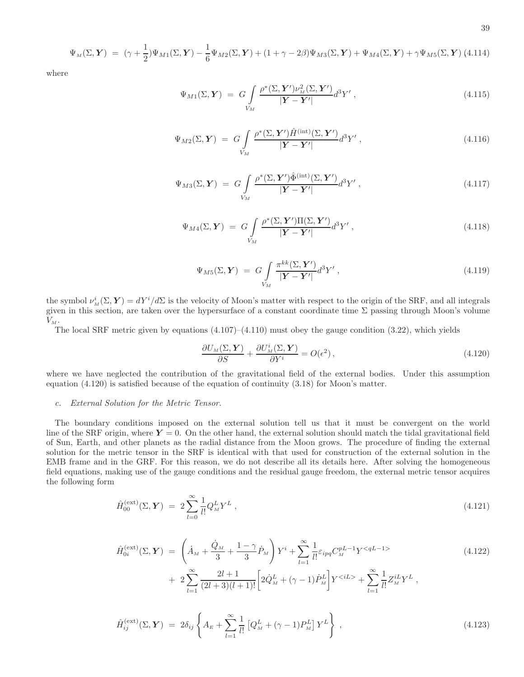$$
\Psi_M(\Sigma, \mathbf{Y}) = (\gamma + \frac{1}{2}) \Psi_{M1}(\Sigma, \mathbf{Y}) - \frac{1}{6} \Psi_{M2}(\Sigma, \mathbf{Y}) + (1 + \gamma - 2\beta) \Psi_{M3}(\Sigma, \mathbf{Y}) + \Psi_{M4}(\Sigma, \mathbf{Y}) + \gamma \Psi_{M5}(\Sigma, \mathbf{Y})
$$
(4.114)

where

$$
\Psi_{M1}(\Sigma, \boldsymbol{Y}) = G \int_{V_M} \frac{\rho^*(\Sigma, \boldsymbol{Y}') \nu_M^2(\Sigma, \boldsymbol{Y}')} {|\boldsymbol{Y} - \boldsymbol{Y}'|} d^3 Y' , \qquad (4.115)
$$

$$
\Psi_{M2}(\Sigma, \mathbf{Y}) = G \int\limits_{V_M} \frac{\rho^*(\Sigma, \mathbf{Y}') \hat{H}^{(\mathrm{int})}(\Sigma, \mathbf{Y}')}{|\mathbf{Y} - \mathbf{Y}'|} d^3 Y' , \qquad (4.116)
$$

$$
\Psi_{M3}(\Sigma, \boldsymbol{Y}) = G \int_{V_M} \frac{\rho^*(\Sigma, \boldsymbol{Y}') \hat{\Phi}^{(\mathrm{int})}(\Sigma, \boldsymbol{Y}')}{|\boldsymbol{Y} - \boldsymbol{Y}'|} d^3 Y' , \qquad (4.117)
$$

$$
\Psi_{M4}(\Sigma, \mathbf{Y}) = G \int_{V_M} \frac{\rho^*(\Sigma, \mathbf{Y'}) \Pi(\Sigma, \mathbf{Y'})}{|\mathbf{Y} - \mathbf{Y'}|} d^3 Y', \qquad (4.118)
$$

$$
\Psi_{M5}(\Sigma, \mathbf{Y}) = G \int_{V_M} \frac{\pi^{kk}(\Sigma, \mathbf{Y}')}{|\mathbf{Y} - \mathbf{Y}'|} d^3 Y', \qquad (4.119)
$$

the symbol  $\nu_M^i(\Sigma, Y) = dY^i/d\Sigma$  is the velocity of Moon's matter with respect to the origin of the SRF, and all integrals given in this section, are taken over the hypersurface of a constant coordinate time Σ passing through Moon's volume  $V_M$ .

The local SRF metric given by equations  $(4.107)$ – $(4.110)$  must obey the gauge condition  $(3.22)$ , which yields

$$
\frac{\partial U_M(\Sigma, \mathbf{Y})}{\partial S} + \frac{\partial U_M^i(\Sigma, \mathbf{Y})}{\partial Y^i} = O(\epsilon^2),\tag{4.120}
$$

where we have neglected the contribution of the gravitational field of the external bodies. Under this assumption equation (4.120) is satisfied because of the equation of continuity (3.18) for Moon's matter.

# c. External Solution for the Metric Tensor.

The boundary conditions imposed on the external solution tell us that it must be convergent on the world line of the SRF origin, where  $Y = 0$ . On the other hand, the external solution should match the tidal gravitational field of Sun, Earth, and other planets as the radial distance from the Moon grows. The procedure of finding the external solution for the metric tensor in the SRF is identical with that used for construction of the external solution in the EMB frame and in the GRF. For this reason, we do not describe all its details here. After solving the homogeneous field equations, making use of the gauge conditions and the residual gauge freedom, the external metric tensor acquires the following form

$$
\hat{H}_{00}^{(\text{ext})}(\Sigma, \mathbf{Y}) = 2 \sum_{l=0}^{\infty} \frac{1}{l!} Q_M^L Y^L , \qquad (4.121)
$$

$$
\hat{H}_{0i}^{(ext)}(\Sigma, \mathbf{Y}) = \left(\dot{A}_M + \frac{\dot{Q}_M}{3} + \frac{1 - \gamma}{3} \dot{P}_M\right) Y^i + \sum_{l=1}^{\infty} \frac{1}{l!} \varepsilon_{ipq} C_M^{pL-1} Y^{\n(4.122)
$$

$$
\hat{H}_{ij}^{(ext)}(\Sigma, \mathbf{Y}) = 2\delta_{ij} \left\{ A_E + \sum_{l=1}^{\infty} \frac{1}{l!} \left[ Q_M^L + (\gamma - 1) P_M^L \right] Y^L \right\},
$$
\n(4.123)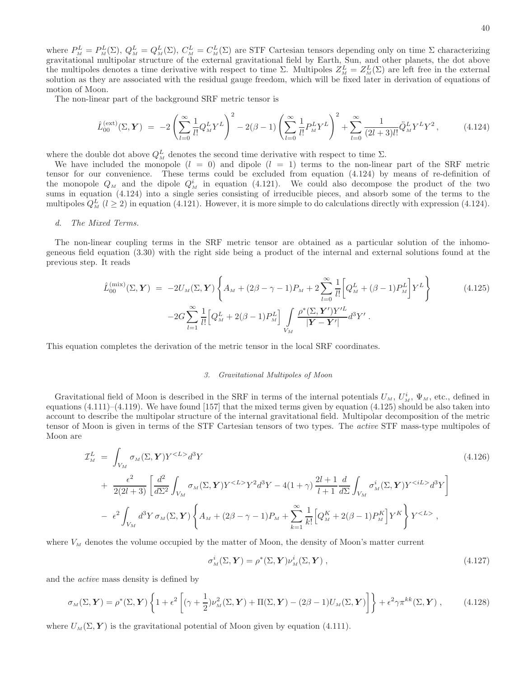where  $P_M^L = P_M^L(\Sigma)$ ,  $Q_M^L = Q_M^L(\Sigma)$ ,  $C_M^L = C_M^L(\Sigma)$  are STF Cartesian tensors depending only on time  $\Sigma$  characterizing gravitational multipolar structure of the external gravitational field by Earth, Sun, and other planets, the dot above the multipoles denotes a time derivative with respect to time  $\Sigma$ . Multipoles  $Z_M^L = Z_M^L(\Sigma)$  are left free in the external solution as they are associated with the residual gauge freedom, which will be fixed later in derivation of equations of motion of Moon.

The non-linear part of the background SRF metric tensor is

$$
\hat{L}_{00}^{(\text{ext})}(\Sigma, \mathbf{Y}) = -2\left(\sum_{l=0}^{\infty} \frac{1}{l!} Q_M^L Y^L\right)^2 - 2(\beta - 1)\left(\sum_{l=0}^{\infty} \frac{1}{l!} P_M^L Y^L\right)^2 + \sum_{l=0}^{\infty} \frac{1}{(2l+3)l!} \ddot{Q}_M^L Y^L Y^2, \tag{4.124}
$$

where the double dot above  $Q_M^L$  denotes the second time derivative with respect to time  $\Sigma$ .

We have included the monopole  $(l = 0)$  and dipole  $(l = 1)$  terms to the non-linear part of the SRF metric tensor for our convenience. These terms could be excluded from equation (4.124) by means of re-definition of the monopole  $Q_M$  and the dipole  $Q_M^i$  in equation (4.121). We could also decompose the product of the two sums in equation (4.124) into a single series consisting of irreducible pieces, and absorb some of the terms to the multipoles  $Q_M^L$  ( $l \geq 2$ ) in equation (4.121). However, it is more simple to do calculations directly with expression (4.124).

# d. The Mixed Terms.

The non-linear coupling terms in the SRF metric tensor are obtained as a particular solution of the inhomogeneous field equation (3.30) with the right side being a product of the internal and external solutions found at the previous step. It reads

$$
\hat{L}_{00}^{(\text{mix})}(\Sigma, \mathbf{Y}) = -2U_M(\Sigma, \mathbf{Y}) \left\{ A_M + (2\beta - \gamma - 1) P_M + 2 \sum_{l=0}^{\infty} \frac{1}{l!} \left[ Q_M^L + (\beta - 1) P_M^L \right] Y^L \right\}
$$
\n
$$
-2G \sum_{l=1}^{\infty} \frac{1}{l!} \left[ Q_M^L + 2(\beta - 1) P_M^L \right] \int_{V_M} \frac{\rho^*(\Sigma, \mathbf{Y}') Y'^L}{|\mathbf{Y} - \mathbf{Y}'|} d^3 Y' .
$$
\n(4.125)

This equation completes the derivation of the metric tensor in the local SRF coordinates.

# *3. Gravitational Multipoles of Moon*

Gravitational field of Moon is described in the SRF in terms of the internal potentials  $U_M$ ,  $U_M^i$ ,  $\Psi_M$ , etc., defined in equations (4.111)–(4.119). We have found [157] that the mixed terms given by equation (4.125) should be also taken into account to describe the multipolar structure of the internal gravitational field. Multipolar decomposition of the metric tensor of Moon is given in terms of the STF Cartesian tensors of two types. The active STF mass-type multipoles of Moon are

$$
\mathcal{I}_{M}^{L} = \int_{V_{M}} \sigma_{M}(\Sigma, \mathbf{Y}) Y^{\langle L \rangle} d^{3}Y
$$
\n
$$
+ \frac{\epsilon^{2}}{2(2l+3)} \left[ \frac{d^{2}}{d\Sigma^{2}} \int_{V_{M}} \sigma_{M}(\Sigma, \mathbf{Y}) Y^{\langle L \rangle} Y^{2} d^{3}Y - 4(1+\gamma) \frac{2l+1}{l+1} \frac{d}{d\Sigma} \int_{V_{M}} \sigma_{M}^{i}(\Sigma, \mathbf{Y}) Y^{\langle iL \rangle} d^{3}Y \right]
$$
\n
$$
- \epsilon^{2} \int_{V_{M}} d^{3}Y \sigma_{M}(\Sigma, \mathbf{Y}) \left\{ A_{M} + (2\beta - \gamma - 1)P_{M} + \sum_{k=1}^{\infty} \frac{1}{k!} \left[ Q_{M}^{K} + 2(\beta - 1)P_{M}^{K} \right] Y^{K} \right\} Y^{\langle L \rangle},
$$
\n(4.126)

where  $V_M$  denotes the volume occupied by the matter of Moon, the density of Moon's matter current

$$
\sigma_M^i(\Sigma, \mathbf{Y}) = \rho^*(\Sigma, \mathbf{Y}) \nu_M^i(\Sigma, \mathbf{Y}), \qquad (4.127)
$$

and the active mass density is defined by

$$
\sigma_M(\Sigma, \mathbf{Y}) = \rho^*(\Sigma, \mathbf{Y}) \left\{ 1 + \epsilon^2 \left[ (\gamma + \frac{1}{2}) \nu_M^2(\Sigma, \mathbf{Y}) + \Pi(\Sigma, \mathbf{Y}) - (2\beta - 1) U_M(\Sigma, \mathbf{Y}) \right] \right\} + \epsilon^2 \gamma \pi^{kk}(\Sigma, \mathbf{Y}) ,\qquad(4.128)
$$

where  $U_M(\Sigma, \boldsymbol{Y})$  is the gravitational potential of Moon given by equation (4.111).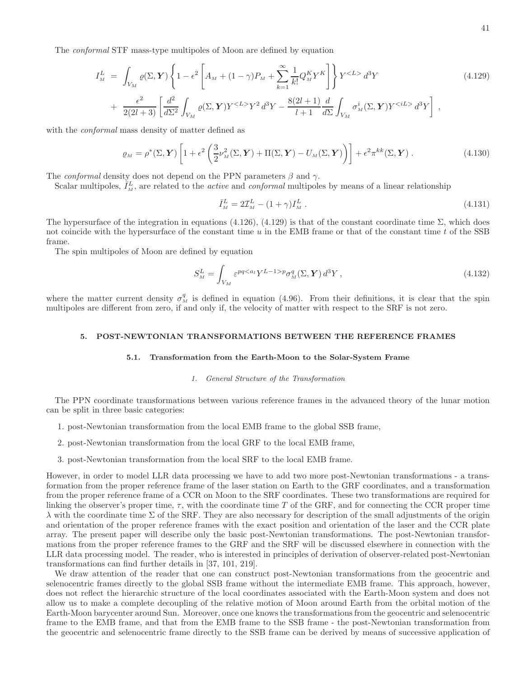The conformal STF mass-type multipoles of Moon are defined by equation

$$
I_M^L = \int_{V_M} \varrho(\Sigma, \mathbf{Y}) \left\{ 1 - \epsilon^2 \left[ A_M + (1 - \gamma) P_M + \sum_{k=1}^{\infty} \frac{1}{k!} Q_M^K Y^K \right] \right\} Y^{} d^3 Y
$$
\n
$$
+ \frac{\epsilon^2}{2(2l+3)} \left[ \frac{d^2}{d\Sigma^2} \int_{V_M} \varrho(\Sigma, \mathbf{Y}) Y^{} Y^2 d^3 Y - \frac{8(2l+1)}{l+1} \frac{d}{d\Sigma} \int_{V_M} \sigma_M^i(\Sigma, \mathbf{Y}) Y^{L>} d^3 Y \right],
$$
\n(4.129)

with the *conformal* mass density of matter defined as

$$
\varrho_M = \rho^*(\Sigma, \boldsymbol{Y}) \left[ 1 + \epsilon^2 \left( \frac{3}{2} \nu_M^2(\Sigma, \boldsymbol{Y}) + \Pi(\Sigma, \boldsymbol{Y}) - U_M(\Sigma, \boldsymbol{Y}) \right) \right] + \epsilon^2 \pi^{kk}(\Sigma, \boldsymbol{Y}) . \tag{4.130}
$$

The *conformal* density does not depend on the PPN parameters  $\beta$  and  $\gamma$ .

Scalar multipoles,  $\tilde{I}_{M}^{L}$ , are related to the *active* and *conformal* multipoles by means of a linear relationship

$$
\bar{I}_M^L = 2\mathcal{I}_M^L - (1+\gamma)I_M^L \,. \tag{4.131}
$$

The hypersurface of the integration in equations  $(4.126)$ ,  $(4.129)$  is that of the constant coordinate time  $\Sigma$ , which does not coincide with the hypersurface of the constant time  $u$  in the EMB frame or that of the constant time  $t$  of the SSB frame.

The spin multipoles of Moon are defined by equation

$$
S_M^L = \int_{V_M} \varepsilon^{pq < a_l} Y^{L-1 > p} \sigma_M^q(\Sigma, Y) \, d^3 Y \,, \tag{4.132}
$$

where the matter current density  $\sigma_M^q$  is defined in equation (4.96). From their definitions, it is clear that the spin multipoles are different from zero, if and only if, the velocity of matter with respect to the SRF is not zero.

# 5. POST-NEWTONIAN TRANSFORMATIONS BETWEEN THE REFERENCE FRAMES

# 5.1. Transformation from the Earth-Moon to the Solar-System Frame

### *1. General Structure of the Transformation*

The PPN coordinate transformations between various reference frames in the advanced theory of the lunar motion can be split in three basic categories:

- 1. post-Newtonian transformation from the local EMB frame to the global SSB frame,
- 2. post-Newtonian transformation from the local GRF to the local EMB frame,
- 3. post-Newtonian transformation from the local SRF to the local EMB frame.

However, in order to model LLR data processing we have to add two more post-Newtonian transformations - a transformation from the proper reference frame of the laser station on Earth to the GRF coordinates, and a transformation from the proper reference frame of a CCR on Moon to the SRF coordinates. These two transformations are required for linking the observer's proper time,  $\tau$ , with the coordinate time T of the GRF, and for connecting the CCR proper time  $\lambda$  with the coordinate time  $\Sigma$  of the SRF. They are also necessary for description of the small adjustments of the origin and orientation of the proper reference frames with the exact position and orientation of the laser and the CCR plate array. The present paper will describe only the basic post-Newtonian transformations. The post-Newtonian transformations from the proper reference frames to the GRF and the SRF will be discussed elsewhere in connection with the LLR data processing model. The reader, who is interested in principles of derivation of observer-related post-Newtonian transformations can find further details in [37, 101, 219].

We draw attention of the reader that one can construct post-Newtonian transformations from the geocentric and selenocentric frames directly to the global SSB frame without the intermediate EMB frame. This approach, however, does not reflect the hierarchic structure of the local coordinates associated with the Earth-Moon system and does not allow us to make a complete decoupling of the relative motion of Moon around Earth from the orbital motion of the Earth-Moon barycenter around Sun. Moreover, once one knows the transformations from the geocentric and selenocentric frame to the EMB frame, and that from the EMB frame to the SSB frame - the post-Newtonian transformation from the geocentric and selenocentric frame directly to the SSB frame can be derived by means of successive application of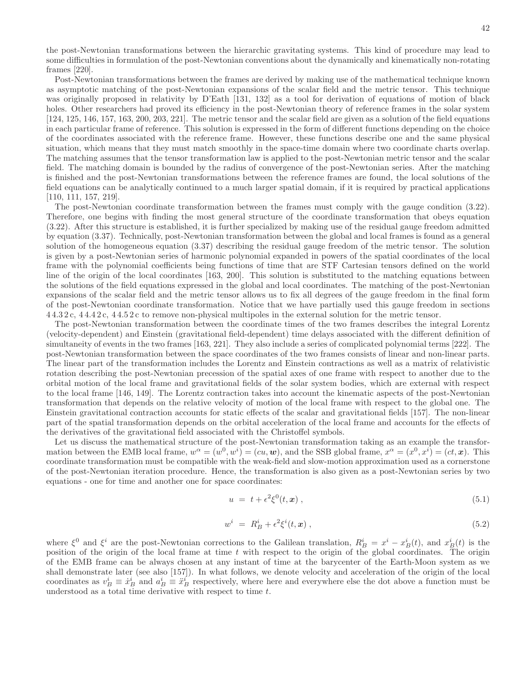the post-Newtonian transformations between the hierarchic gravitating systems. This kind of procedure may lead to some difficulties in formulation of the post-Newtonian conventions about the dynamically and kinematically non-rotating frames [220].

Post-Newtonian transformations between the frames are derived by making use of the mathematical technique known as asymptotic matching of the post-Newtonian expansions of the scalar field and the metric tensor. This technique was originally proposed in relativity by D'Eath [131, 132] as a tool for derivation of equations of motion of black holes. Other researchers had proved its efficiency in the post-Newtonian theory of reference frames in the solar system [124, 125, 146, 157, 163, 200, 203, 221]. The metric tensor and the scalar field are given as a solution of the field equations in each particular frame of reference. This solution is expressed in the form of different functions depending on the choice of the coordinates associated with the reference frame. However, these functions describe one and the same physical situation, which means that they must match smoothly in the space-time domain where two coordinate charts overlap. The matching assumes that the tensor transformation law is applied to the post-Newtonian metric tensor and the scalar field. The matching domain is bounded by the radius of convergence of the post-Newtonian series. After the matching is finished and the post-Newtonian transformations between the reference frames are found, the local solutions of the field equations can be analytically continued to a much larger spatial domain, if it is required by practical applications [110, 111, 157, 219].

The post-Newtonian coordinate transformation between the frames must comply with the gauge condition (3.22). Therefore, one begins with finding the most general structure of the coordinate transformation that obeys equation (3.22). After this structure is established, it is further specialized by making use of the residual gauge freedom admitted by equation (3.37). Technically, post-Newtonian transformation between the global and local frames is found as a general solution of the homogeneous equation (3.37) describing the residual gauge freedom of the metric tensor. The solution is given by a post-Newtonian series of harmonic polynomial expanded in powers of the spatial coordinates of the local frame with the polynomial coefficients being functions of time that are STF Cartesian tensors defined on the world line of the origin of the local coordinates [163, 200]. This solution is substituted to the matching equations between the solutions of the field equations expressed in the global and local coordinates. The matching of the post-Newtonian expansions of the scalar field and the metric tensor allows us to fix all degrees of the gauge freedom in the final form of the post-Newtonian coordinate transformation. Notice that we have partially used this gauge freedom in sections 4 4.3 2 c, 4 4.4 2 c, 4 4.5 2 c to remove non-physical multipoles in the external solution for the metric tensor.

The post-Newtonian transformation between the coordinate times of the two frames describes the integral Lorentz (velocity-dependent) and Einstein (gravitational field-dependent) time delays associated with the different definition of simultaneity of events in the two frames [163, 221]. They also include a series of complicated polynomial terms [222]. The post-Newtonian transformation between the space coordinates of the two frames consists of linear and non-linear parts. The linear part of the transformation includes the Lorentz and Einstein contractions as well as a matrix of relativistic rotation describing the post-Newtonian precession of the spatial axes of one frame with respect to another due to the orbital motion of the local frame and gravitational fields of the solar system bodies, which are external with respect to the local frame [146, 149]. The Lorentz contraction takes into account the kinematic aspects of the post-Newtonian transformation that depends on the relative velocity of motion of the local frame with respect to the global one. The Einstein gravitational contraction accounts for static effects of the scalar and gravitational fields [157]. The non-linear part of the spatial transformation depends on the orbital acceleration of the local frame and accounts for the effects of the derivatives of the gravitational field associated with the Christoffel symbols.

Let us discuss the mathematical structure of the post-Newtonian transformation taking as an example the transformation between the EMB local frame,  $w^{\alpha} = (w^0, w^i) = (cu, \boldsymbol{w})$ , and the SSB global frame,  $x^{\alpha} = (x^0, x^i) = (ct, \boldsymbol{x})$ . This coordinate transformation must be compatible with the weak-field and slow-motion approximation used as a cornerstone of the post-Newtonian iteration procedure. Hence, the transformation is also given as a post-Newtonian series by two equations - one for time and another one for space coordinates:

$$
u = t + \epsilon^2 \xi^0(t, \mathbf{x}) \,, \tag{5.1}
$$

$$
w^i = R_B^i + \epsilon^2 \xi^i(t, \mathbf{x}) \,, \tag{5.2}
$$

where  $\xi^0$  and  $\xi^i$  are the post-Newtonian corrections to the Galilean translation,  $R_B^i = x^i - x_B^i(t)$ , and  $x_B^i(t)$  is the position of the origin of the local frame at time  $t$  with respect to the origin of the global coordinates. The origin of the EMB frame can be always chosen at any instant of time at the barycenter of the Earth-Moon system as we shall demonstrate later (see also [157]). In what follows, we denote velocity and acceleration of the origin of the local coordinates as  $v_B^i \equiv \dot{x}_B^i$  and  $a_B^i \equiv \ddot{x}_B^i$  respectively, where here and everywhere else the dot above a function must be understood as a total time derivative with respect to time  $t$ .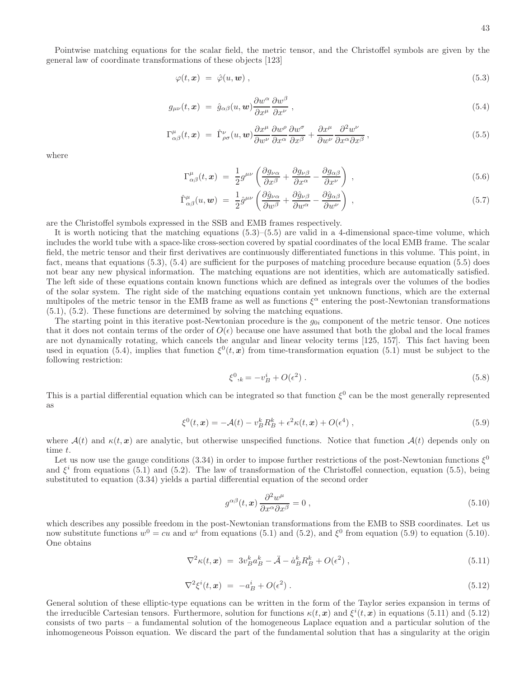Pointwise matching equations for the scalar field, the metric tensor, and the Christoffel symbols are given by the general law of coordinate transformations of these objects [123]

$$
\varphi(t, \mathbf{x}) = \hat{\varphi}(u, \mathbf{w}), \qquad (5.3)
$$

$$
g_{\mu\nu}(t,\mathbf{x}) = \hat{g}_{\alpha\beta}(u,\mathbf{w})\frac{\partial w^{\alpha}}{\partial x^{\mu}}\frac{\partial w^{\beta}}{\partial x^{\nu}}, \qquad (5.4)
$$

$$
\Gamma^{\mu}_{\alpha\beta}(t,\mathbf{x}) = \hat{\Gamma}^{\nu}_{\rho\sigma}(u,\mathbf{w}) \frac{\partial x^{\mu}}{\partial w^{\nu}} \frac{\partial w^{\rho}}{\partial x^{\alpha}} \frac{\partial w^{\sigma}}{\partial x^{\beta}} + \frac{\partial x^{\mu}}{\partial w^{\nu}} \frac{\partial^2 w^{\nu}}{\partial x^{\alpha} \partial x^{\beta}},
$$
\n(5.5)

where

$$
\Gamma^{\mu}_{\alpha\beta}(t,\mathbf{x}) = \frac{1}{2}g^{\mu\nu}\left(\frac{\partial g_{\nu\alpha}}{\partial x^{\beta}} + \frac{\partial g_{\nu\beta}}{\partial x^{\alpha}} - \frac{\partial g_{\alpha\beta}}{\partial x^{\nu}}\right) , \qquad (5.6)
$$

$$
\hat{\Gamma}^{\mu}_{\alpha\beta}(u,\boldsymbol{w}) = \frac{1}{2}\hat{g}^{\mu\nu}\left(\frac{\partial\hat{g}_{\nu\alpha}}{\partial w^{\beta}} + \frac{\partial\hat{g}_{\nu\beta}}{\partial w^{\alpha}} - \frac{\partial\hat{g}_{\alpha\beta}}{\partial w^{\nu}}\right) ,
$$
\n(5.7)

are the Christoffel symbols expressed in the SSB and EMB frames respectively.

It is worth noticing that the matching equations  $(5.3)$ – $(5.5)$  are valid in a 4-dimensional space-time volume, which includes the world tube with a space-like cross-section covered by spatial coordinates of the local EMB frame. The scalar field, the metric tensor and their first derivatives are continuously differentiated functions in this volume. This point, in fact, means that equations (5.3), (5.4) are sufficient for the purposes of matching procedure because equation (5.5) does not bear any new physical information. The matching equations are not identities, which are automatically satisfied. The left side of these equations contain known functions which are defined as integrals over the volumes of the bodies of the solar system. The right side of the matching equations contain yet unknown functions, which are the external multipoles of the metric tensor in the EMB frame as well as functions  $\xi^{\alpha}$  entering the post-Newtonian transformations (5.1), (5.2). These functions are determined by solving the matching equations.

The starting point in this iterative post-Newtonian procedure is the  $g_{0i}$  component of the metric tensor. One notices that it does not contain terms of the order of  $O(\epsilon)$  because one have assumed that both the global and the local frames are not dynamically rotating, which cancels the angular and linear velocity terms [125, 157]. This fact having been used in equation (5.4), implies that function  $\xi^0(t, x)$  from time-transformation equation (5.1) must be subject to the following restriction:

$$
\xi^{0},_{k} = -v_{B}^{i} + O(\epsilon^{2}).
$$
\n(5.8)

This is a partial differential equation which can be integrated so that function  $\xi^0$  can be the most generally represented as

$$
\xi^{0}(t,\mathbf{x}) = -\mathcal{A}(t) - v_{B}^{k} R_{B}^{k} + \epsilon^{2} \kappa(t,\mathbf{x}) + O(\epsilon^{4}), \qquad (5.9)
$$

where  $A(t)$  and  $\kappa(t, x)$  are analytic, but otherwise unspecified functions. Notice that function  $A(t)$  depends only on time t.

Let us now use the gauge conditions (3.34) in order to impose further restrictions of the post-Newtonian functions  $\xi^0$ and  $\xi^i$  from equations (5.1) and (5.2). The law of transformation of the Christoffel connection, equation (5.5), being substituted to equation (3.34) yields a partial differential equation of the second order

$$
g^{\alpha\beta}(t,x)\frac{\partial^2 w^{\mu}}{\partial x^{\alpha}\partial x^{\beta}} = 0 , \qquad (5.10)
$$

which describes any possible freedom in the post-Newtonian transformations from the EMB to SSB coordinates. Let us now substitute functions  $w^0 = cu$  and  $w^i$  from equations (5.1) and (5.2), and  $\xi^0$  from equation (5.9) to equation (5.10). One obtains

$$
\nabla^2 \kappa(t, \mathbf{x}) = 3v_B^k a_B^k - \ddot{\mathcal{A}} - \dot{a}_B^k R_B^k + O(\epsilon^2) , \qquad (5.11)
$$

$$
\nabla^2 \xi^i(t, \mathbf{x}) = -a_B^i + O(\epsilon^2) \,. \tag{5.12}
$$

General solution of these elliptic-type equations can be written in the form of the Taylor series expansion in terms of the irreducible Cartesian tensors. Furthermore, solution for functions  $\kappa(t, x)$  and  $\xi^{i}(t, x)$  in equations (5.11) and (5.12) consists of two parts – a fundamental solution of the homogeneous Laplace equation and a particular solution of the inhomogeneous Poisson equation. We discard the part of the fundamental solution that has a singularity at the origin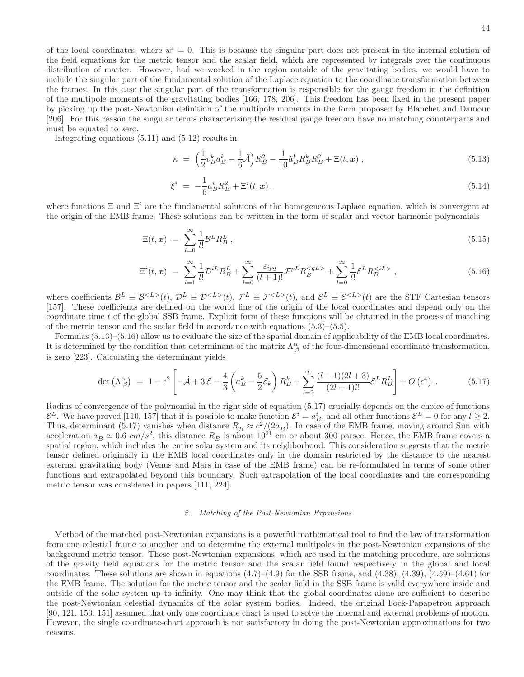of the local coordinates, where  $w^i = 0$ . This is because the singular part does not present in the internal solution of the field equations for the metric tensor and the scalar field, which are represented by integrals over the continuous distribution of matter. However, had we worked in the region outside of the gravitating bodies, we would have to include the singular part of the fundamental solution of the Laplace equation to the coordinate transformation between the frames. In this case the singular part of the transformation is responsible for the gauge freedom in the definition of the multipole moments of the gravitating bodies [166, 178, 206]. This freedom has been fixed in the present paper by picking up the post-Newtonian definition of the multipole moments in the form proposed by Blanchet and Damour [206]. For this reason the singular terms characterizing the residual gauge freedom have no matching counterparts and must be equated to zero.

Integrating equations (5.11) and (5.12) results in

$$
\kappa = \left(\frac{1}{2}v_B^k a_B^k - \frac{1}{6}\ddot{\mathcal{A}}\right) R_B^2 - \frac{1}{10}\dot{a}_B^k R_B^k R_B^2 + \Xi(t, x) ,\qquad (5.13)
$$

$$
\xi^{i} = -\frac{1}{6}a_{B}^{i}R_{B}^{2} + \Xi^{i}(t, x), \qquad (5.14)
$$

where functions  $\Xi$  and  $\Xi^i$  are the fundamental solutions of the homogeneous Laplace equation, which is convergent at the origin of the EMB frame. These solutions can be written in the form of scalar and vector harmonic polynomials

$$
\Xi(t,\boldsymbol{x}) = \sum_{l=0}^{\infty} \frac{1}{l!} \mathcal{B}^L R_B^L \,, \tag{5.15}
$$

$$
\Xi^{i}(t,\mathbf{x}) = \sum_{l=1}^{\infty} \frac{1}{l!} \mathcal{D}^{iL} R_{B}^{L} + \sum_{l=0}^{\infty} \frac{\varepsilon_{ipq}}{(l+1)!} \mathcal{F}^{pL} R_{B}^{} + \sum_{l=0}^{\infty} \frac{1}{l!} \mathcal{E}^{L} R_{B}^{L>}, \qquad (5.16)
$$

where coefficients  $\mathcal{B}^L \equiv \mathcal{B}^{}(t)$ ,  $\mathcal{D}^L \equiv \mathcal{D}^{}(t)$ ,  $\mathcal{F}^L \equiv \mathcal{F}^{}(t)$ , and  $\mathcal{E}^L \equiv \mathcal{E}^{}(t)$  are the STF Cartesian tensors [157]. These coefficients are defined on the world line of the origin of the local coordinates and depend only on the coordinate time  $t$  of the global SSB frame. Explicit form of these functions will be obtained in the process of matching of the metric tensor and the scalar field in accordance with equations  $(5.3)$ – $(5.5)$ .

Formulas (5.13)–(5.16) allow us to evaluate the size of the spatial domain of applicability of the EMB local coordinates. It is determined by the condition that determinant of the matrix  $\Lambda^\alpha_{\ \beta}$  of the four-dimensional coordinate transformation, is zero [223]. Calculating the determinant yields

$$
\det\left(\Lambda^{\alpha}_{\beta}\right) = 1 + \epsilon^2 \left[ -\dot{\mathcal{A}} + 3\mathcal{E} - \frac{4}{3} \left( a_B^k - \frac{5}{2} \mathcal{E}_k \right) R_B^k + \sum_{l=2}^{\infty} \frac{(l+1)(2l+3)}{(2l+1)l!} \mathcal{E}^L R_B^L \right] + O\left(\epsilon^4\right) \,. \tag{5.17}
$$

Radius of convergence of the polynomial in the right side of equation (5.17) crucially depends on the choice of functions  $\mathcal{E}^{L}$ . We have proved [110, 157] that it is possible to make function  $\mathcal{E}^{i} = a_{B}^{i}$ , and all other functions  $\mathcal{E}^{L} = 0$  for any  $l \geq 2$ . Thus, determinant (5.17) vanishes when distance  $R_B \approx c^2/(2a_B)$ . In case of the EMB frame, moving around Sun with acceleration  $a_B \simeq 0.6$  cm/s<sup>2</sup>, this distance  $R_B$  is about 10<sup>21</sup> cm or about 300 parsec. Hence, the EMB frame covers a spatial region, which includes the entire solar system and its neighborhood. This consideration suggests that the metric tensor defined originally in the EMB local coordinates only in the domain restricted by the distance to the nearest external gravitating body (Venus and Mars in case of the EMB frame) can be re-formulated in terms of some other functions and extrapolated beyond this boundary. Such extrapolation of the local coordinates and the corresponding metric tensor was considered in papers [111, 224].

### *2. Matching of the Post-Newtonian Expansions*

Method of the matched post-Newtonian expansions is a powerful mathematical tool to find the law of transformation from one celestial frame to another and to determine the external multipoles in the post-Newtonian expansions of the background metric tensor. These post-Newtonian expansions, which are used in the matching procedure, are solutions of the gravity field equations for the metric tensor and the scalar field found respectively in the global and local coordinates. These solutions are shown in equations  $(4.7)$ – $(4.9)$  for the SSB frame, and  $(4.38)$ ,  $(4.39)$ ,  $(4.59)$ – $(4.61)$  for the EMB frame. The solution for the metric tensor and the scalar field in the SSB frame is valid everywhere inside and outside of the solar system up to infinity. One may think that the global coordinates alone are sufficient to describe the post-Newtonian celestial dynamics of the solar system bodies. Indeed, the original Fock-Papapetrou approach [90, 121, 150, 151] assumed that only one coordinate chart is used to solve the internal and external problems of motion. However, the single coordinate-chart approach is not satisfactory in doing the post-Newtonian approximations for two reasons.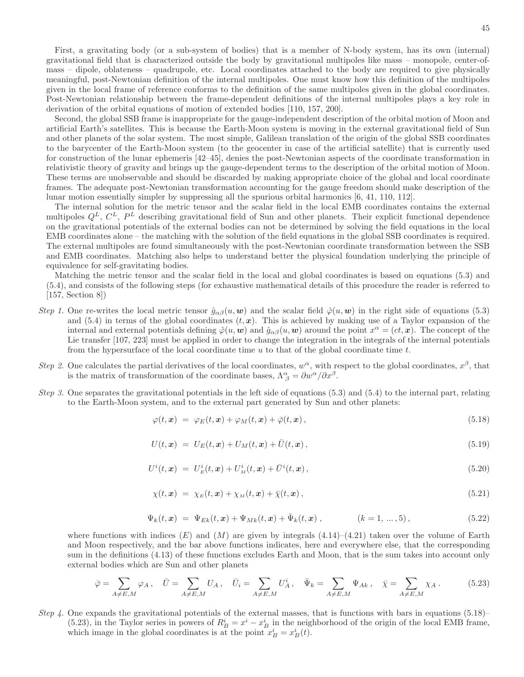First, a gravitating body (or a sub-system of bodies) that is a member of N-body system, has its own (internal) gravitational field that is characterized outside the body by gravitational multipoles like mass – monopole, center-ofmass – dipole, oblateness – quadrupole, etc. Local coordinates attached to the body are required to give physically meaningful, post-Newtonian definition of the internal multipoles. One must know how this definition of the multipoles given in the local frame of reference conforms to the definition of the same multipoles given in the global coordinates. Post-Newtonian relationship between the frame-dependent definitions of the internal multipoles plays a key role in derivation of the orbital equations of motion of extended bodies [110, 157, 200].

Second, the global SSB frame is inappropriate for the gauge-independent description of the orbital motion of Moon and artificial Earth's satellites. This is because the Earth-Moon system is moving in the external gravitational field of Sun and other planets of the solar system. The most simple, Galilean translation of the origin of the global SSB coordinates to the barycenter of the Earth-Moon system (to the geocenter in case of the artificial satellite) that is currently used for construction of the lunar ephemeris [42–45], denies the post-Newtonian aspects of the coordinate transformation in relativistic theory of gravity and brings up the gauge-dependent terms to the description of the orbital motion of Moon. These terms are unobservable and should be discarded by making appropriate choice of the global and local coordinate frames. The adequate post-Newtonian transformation accounting for the gauge freedom should make description of the lunar motion essentially simpler by suppressing all the spurious orbital harmonics [6, 41, 110, 112].

The internal solution for the metric tensor and the scalar field in the local EMB coordinates contains the external multipoles  $Q^L$ ,  $C^L$ ,  $P^L$  describing gravitational field of Sun and other planets. Their explicit functional dependence on the gravitational potentials of the external bodies can not be determined by solving the field equations in the local EMB coordinates alone – the matching with the solution of the field equations in the global SSB coordinates is required. The external multipoles are found simultaneously with the post-Newtonian coordinate transformation between the SSB and EMB coordinates. Matching also helps to understand better the physical foundation underlying the principle of equivalence for self-gravitating bodies.

Matching the metric tensor and the scalar field in the local and global coordinates is based on equations (5.3) and (5.4), and consists of the following steps (for exhaustive mathematical details of this procedure the reader is referred to [157, Section 8])

- Step 1. One re-writes the local metric tensor  $\hat{g}_{\alpha\beta}(u, w)$  and the scalar field  $\hat{\varphi}(u, w)$  in the right side of equations (5.3) and (5.4) in terms of the global coordinates  $(t, x)$ . This is achieved by making use of a Taylor expansion of the internal and external potentials defining  $\hat{\varphi}(u, w)$  and  $\hat{g}_{\alpha\beta}(u, w)$  around the point  $x^{\alpha} = (ct, x)$ . The concept of the Lie transfer [107, 223] must be applied in order to change the integration in the integrals of the internal potentials from the hypersurface of the local coordinate time  $u$  to that of the global coordinate time  $t$ .
- Step 2. One calculates the partial derivatives of the local coordinates,  $w^{\alpha}$ , with respect to the global coordinates,  $x^{\beta}$ , that is the matrix of transformation of the coordinate bases,  $\Lambda^{\alpha}_{\beta} = \partial w^{\alpha}/\partial x^{\beta}$ .
- Step 3. One separates the gravitational potentials in the left side of equations  $(5.3)$  and  $(5.4)$  to the internal part, relating to the Earth-Moon system, and to the external part generated by Sun and other planets:

$$
\varphi(t,\boldsymbol{x}) = \varphi_E(t,\boldsymbol{x}) + \varphi_M(t,\boldsymbol{x}) + \bar{\varphi}(t,\boldsymbol{x}), \qquad (5.18)
$$

$$
U(t, x) = U_E(t, x) + U_M(t, x) + \bar{U}(t, x), \qquad (5.19)
$$

$$
U^{i}(t, x) = U_{E}^{i}(t, x) + U_{M}^{i}(t, x) + \bar{U}^{i}(t, x), \qquad (5.20)
$$

$$
\chi(t,\boldsymbol{x}) = \chi_{E}(t,\boldsymbol{x}) + \chi_{M}(t,\boldsymbol{x}) + \bar{\chi}(t,\boldsymbol{x}), \qquad (5.21)
$$

$$
\Psi_k(t, \mathbf{x}) = \Psi_{Ek}(t, \mathbf{x}) + \Psi_{Mk}(t, \mathbf{x}) + \bar{\Psi}_k(t, \mathbf{x}), \qquad (k = 1, ..., 5), \qquad (5.22)
$$

where functions with indices  $(E)$  and  $(M)$  are given by integrals  $(4.14)$ – $(4.21)$  taken over the volume of Earth and Moon respectively, and the bar above functions indicates, here and everywhere else, that the corresponding sum in the definitions (4.13) of these functions excludes Earth and Moon, that is the sum takes into account only external bodies which are Sun and other planets

$$
\bar{\varphi} = \sum_{A \neq E,M} \varphi_A, \quad \bar{U} = \sum_{A \neq E,M} U_A, \quad \bar{U}_i = \sum_{A \neq E,M} U_A^i, \quad \bar{\Psi}_k = \sum_{A \neq E,M} \Psi_{Ak}, \quad \bar{\chi} = \sum_{A \neq E,M} \chi_A. \tag{5.23}
$$

Step 4. One expands the gravitational potentials of the external masses, that is functions with bars in equations  $(5.18)$ – (5.23), in the Taylor series in powers of  $R_B^i = x^i - x_B^i$  in the neighborhood of the origin of the local EMB frame, which image in the global coordinates is at the point  $x_B^i = x_B^i(t)$ .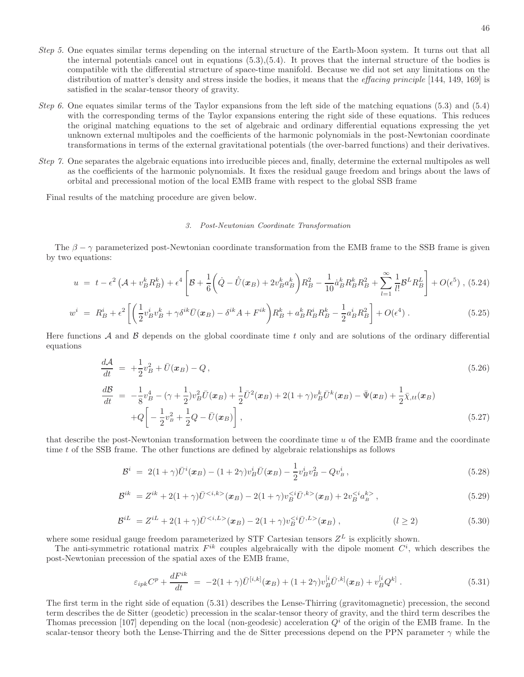- Step 5. One equates similar terms depending on the internal structure of the Earth-Moon system. It turns out that all the internal potentials cancel out in equations (5.3),(5.4). It proves that the internal structure of the bodies is compatible with the differential structure of space-time manifold. Because we did not set any limitations on the distribution of matter's density and stress inside the bodies, it means that the *effacing principle* [144, 149, 169] is satisfied in the scalar-tensor theory of gravity.
- Step 6. One equates similar terms of the Taylor expansions from the left side of the matching equations  $(5.3)$  and  $(5.4)$ with the corresponding terms of the Taylor expansions entering the right side of these equations. This reduces the original matching equations to the set of algebraic and ordinary differential equations expressing the yet unknown external multipoles and the coefficients of the harmonic polynomials in the post-Newtonian coordinate transformations in terms of the external gravitational potentials (the over-barred functions) and their derivatives.
- Step 7. One separates the algebraic equations into irreducible pieces and, finally, determine the external multipoles as well as the coefficients of the harmonic polynomials. It fixes the residual gauge freedom and brings about the laws of orbital and precessional motion of the local EMB frame with respect to the global SSB frame

Final results of the matching procedure are given below.

### *3. Post-Newtonian Coordinate Transformation*

The  $\beta - \gamma$  parameterized post-Newtonian coordinate transformation from the EMB frame to the SSB frame is given by two equations:

$$
u = t - \epsilon^2 \left( \mathcal{A} + v_B^k R_B^k \right) + \epsilon^4 \left[ \mathcal{B} + \frac{1}{6} \left( \dot{Q} - \dot{\bar{U}}(\boldsymbol{x}_B) + 2v_B^k a_B^k \right) R_B^2 - \frac{1}{10} \dot{a}_B^k R_B^k R_B^2 + \sum_{l=1}^{\infty} \frac{1}{l!} \mathcal{B}^L R_B^L \right] + O(\epsilon^5) ,
$$
 (5.24)

$$
w^{i} = R_{B}^{i} + \epsilon^{2} \left[ \left( \frac{1}{2} v_{B}^{i} v_{B}^{k} + \gamma \delta^{ik} \bar{U}(\boldsymbol{x}_{B}) - \delta^{ik} A + F^{ik} \right) R_{B}^{k} + a_{B}^{k} R_{B}^{i} R_{B}^{k} - \frac{1}{2} a_{B}^{i} R_{B}^{2} \right] + O(\epsilon^{4}) \tag{5.25}
$$

Here functions  $A$  and  $B$  depends on the global coordinate time t only and are solutions of the ordinary differential equations

$$
\frac{d\mathcal{A}}{dt} = +\frac{1}{2}v_B^2 + \bar{U}(\mathbf{x}_B) - Q, \qquad (5.26)
$$
\n
$$
\frac{d\mathcal{B}}{dt} = -\frac{1}{8}v_B^4 - (\gamma + \frac{1}{2})v_B^2 \bar{U}(\mathbf{x}_B) + \frac{1}{2}\bar{U}^2(\mathbf{x}_B) + 2(1 + \gamma)v_B^k \bar{U}^k(\mathbf{x}_B) - \bar{\Psi}(\mathbf{x}_B) + \frac{1}{2}\bar{\chi}_{,tt}(\mathbf{x}_B)
$$

$$
+Q\left[-\frac{1}{2}v_B^2+\frac{1}{2}Q-\bar{U}(\bm{x}_B)\right],
$$
\n(5.27)

that describe the post-Newtonian transformation between the coordinate time  $u$  of the EMB frame and the coordinate time  $t$  of the SSB frame. The other functions are defined by algebraic relationships as follows

$$
\mathcal{B}^{i} = 2(1+\gamma)\bar{U}^{i}(\boldsymbol{x}_{B}) - (1+2\gamma)v_{B}^{i}\bar{U}(\boldsymbol{x}_{B}) - \frac{1}{2}v_{B}^{i}v_{B}^{2} - Qv_{B}^{i}, \qquad (5.28)
$$

$$
\mathcal{B}^{ik} = Z^{ik} + 2(1+\gamma)\bar{U}^{}(\boldsymbol{x}_B) - 2(1+\gamma)v_B^{}(\boldsymbol{x}_B) + 2v_B^{} ,
$$
\n(5.29)

$$
\mathcal{B}^{iL} = Z^{iL} + 2(1+\gamma)\bar{U}^{}(x_B) - 2(1+\gamma)v_B^{}(x_B), \qquad (l \ge 2)
$$
\n(5.30)

where some residual gauge freedom parameterized by STF Cartesian tensors  $Z<sup>L</sup>$  is explicitly shown.

The anti-symmetric rotational matrix  $F^{ik}$  couples algebraically with the dipole moment  $C^i$ , which describes the post-Newtonian precession of the spatial axes of the EMB frame,

$$
\varepsilon_{ipk} C^{p} + \frac{dF^{ik}}{dt} = -2(1+\gamma)\bar{U}^{[i,k]}(\boldsymbol{x}_{B}) + (1+2\gamma)v_{B}^{[i}\bar{U}^{,k]}(\boldsymbol{x}_{B}) + v_{B}^{[i}Q^{k]}.
$$
\n(5.31)

The first term in the right side of equation (5.31) describes the Lense-Thirring (gravitomagnetic) precession, the second term describes the de Sitter (geodetic) precession in the scalar-tensor theory of gravity, and the third term describes the Thomas precession [107] depending on the local (non-geodesic) acceleration  $Q<sup>i</sup>$  of the origin of the EMB frame. In the scalar-tensor theory both the Lense-Thirring and the de Sitter precessions depend on the PPN parameter  $\gamma$  while the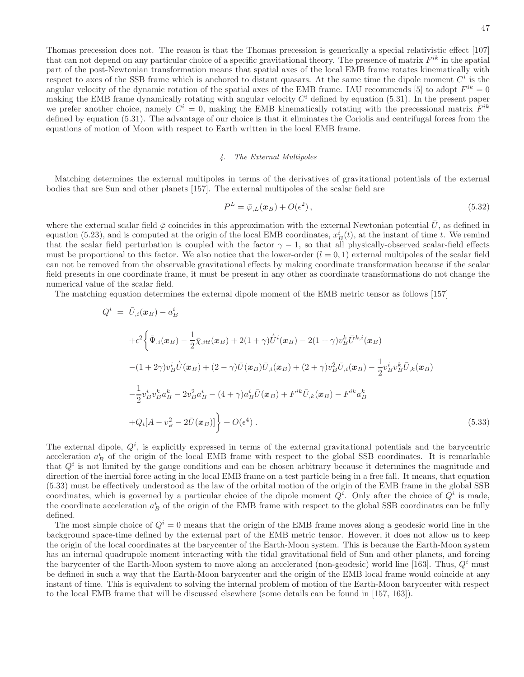Thomas precession does not. The reason is that the Thomas precession is generically a special relativistic effect [107] that can not depend on any particular choice of a specific gravitational theory. The presence of matrix  $F^{ik}$  in the spatial part of the post-Newtonian transformation means that spatial axes of the local EMB frame rotates kinematically with respect to axes of the SSB frame which is anchored to distant quasars. At the same time the dipole moment  $C^i$  is the angular velocity of the dynamic rotation of the spatial axes of the EMB frame. IAU recommends [5] to adopt  $F^{ik} = 0$ making the EMB frame dynamically rotating with angular velocity  $C<sup>i</sup>$  defined by equation (5.31). In the present paper we prefer another choice, namely  $C^i = 0$ , making the EMB kinematically rotating with the precessional matrix  $F^{ik}$ defined by equation (5.31). The advantage of our choice is that it eliminates the Coriolis and centrifugal forces from the equations of motion of Moon with respect to Earth written in the local EMB frame.

# *4. The External Multipoles*

Matching determines the external multipoles in terms of the derivatives of gravitational potentials of the external bodies that are Sun and other planets [157]. The external multipoles of the scalar field are

$$
P^L = \bar{\varphi}_{,L}(\boldsymbol{x}_B) + O(\epsilon^2),\tag{5.32}
$$

where the external scalar field  $\bar{\varphi}$  coincides in this approximation with the external Newtonian potential U, as defined in equation (5.23), and is computed at the origin of the local EMB coordinates,  $x_B^i(t)$ , at the instant of time t. We remind that the scalar field perturbation is coupled with the factor  $\gamma - 1$ , so that all physically-observed scalar-field effects must be proportional to this factor. We also notice that the lower-order  $(l = 0, 1)$  external multipoles of the scalar field can not be removed from the observable gravitational effects by making coordinate transformation because if the scalar field presents in one coordinate frame, it must be present in any other as coordinate transformations do not change the numerical value of the scalar field.

The matching equation determines the external dipole moment of the EMB metric tensor as follows [157]

$$
Q^{i} = \bar{U}_{,i}(\boldsymbol{x}_{B}) - a_{B}^{i}
$$
  
+
$$
\epsilon^{2} \Biggl\{ \bar{\Psi}_{,i}(\boldsymbol{x}_{B}) - \frac{1}{2} \bar{\chi}_{,itt}(\boldsymbol{x}_{B}) + 2(1+\gamma) \bar{U}^{i}(\boldsymbol{x}_{B}) - 2(1+\gamma) v_{B}^{k} \bar{U}^{k,i}(\boldsymbol{x}_{B})
$$

$$
-(1+2\gamma) v_{B}^{i} \bar{U}(\boldsymbol{x}_{B}) + (2-\gamma) \bar{U}(\boldsymbol{x}_{B}) \bar{U}_{,i}(\boldsymbol{x}_{B}) + (2+\gamma) v_{B}^{2} \bar{U}_{,i}(\boldsymbol{x}_{B}) - \frac{1}{2} v_{B}^{i} v_{B}^{k} \bar{U}_{,k}(\boldsymbol{x}_{B})
$$

$$
-\frac{1}{2} v_{B}^{i} v_{B}^{k} a_{B}^{k} - 2v_{B}^{2} a_{B}^{i} - (4+\gamma) a_{B}^{i} \bar{U}(\boldsymbol{x}_{B}) + F^{ik} \bar{U}_{,k}(\boldsymbol{x}_{B}) - F^{ik} a_{B}^{k}
$$

$$
+ Q_{i} [A - v_{B}^{2} - 2 \bar{U}(\boldsymbol{x}_{B})] \Biggr\} + O(\epsilon^{4}). \qquad (5.33)
$$

The external dipole,  $Q^i$ , is explicitly expressed in terms of the external gravitational potentials and the barycentric acceleration  $a_B^i$  of the origin of the local EMB frame with respect to the global SSB coordinates. It is remarkable that  $Q<sup>i</sup>$  is not limited by the gauge conditions and can be chosen arbitrary because it determines the magnitude and direction of the inertial force acting in the local EMB frame on a test particle being in a free fall. It means, that equation (5.33) must be effectively understood as the law of the orbital motion of the origin of the EMB frame in the global SSB coordinates, which is governed by a particular choice of the dipole moment  $Q^i$ . Only after the choice of  $Q^i$  is made, the coordinate acceleration  $a_B^i$  of the origin of the EMB frame with respect to the global SSB coordinates can be fully defined.

The most simple choice of  $Q^i = 0$  means that the origin of the EMB frame moves along a geodesic world line in the background space-time defined by the external part of the EMB metric tensor. However, it does not allow us to keep the origin of the local coordinates at the barycenter of the Earth-Moon system. This is because the Earth-Moon system has an internal quadrupole moment interacting with the tidal gravitational field of Sun and other planets, and forcing the barycenter of the Earth-Moon system to move along an accelerated (non-geodesic) world line [163]. Thus,  $Q<sup>i</sup>$  must be defined in such a way that the Earth-Moon barycenter and the origin of the EMB local frame would coincide at any instant of time. This is equivalent to solving the internal problem of motion of the Earth-Moon barycenter with respect to the local EMB frame that will be discussed elsewhere (some details can be found in [157, 163]).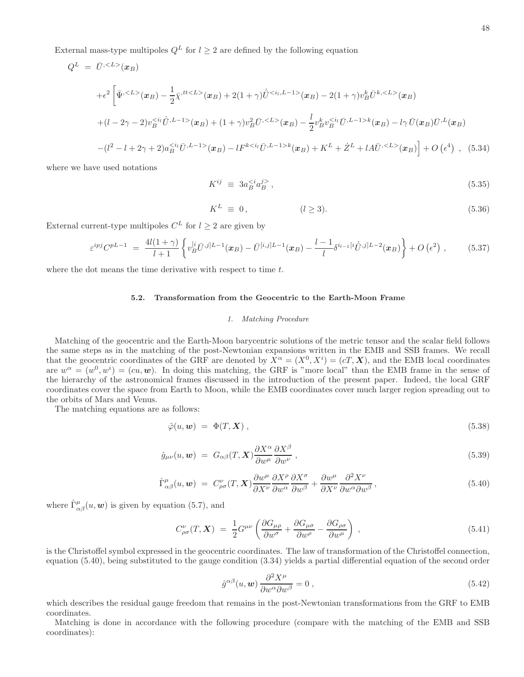External mass-type multipoles  $Q^L$  for  $l \geq 2$  are defined by the following equation

$$
Q^{L} = \bar{U}^{(0)}(x) + \epsilon^{2} \left[ \bar{\Psi}^{(0)}(x) - \frac{1}{2} \bar{\chi}^{(0)}(x) + 2(1+\gamma) \bar{U}^{(0)}(x) - 2(1+\gamma)v_{B}^{k} \bar{U}^{k}(x) - (x_{B}) \right]
$$
  
+ 
$$
(\ell - 2\gamma - 2)v_{B}^{(i)} \bar{U}^{(L-1)}(x) + (1+\gamma)v_{B}^{2} \bar{U}^{(0)}(x) - \frac{\ell}{2} v_{B}^{k} v_{B}^{(i)} \bar{U}^{(L-1)k}(x) - \ell \bar{U}(x_{B}) \bar{U}^{(L)}(x) - (\ell^{2} - \ell + 2\gamma + 2)a_{B}^{(i)} \bar{U}^{(L-1)}(x) - \ell F^{k} \langle i \bar{U}^{(L-1)k}(x) + K^{L} + \bar{Z}^{L} + \ell A \bar{U}^{(0)}(x) \rangle + O(\epsilon^{4}), \quad (5.34)
$$

where we have used notations

$$
K^{ij} \equiv 3a_B^{} \,, \tag{5.35}
$$

$$
K^L \equiv 0, \qquad (l \ge 3). \tag{5.36}
$$

External current-type multipoles  $C^L$  for  $l \geq 2$  are given by

$$
\varepsilon^{ipj}C^{pL-1} = \frac{4l(1+\gamma)}{l+1} \left\{ v_B^{[i}\bar{U}^{,j]L-1}(\bm{x}_B) - \bar{U}^{[i,j]L-1}(\bm{x}_B) - \frac{l-1}{l} \delta^{i_{l-1}[i}\dot{\bar{U}}^{,j]L-2}(\bm{x}_B) \right\} + O\left(\epsilon^2\right) ,\tag{5.37}
$$

where the dot means the time derivative with respect to time  $t$ .

### 5.2. Transformation from the Geocentric to the Earth-Moon Frame

### *1. Matching Procedure*

Matching of the geocentric and the Earth-Moon barycentric solutions of the metric tensor and the scalar field follows the same steps as in the matching of the post-Newtonian expansions written in the EMB and SSB frames. We recall that the geocentric coordinates of the GRF are denoted by  $X^{\alpha} = (X^0, X^i) = (cT, \mathbf{X})$ , and the EMB local coordinates are  $w^{\alpha} = (w^0, w^i) = (cu, \mathbf{w})$ . In doing this matching, the GRF is "more local" than the EMB frame in the sense of the hierarchy of the astronomical frames discussed in the introduction of the present paper. Indeed, the local GRF coordinates cover the space from Earth to Moon, while the EMB coordinates cover much larger region spreading out to the orbits of Mars and Venus.

The matching equations are as follows:

$$
\hat{\varphi}(u,\mathbf{w}) = \Phi(T,\mathbf{X}),\tag{5.38}
$$

$$
\hat{g}_{\mu\nu}(u,\mathbf{w}) = G_{\alpha\beta}(T,\mathbf{X}) \frac{\partial X^{\alpha}}{\partial w^{\mu}} \frac{\partial X^{\beta}}{\partial w^{\nu}}, \qquad (5.39)
$$

$$
\hat{\Gamma}^{\mu}_{\alpha\beta}(u,\mathbf{w}) = C^{\nu}_{\rho\sigma}(T,\mathbf{X}) \frac{\partial w^{\mu}}{\partial X^{\nu}} \frac{\partial X^{\rho}}{\partial w^{\alpha}} \frac{\partial X^{\sigma}}{\partial w^{\beta}} + \frac{\partial w^{\mu}}{\partial X^{\nu}} \frac{\partial^{2} X^{\nu}}{\partial w^{\alpha} \partial w^{\beta}},
$$
\n(5.40)

where  $\hat{\Gamma}^{\mu}_{\alpha\beta}(u, \mathbf{w})$  is given by equation (5.7), and

$$
C^{\nu}_{\rho\sigma}(T,\boldsymbol{X}) = \frac{1}{2} G^{\mu\nu} \left( \frac{\partial G_{\mu\rho}}{\partial w^{\sigma}} + \frac{\partial G_{\mu\sigma}}{\partial w^{\rho}} - \frac{\partial G_{\rho\sigma}}{\partial w^{\mu}} \right) , \qquad (5.41)
$$

is the Christoffel symbol expressed in the geocentric coordinates. The law of transformation of the Christoffel connection, equation (5.40), being substituted to the gauge condition (3.34) yields a partial differential equation of the second order

$$
\hat{g}^{\alpha\beta}(u,\mathbf{w})\frac{\partial^2 X^{\mu}}{\partial w^{\alpha}\partial w^{\beta}} = 0 , \qquad (5.42)
$$

which describes the residual gauge freedom that remains in the post-Newtonian transformations from the GRF to EMB coordinates.

Matching is done in accordance with the following procedure (compare with the matching of the EMB and SSB coordinates):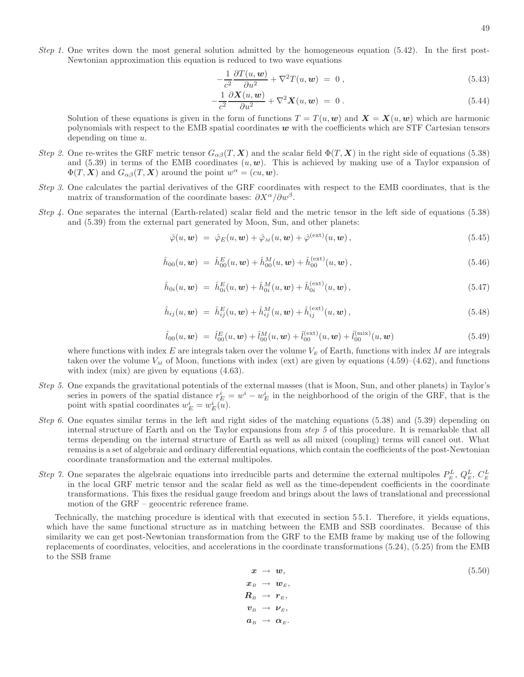Step 1. One writes down the most general solution admitted by the homogeneous equation (5.42). In the first post-Newtonian approximation this equation is reduced to two wave equations

$$
-\frac{1}{c^2} \frac{\partial T(u, \mathbf{w})}{\partial u^2} + \nabla^2 T(u, \mathbf{w}) = 0 , \qquad (5.43)
$$

$$
-\frac{1}{c^2}\frac{\partial \mathbf{X}(u,\mathbf{w})}{\partial u^2} + \nabla^2 \mathbf{X}(u,\mathbf{w}) = 0.
$$
\n(5.44)

Solution of these equations is given in the form of functions  $T = T(u, w)$  and  $X = X(u, w)$  which are harmonic polynomials with respect to the EMB spatial coordinates  $w$  with the coefficients which are STF Cartesian tensors depending on time u.

- Step 2. One re-writes the GRF metric tensor  $G_{\alpha\beta}(T,\mathbf{X})$  and the scalar field  $\Phi(T,\mathbf{X})$  in the right side of equations (5.38) and (5.39) in terms of the EMB coordinates  $(u, w)$ . This is achieved by making use of a Taylor expansion of  $\Phi(T, \mathbf{X})$  and  $G_{\alpha\beta}(T, \mathbf{X})$  around the point  $w^{\alpha} = (cu, \mathbf{w}).$
- Step 3. One calculates the partial derivatives of the GRF coordinates with respect to the EMB coordinates, that is the matrix of transformation of the coordinate bases:  $\partial X^{\alpha}/\partial w^{\beta}$ .
- Step 4. One separates the internal (Earth-related) scalar field and the metric tensor in the left side of equations (5.38) and (5.39) from the external part generated by Moon, Sun, and other planets:

$$
\hat{\varphi}(u,\mathbf{w}) = \hat{\varphi}_E(u,\mathbf{w}) + \hat{\varphi}_M(u,\mathbf{w}) + \hat{\varphi}^{(\text{ext})}(u,\mathbf{w}), \qquad (5.45)
$$

$$
\hat{h}_{00}(u, \mathbf{w}) = \hat{h}_{00}^{E}(u, \mathbf{w}) + \hat{h}_{00}^{M}(u, \mathbf{w}) + \hat{h}_{00}^{(\text{ext})}(u, \mathbf{w}), \qquad (5.46)
$$

$$
\hat{h}_{0i}(u,\mathbf{w}) = \hat{h}_{0i}^{E}(u,\mathbf{w}) + \hat{h}_{0i}^{M}(u,\mathbf{w}) + \hat{h}_{0i}^{(\text{ext})}(u,\mathbf{w}), \qquad (5.47)
$$

$$
\hat{h}_{ij}(u, \mathbf{w}) = \hat{h}_{ij}^{E}(u, \mathbf{w}) + \hat{h}_{ij}^{M}(u, \mathbf{w}) + \hat{h}_{ij}^{(\text{ext})}(u, \mathbf{w}), \qquad (5.48)
$$

$$
\hat{l}_{00}(u,\mathbf{w}) = \hat{l}_{00}^{E}(u,\mathbf{w}) + \hat{l}_{00}^{M}(u,\mathbf{w}) + \hat{l}_{00}^{(\text{ext})}(u,\mathbf{w}) + \hat{l}_{00}^{(\text{mix})}(u,\mathbf{w}) \tag{5.49}
$$

where functions with index E are integrals taken over the volume  $V_E$  of Earth, functions with index M are integrals taken over the volume  $V_M$  of Moon, functions with index (ext) are given by equations (4.59)–(4.62), and functions with index (mix) are given by equations (4.63).

- Step 5. One expands the gravitational potentials of the external masses (that is Moon, Sun, and other planets) in Taylor's series in powers of the spatial distance  $r_E^i = w^i - w_E^i$  in the neighborhood of the origin of the GRF, that is the point with spatial coordinates  $w_E^i = w_E^i(u)$ .
- Step 6. One equates similar terms in the left and right sides of the matching equations (5.38) and (5.39) depending on internal structure of Earth and on the Taylor expansions from step 5 of this procedure. It is remarkable that all terms depending on the internal structure of Earth as well as all mixed (coupling) terms will cancel out. What remains is a set of algebraic and ordinary differential equations, which contain the coefficients of the post-Newtonian coordinate transformation and the external multipoles.
- Step 7. One separates the algebraic equations into irreducible parts and determine the external multipoles  $P_{E}^{L}$ ,  $Q_{E}^{L}$ ,  $C_{E}^{L}$ in the local GRF metric tensor and the scalar field as well as the time-dependent coefficients in the coordinate transformations. This fixes the residual gauge freedom and brings about the laws of translational and precessional motion of the GRF – geocentric reference frame.

Technically, the matching procedure is identical with that executed in section 5 5.1. Therefore, it yields equations, which have the same functional structure as in matching between the EMB and SSB coordinates. Because of this similarity we can get post-Newtonian transformation from the GRF to the EMB frame by making use of the following replacements of coordinates, velocities, and accelerations in the coordinate transformations (5.24), (5.25) from the EMB to the SSB frame

$$
\begin{aligned}\n\boldsymbol{x} &\rightarrow \boldsymbol{w}, \\
\boldsymbol{x}_B &\rightarrow \boldsymbol{w}_E, \\
\boldsymbol{R}_B &\rightarrow \boldsymbol{r}_E, \\
\boldsymbol{v}_B &\rightarrow \boldsymbol{v}_E, \\
\boldsymbol{a}_B &\rightarrow \boldsymbol{\alpha}_E.\n\end{aligned} \tag{5.50}
$$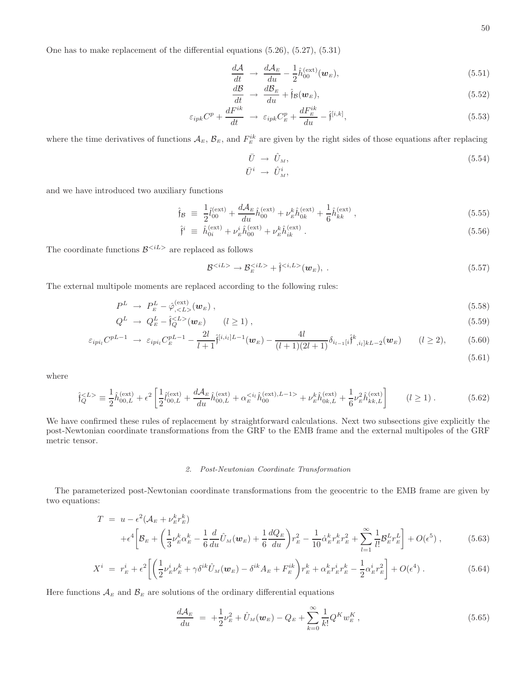One has to make replacement of the differential equations (5.26), (5.27), (5.31)

$$
\frac{d\mathcal{A}}{dt} \rightarrow \frac{d\mathcal{A}_E}{du} - \frac{1}{2} \hat{h}_{00}^{(\text{ext})}(\boldsymbol{w}_E),
$$
\n(5.51)

$$
\frac{d\mathcal{B}}{dt} \rightarrow \frac{d\mathcal{B}_E}{du} + \hat{\mathfrak{f}}_B(\boldsymbol{w}_E),\tag{5.52}
$$

$$
\varepsilon_{ipk}C^{p} + \frac{dF^{ik}}{dt} \rightarrow \varepsilon_{ipk}C_{E}^{p} + \frac{dF_{E}^{ik}}{du} - \hat{\mathfrak{f}}^{[i,k]},
$$
\n(5.53)

where the time derivatives of functions  $A_E$ ,  $B_E$ , and  $F_E^{ik}$  are given by the right sides of those equations after replacing

$$
\bar{U} \rightarrow \hat{U}_M, \n\bar{U}^i \rightarrow \hat{U}^i_M,
$$
\n(5.54)

and we have introduced two auxiliary functions

$$
\hat{\mathfrak{f}}_{\mathcal{B}} \equiv \frac{1}{2} \hat{l}_{00}^{(\text{ext})} + \frac{d\mathcal{A}_E}{du} \hat{h}_{00}^{(\text{ext})} + \nu_E^k \hat{h}_{0k}^{(\text{ext})} + \frac{1}{6} \hat{h}_{kk}^{(\text{ext})} , \qquad (5.55)
$$

$$
\hat{\mathbf{f}}^i \equiv \hat{h}_{0i}^{(\text{ext})} + \nu_E^i \hat{h}_{00}^{(\text{ext})} + \nu_E^k \hat{h}_{ik}^{(\text{ext})} \,. \tag{5.56}
$$

The coordinate functions  $\mathcal{B}^{$  are replaced as follows

$$
\mathcal{B}^{ \to \mathcal{B}_E^{ + \hat{\mathfrak{f}}^{}}(\mathbf{w}_E), .
$$
\n
$$
(5.57)
$$

The external multipole moments are replaced according to the following rules:

$$
P^L \rightarrow P_E^L - \hat{\varphi}_{\langle\langle L \rangle}^{(\text{ext})}(\boldsymbol{w}_E) \,, \tag{5.58}
$$

$$
Q^L \rightarrow Q^L = \hat{\mathfrak{f}}_Q^{\langle L \rangle}(\boldsymbol{w}_E) \qquad (l \ge 1) , \qquad (5.59)
$$

$$
\varepsilon_{ipi_l} C^{pL-1} \to \varepsilon_{ipi_l} C_E^{pL-1} - \frac{2l}{l+1} \hat{\mathfrak{f}}^{[i,i_l]L-1}(\boldsymbol{w}_E) - \frac{4l}{(l+1)(2l+1)} \delta_{i_{l-1}[i} \hat{\mathfrak{f}}^k_{i_l]kL-2}(\boldsymbol{w}_E) \qquad (l \ge 2), \tag{5.60}
$$

$$
(5.61)
$$

where

$$
\hat{\mathfrak{f}}_{Q}^{\langle L \rangle} \equiv \frac{1}{2} \hat{h}_{00,L}^{(\text{ext})} + \epsilon^2 \left[ \frac{1}{2} \hat{l}_{00,L}^{(\text{ext})} + \frac{d\mathcal{A}_E}{du} \hat{h}_{00,L}^{(\text{ext})} + \alpha_E^{\langle i_1 \hat{h}_{00}^{(\text{ext}),L-1 \rangle} + \nu_E^k \hat{h}_{0k,L}^{(\text{ext})} + \frac{1}{6} \nu_E^2 \hat{h}_{kk,L}^{(\text{ext})} \right] \qquad (l \ge 1) \,. \tag{5.62}
$$

We have confirmed these rules of replacement by straightforward calculations. Next two subsections give explicitly the post-Newtonian coordinate transformations from the GRF to the EMB frame and the external multipoles of the GRF metric tensor.

## *2. Post-Newtonian Coordinate Transformation*

The parameterized post-Newtonian coordinate transformations from the geocentric to the EMB frame are given by two equations:

$$
T = u - \epsilon^2 (\mathcal{A}_E + \nu_E^k r_E^k) + \epsilon^4 \left[ \mathcal{B}_E + \left( \frac{1}{3} \nu_E^k \alpha_E^k - \frac{1}{6} \frac{d}{du} \hat{U}_M(\mathbf{w}_E) + \frac{1}{6} \frac{dQ_E}{du} \right) r_E^2 - \frac{1}{10} \dot{\alpha}_E^k r_E^k r_E^2 + \sum_{l=1}^{\infty} \frac{1}{l!} \mathcal{B}_E^L r_E^L \right] + O(\epsilon^5) ,
$$
(5.63)

$$
X^{i} = r_{E}^{i} + \epsilon^{2} \left[ \left( \frac{1}{2} \nu_{E}^{i} \nu_{E}^{k} + \gamma \delta^{ik} \hat{U}_{M}(\boldsymbol{w}_{E}) - \delta^{ik} A_{E} + F_{E}^{ik} \right) r_{E}^{k} + \alpha_{E}^{k} r_{E}^{i} r_{E}^{k} - \frac{1}{2} \alpha_{E}^{i} r_{E}^{2} \right] + O(\epsilon^{4}) \tag{5.64}
$$

Here functions  $A_E$  and  $B_E$  are solutions of the ordinary differential equations

$$
\frac{d\mathcal{A}_E}{du} = +\frac{1}{2}\nu_E^2 + \hat{U}_M(\boldsymbol{w}_E) - Q_E + \sum_{k=0}^{\infty} \frac{1}{k!} Q^K w_E^K , \qquad (5.65)
$$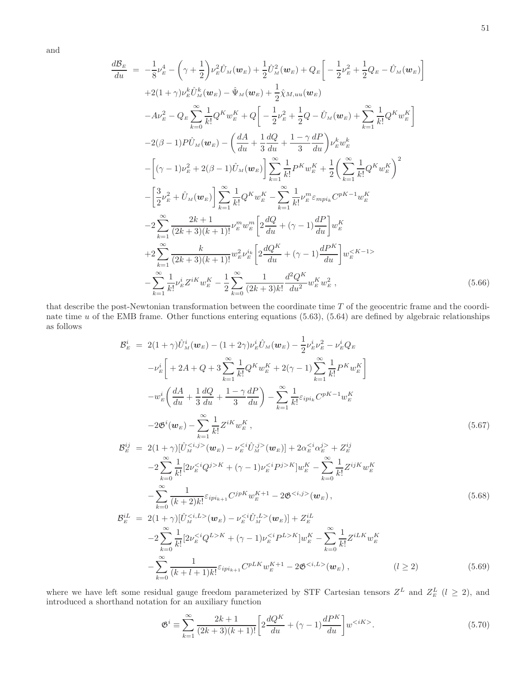and

$$
\frac{d\mathcal{B}_E}{du} = -\frac{1}{8}\nu_{E}^{4} - \left(\gamma + \frac{1}{2}\right)\nu_{E}^{2}\hat{U}_{M}(\mathbf{w}_{E}) + \frac{1}{2}\hat{U}_{M}^{2}(\mathbf{w}_{E}) + Q_{E}\left[-\frac{1}{2}\nu_{E}^{2} + \frac{1}{2}Q_{E} - \hat{U}_{M}(\mathbf{w}_{E})\right] \n+ 2(1+\gamma)\nu_{E}^{k}\hat{U}_{M}^{k}(\mathbf{w}_{E}) - \hat{\Psi}_{M}(\mathbf{w}_{E}) + \frac{1}{2}\hat{\chi}_{M,uu}(\mathbf{w}_{E}) \n- A\nu_{E}^{2} - Q_{E}\sum_{k=0}^{\infty} \frac{1}{k!}Q^{K}w_{E}^{K} + Q\left[-\frac{1}{2}\nu_{E}^{2} + \frac{1}{2}Q - \hat{U}_{M}(\mathbf{w}_{E}) + \sum_{k=1}^{\infty} \frac{1}{k!}Q^{K}w_{E}^{K}\right] \n- 2(\beta - 1)P\hat{U}_{M}(\mathbf{w}_{E}) - \left(\frac{dA}{du} + \frac{1}{3}\frac{dQ}{du} + \frac{1-\gamma}{3}\frac{dP}{du}\right)\nu_{E}^{k}w_{E}^{k} \n- \left[(\gamma - 1)\nu_{E}^{2} + 2(\beta - 1)\hat{U}_{M}(\mathbf{w}_{E})\right]\sum_{k=1}^{\infty} \frac{1}{k!}P^{K}w_{E}^{K} + \frac{1}{2}\left(\sum_{k=1}^{\infty} \frac{1}{k!}Q^{K}w_{E}^{K}\right)^{2} \n- \left[\frac{3}{2}\nu_{E}^{2} + \hat{U}_{M}(\mathbf{w}_{E})\right]\sum_{k=1}^{\infty} \frac{1}{k!}Q^{K}w_{E}^{K} - \sum_{k=1}^{\infty} \frac{1}{k!}\nu_{E}^{m}\varepsilon_{mpi}C^{pK-1}w_{E}^{K} \n- 2\sum_{k=1}^{\infty} \frac{2k+1}{(2k+3)(k+1)!}\nu_{E}^{m}w_{E}^{m}\left[2\frac{dQ}{du} + (\gamma - 1)\frac{dP}{du}\right]w_{E}^{K
$$

that describe the post-Newtonian transformation between the coordinate time  $T$  of the geocentric frame and the coordinate time  $u$  of the EMB frame. Other functions entering equations  $(5.63)$ ,  $(5.64)$  are defined by algebraic relationships as follows

$$
\mathcal{B}_{E}^{i} = 2(1+\gamma)\hat{U}_{M}^{i}(\mathbf{w}_{E}) - (1+2\gamma)\nu_{E}^{i}\hat{U}_{M}(\mathbf{w}_{E}) - \frac{1}{2}\nu_{E}^{i}\nu_{E}^{2} - \nu_{E}^{i}Q_{E}
$$
\n
$$
-\nu_{E}^{i}\left[ +2A+Q+3\sum_{k=1}^{\infty}\frac{1}{k!}Q^{K}w_{E}^{K} + 2(\gamma-1)\sum_{k=1}^{\infty}\frac{1}{k!}P^{K}w_{E}^{K} \right]
$$
\n
$$
-\nu_{E}^{i}\left(\frac{dA}{du} + \frac{1}{3}\frac{dQ}{du} + \frac{1-\gamma}{3}\frac{dP}{du}\right) - \sum_{k=1}^{\infty}\frac{1}{k!}\varepsilon_{ipi_{k}}C^{pK-1}w_{E}^{K}
$$
\n
$$
-2\mathfrak{G}^{i}(\mathbf{w}_{E}) - \sum_{k=1}^{\infty}\frac{1}{k!}Z^{iK}w_{E}^{K}, \qquad (5.67)
$$
\n
$$
\mathcal{B}_{E}^{ij} = 2(1+\gamma)[\hat{U}_{M}^{i,j>}(\mathbf{w}_{E}) - \nu_{E}^{i}\hat{U}_{M}^{j,j}(\mathbf{w}_{E})] + 2\alpha_{E}^{i}\alpha_{E}^{j>} + Z_{E}^{ij}
$$
\n
$$
-2\sum_{k=0}^{\infty}\frac{1}{k!}[2\nu_{E}^{i}\mathcal{Q}^{j>K} + (\gamma-1)\nu_{E}^{K}]w_{E}^{K} - \sum_{k=0}^{\infty}\frac{1}{k!}Z^{ijK}w_{E}^{K}
$$
\n
$$
-\sum_{k=0}^{\infty}\frac{1}{(k+2)k!}\varepsilon_{ipi_{k+1}}C^{jpK}w_{E}^{K+1} - 2\mathfrak{G}^{\n
$$
\mathcal{B}_{E}^{iL} = 2(1+\gamma)[\hat{U}_{M}^{i}\hat{U}_{M}^{>}\left(\mathbf{w}_{E
$$
$$

where we have left some residual gauge freedom parameterized by STF Cartesian tensors  $Z<sup>L</sup>$  and  $Z<sup>L</sup><sub>E</sub>$  ( $l \ge 2$ ), and introduced a shorthand notation for an auxiliary function

$$
\mathfrak{G}^{i} \equiv \sum_{k=1}^{\infty} \frac{2k+1}{(2k+3)(k+1)!} \left[ 2\frac{dQ^{K}}{du} + (\gamma - 1)\frac{dP^{K}}{du} \right] w^{K}. \tag{5.70}
$$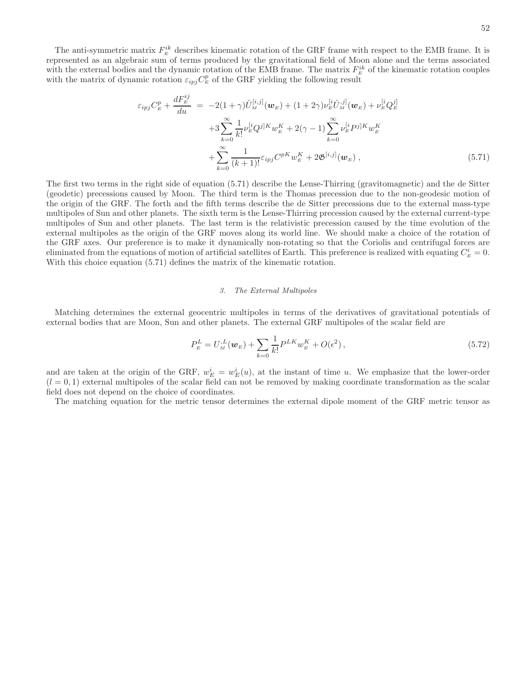The anti-symmetric matrix  $F_E^{ik}$  describes kinematic rotation of the GRF frame with respect to the EMB frame. It is represented as an algebraic sum of terms produced by the gravitational field of Moon alone and the terms associated with the external bodies and the dynamic rotation of the EMB frame. The matrix  $F_E^{ik}$  of the kinematic rotation couples with the matrix of dynamic rotation  $\varepsilon_{ipj}C_E^p$  of the GRF yielding the following result

$$
\varepsilon_{ipj}C_{E}^{p} + \frac{dF_{E}^{ij}}{du} = -2(1+\gamma)\hat{U}_{M}^{[i,j]}(\boldsymbol{w}_{E}) + (1+2\gamma)\nu_{E}^{[i}\hat{U}_{M}^{,j]}(\boldsymbol{w}_{E}) + \nu_{E}^{[i}Q_{E}^{j]} \n+3\sum_{k=0}^{\infty}\frac{1}{k!}\nu_{E}^{[i}Q^{j]K}w_{E}^{K} + 2(\gamma-1)\sum_{k=0}^{\infty}\nu_{E}^{[i}P^{j]K}w_{E}^{K} \n+ \sum_{k=0}^{\infty}\frac{1}{(k+1)!}\varepsilon_{ipj}C^{pK}w_{E}^{K} + 2\mathfrak{G}^{[i,j]}(\boldsymbol{w}_{E}), \qquad (5.71)
$$

The first two terms in the right side of equation (5.71) describe the Lense-Thirring (gravitomagnetic) and the de Sitter (geodetic) precessions caused by Moon. The third term is the Thomas precession due to the non-geodesic motion of the origin of the GRF. The forth and the fifth terms describe the de Sitter precessions due to the external mass-type multipoles of Sun and other planets. The sixth term is the Lense-Thirring precession caused by the external current-type multipoles of Sun and other planets. The last term is the relativistic precession caused by the time evolution of the external multipoles as the origin of the GRF moves along its world line. We should make a choice of the rotation of the GRF axes. Our preference is to make it dynamically non-rotating so that the Coriolis and centrifugal forces are eliminated from the equations of motion of artificial satellites of Earth. This preference is realized with equating  $C_E^i = 0$ . With this choice equation  $(5.71)$  defines the matrix of the kinematic rotation.

## *3. The External Multipoles*

Matching determines the external geocentric multipoles in terms of the derivatives of gravitational potentials of external bodies that are Moon, Sun and other planets. The external GRF multipoles of the scalar field are

$$
P_E^L = U_M^L(\boldsymbol{w}_E) + \sum_{k=0} \frac{1}{k!} P^{LK} w_E^K + O(\epsilon^2), \qquad (5.72)
$$

and are taken at the origin of the GRF,  $w_E^i = w_E^i(u)$ , at the instant of time u. We emphasize that the lower-order  $(l = 0, 1)$  external multipoles of the scalar field can not be removed by making coordinate transformation as the scalar field does not depend on the choice of coordinates.

The matching equation for the metric tensor determines the external dipole moment of the GRF metric tensor as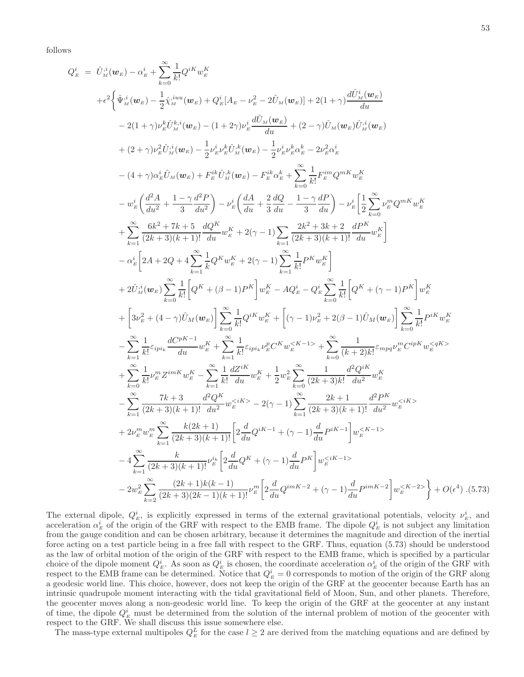follows

$$
Q_{s}^{i} = \hat{U}_{M}^{i}(\mathbf{w}_{E}) - \alpha_{B}^{i} + \sum_{k=0}^{\infty} \frac{1}{k!} Q^{iK} w_{s}^{K}
$$
\n
$$
+ c^{2} \Big\{ \hat{\Psi}_{M}^{i}(\mathbf{w}_{E}) - \frac{1}{2} \hat{\chi}_{M}^{iHi}(\mathbf{w}_{E}) + Q_{E}^{i} [A_{E} - \nu_{E}^{2} - 2\hat{U}_{M}(\mathbf{w}_{E})] + 2(1 + \gamma) \frac{d\hat{U}_{M}^{i}(\mathbf{w}_{E})}{du}
$$
\n
$$
- 2(1 + \gamma) \nu_{E}^{2} \hat{U}_{M}^{k i}(\mathbf{w}_{E}) - (1 + 2\gamma) \nu_{E}^{i} \frac{d\hat{U}_{M}(\mathbf{w}_{E})}{du} + (2 - \gamma) \hat{U}_{M}(\mathbf{w}_{E}) \hat{U}_{M}^{i}(\mathbf{w}_{E})
$$
\n
$$
+ (2 + \gamma) \nu_{E}^{2} \hat{U}_{M}^{i}(\mathbf{w}_{E}) - \frac{1}{2} \nu_{E}^{i} \nu_{E}^{k} \hat{U}_{M}^{k}(\mathbf{w}_{E}) - \frac{1}{2} \nu_{E}^{i} \nu_{E}^{k} \alpha_{E}^{k} - 2\nu_{E}^{2} \alpha_{E}^{i}
$$
\n
$$
- (4 + \gamma) \alpha_{E}^{i} \hat{U}_{M}(\mathbf{w}_{E}) + F_{E}^{i} \hat{U}_{M}^{k}(\mathbf{w}_{E}) - F_{E}^{ik} \alpha_{E}^{k} + \sum_{k=0}^{\infty} \frac{1}{k!} F_{E}^{im} Q^{mK} w_{E}^{K}
$$
\n
$$
- w_{E}^{i} \left( \frac{d^{2}A}{du^{2}} + \frac{1 - \gamma}{3} \frac{d^{2}P}{du^{2}} \right) - \nu_{E}^{i} \left( \frac{dA}{du} + \frac{2}{3} \frac{dQ}{du} - \frac{1 - \gamma}{3} \frac{dP}{du} \right) - \nu_{E}^{i} \left[ \frac{1}{2} \sum_{k=0}^{\infty} \nu_{E}^{m} Q^{mK} w_{E}^{K}
$$
\

The external dipole,  $Q_E^i$ , is explicitly expressed in terms of the external gravitational potentials, velocity  $\nu_E^i$ , and acceleration  $\alpha_E^i$  of the origin of the GRF with respect to the EMB frame. The dipole  $Q_E^i$  is not subject any limitation from the gauge condition and can be chosen arbitrary, because it determines the magnitude and direction of the inertial force acting on a test particle being in a free fall with respect to the GRF. Thus, equation (5.73) should be understood as the law of orbital motion of the origin of the GRF with respect to the EMB frame, which is specified by a particular choice of the dipole moment  $Q_E^i$ . As soon as  $Q_E^i$  is chosen, the coordinate acceleration  $\alpha_E^i$  of the origin of the GRF with respect to the EMB frame can be determined. Notice that  $Q_E^i = 0$  corresponds to motion of the origin of the GRF along a geodesic world line. This choice, however, does not keep the origin of the GRF at the geocenter because Earth has an intrinsic quadrupole moment interacting with the tidal gravitational field of Moon, Sun, and other planets. Therefore, the geocenter moves along a non-geodesic world line. To keep the origin of the GRF at the geocenter at any instant of time, the dipole  $Q_{E}^{i}$  must be determined from the solution of the internal problem of motion of the geocenter with respect to the GRF. We shall discuss this issue somewhere else.

The mass-type external multipoles  $Q_E^L$  for the case  $l \geq 2$  are derived from the matching equations and are defined by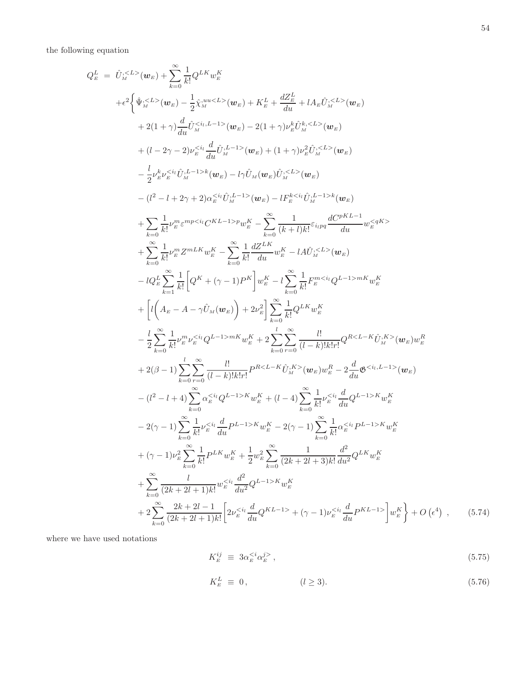the following equation

$$
Q_{x}^{L} = \hat{U}_{M}^{-\ell-2}(\mathbf{w}_{x}) + \sum_{k=0}^{\infty} \frac{1}{k!} Q^{LK} w_{x}^{K}
$$
  
+
$$
+ \epsilon^{2} \Biggl\{ \hat{\Psi}_{M}^{-\ell-2}(\mathbf{w}_{R}) - \frac{1}{2} \hat{\chi}_{M}^{n_{M} \le L-2}(\mathbf{w}_{R}) + K_{x}^{L} + \frac{dZ_{K}^{L}}{du} + L A_{R} \hat{U}_{M}^{s} \le L \mathbf{w}_{R} \Biggr)
$$
  
+
$$
2(1+\gamma) \frac{d}{du} \hat{U}_{M}^{s} \hat{\chi}_{1}^{L-1-1}(\mathbf{w}_{x}) - 2(1+\gamma) \nu_{K}^{k} \hat{U}_{M}^{k} \le L \mathbf{w}_{x} \Biggr)
$$
  
+
$$
(1-2\gamma - 2) \nu_{x}^{\le L} \frac{d}{du} \hat{U}_{M}^{L-1-2}(\mathbf{w}_{x}) + (1+\gamma) \nu_{x}^{2} \hat{U}_{M}^{-\ell-2}(\mathbf{w}_{x})
$$
  
-
$$
\frac{1}{2} \nu_{x}^{k} \nu_{x}^{\le L} (\hat{U}_{M}^{L-1-1-k}(\mathbf{w}_{R}) - L \gamma \hat{U}_{M}(\mathbf{w}_{R}) \hat{U}_{M}^{-\ell-1-2k}(\mathbf{w}_{R})
$$
  
-
$$
(\ell^{2} - 1 + 2\gamma + 2) \alpha_{x}^{\le L} (\hat{U}_{M}^{L-1-1-2}(\mathbf{w}_{R}) - L F_{k}^{k} \le L \hat{U}_{M}^{L-1-2k}(\mathbf{w}_{R})
$$
  
+
$$
\sum_{k=0}^{\infty} \frac{1}{k!} \nu_{x}^{m} \varepsilon^{mp} \varepsilon^{k} (\mathcal{U}_{L}^{L-1-2\gamma} \mathbf{w}_{R}^{K} - \sum_{k=0}^{\infty} \frac{1}{k!} \frac{dZ_{K}}{(k+1)!} \varepsilon^{k} \omega_{M}^{\ell} \frac{dC^{\mu} K L-1}{du}
$$
  
+
$$
\sum_{k=0}^{\infty} \frac{1}{k!} \nu_{x}
$$

where we have used notations

$$
K_E^{ij} \equiv 3\alpha_E^{}, \qquad (5.75)
$$

$$
K_E^L \equiv 0, \qquad (l \ge 3). \tag{5.76}
$$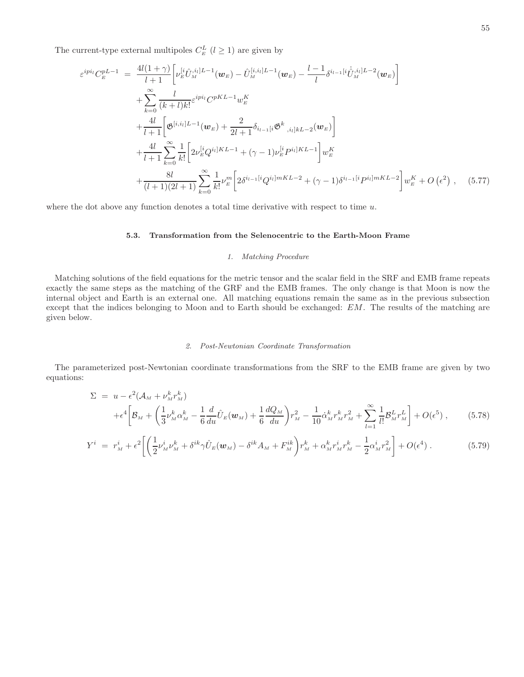The current-type external multipoles  $C_{E}^{L}$  ( $l \geq 1$ ) are given by

$$
\varepsilon^{ipi_l} C_E^{pL-1} = \frac{4l(1+\gamma)}{l+1} \bigg[ \nu_E^{[i}\hat{U}_M^{i_l]L-1}(\boldsymbol{w}_E) - \hat{U}_M^{[i,i_l]L-1}(\boldsymbol{w}_E) - \frac{l-1}{l} \delta^{i_{l-1}[i}\hat{U}_M^{i_l]L-2}(\boldsymbol{w}_E) \bigg] + \sum_{k=0}^{\infty} \frac{l}{(k+l)k!} \varepsilon^{ipi_l} C_P^{KL-1} w_E^K + \frac{4l}{l+1} \bigg[ \mathfrak{G}^{[i,i_l]L-1}(\boldsymbol{w}_E) + \frac{2}{2l+1} \delta_{i_{l-1}[i} \mathfrak{G}^k \zeta_{i_l]kL-2}(\boldsymbol{w}_E) \bigg] + \frac{4l}{l+1} \sum_{k=0}^{\infty} \frac{1}{k!} \bigg[ 2\nu_E^{[i} Q^{i_l]KL-1} + (\gamma - 1)\nu_E^{[i} P^{i_l]KL-1} \bigg] w_E^K + \frac{8l}{(l+1)(2l+1)} \sum_{k=0}^{\infty} \frac{1}{k!} \nu_E^m \bigg[ 2\delta^{i_{l-1}[i} Q^{i_l]mKL-2} + (\gamma - 1)\delta^{i_{l-1}[i} P^{i_l]mKL-2} \bigg] w_E^K + O\left(\epsilon^2\right) , \quad (5.77)
$$

where the dot above any function denotes a total time derivative with respect to time  $u$ .

# 5.3. Transformation from the Selenocentric to the Earth-Moon Frame

# *1. Matching Procedure*

Matching solutions of the field equations for the metric tensor and the scalar field in the SRF and EMB frame repeats exactly the same steps as the matching of the GRF and the EMB frames. The only change is that Moon is now the internal object and Earth is an external one. All matching equations remain the same as in the previous subsection except that the indices belonging to Moon and to Earth should be exchanged: EM. The results of the matching are given below.

# *2. Post-Newtonian Coordinate Transformation*

The parameterized post-Newtonian coordinate transformations from the SRF to the EMB frame are given by two equations:

$$
\Sigma = u - \epsilon^2 (\mathcal{A}_M + \nu_M^k r_M^k) + \epsilon^4 \bigg[ \mathcal{B}_M + \bigg( \frac{1}{3} \nu_M^k \alpha_M^k - \frac{1}{6} \frac{d}{du} \hat{U}_E(\mathbf{w}_M) + \frac{1}{6} \frac{dQ_M}{du} \bigg) r_M^2 - \frac{1}{10} \dot{\alpha}_M^k r_M^k r_M^2 + \sum_{l=1}^{\infty} \frac{1}{l!} \mathcal{B}_M^L r_M^L \bigg] + O(\epsilon^5) , \qquad (5.78)
$$

$$
Y^{i} = r_{M}^{i} + \epsilon^{2} \left[ \left( \frac{1}{2} \nu_{M}^{i} \nu_{M}^{k} + \delta^{ik} \gamma \hat{U}_{E}(\boldsymbol{w}_{M}) - \delta^{ik} A_{M} + F_{M}^{ik} \right) r_{M}^{k} + \alpha_{M}^{k} r_{M}^{i} r_{M}^{k} - \frac{1}{2} \alpha_{M}^{i} r_{M}^{2} \right] + O(\epsilon^{4}). \tag{5.79}
$$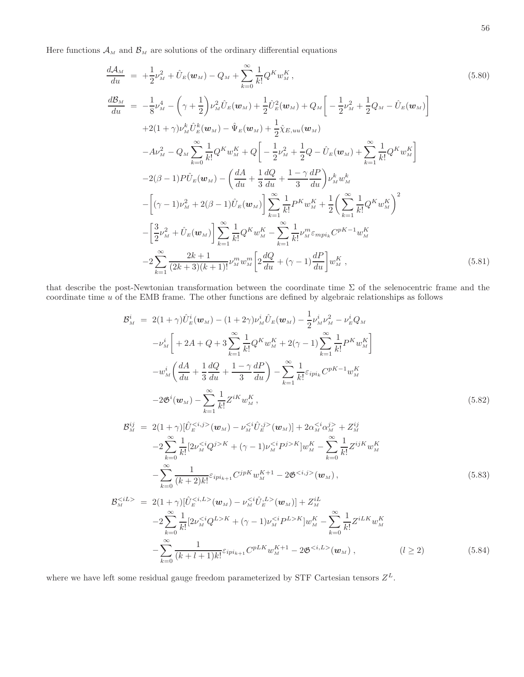Here functions  $\mathcal{A}_M$  and  $\mathcal{B}_M$  are solutions of the ordinary differential equations

$$
\frac{dA_{M}}{du} = +\frac{1}{2}\nu_{M}^{2} + \hat{U}_{E}(\boldsymbol{w}_{M}) - Q_{M} + \sum_{k=0}^{\infty} \frac{1}{k!}Q^{K}w_{M}^{K},
$$
\n
$$
\frac{d\tilde{B}_{M}}{du} = -\frac{1}{8}\nu_{M}^{4} - \left(\gamma + \frac{1}{2}\right)\nu_{M}^{2}\hat{U}_{E}(\boldsymbol{w}_{M}) + \frac{1}{2}\hat{U}_{E}^{2}(\boldsymbol{w}_{M}) + Q_{M}\left[-\frac{1}{2}\nu_{M}^{2} + \frac{1}{2}Q_{M} - \hat{U}_{E}(\boldsymbol{w}_{M})\right]
$$
\n
$$
+2(1+\gamma)\nu_{M}^{k}\hat{U}_{E}^{k}(\boldsymbol{w}_{M}) - \hat{\Psi}_{E}(\boldsymbol{w}_{M}) + \frac{1}{2}\hat{\chi}_{E,uu}(\boldsymbol{w}_{M})
$$
\n
$$
-A\nu_{M}^{2} - Q_{M}\sum_{k=0}^{\infty} \frac{1}{k!}Q^{K}w_{M}^{K} + Q\left[-\frac{1}{2}\nu_{M}^{2} + \frac{1}{2}Q - \hat{U}_{E}(\boldsymbol{w}_{M}) + \sum_{k=1}^{\infty} \frac{1}{k!}Q^{K}w_{M}^{K}\right]
$$
\n
$$
-2(\beta - 1)P\hat{U}_{E}(\boldsymbol{w}_{M}) - \left(\frac{dA}{du} + \frac{1}{3}\frac{dQ}{du} + \frac{1 - \gamma}{3}\frac{dP}{du}\right)\nu_{M}^{k}w_{M}^{k}
$$
\n
$$
- \left[(\gamma - 1)\nu_{M}^{2} + 2(\beta - 1)\hat{U}_{E}(\boldsymbol{w}_{M})\right]\sum_{k=1}^{\infty} \frac{1}{k!}P^{K}w_{M}^{K} + \frac{1}{2}\left(\sum_{k=1}^{\infty} \frac{1}{k!}Q^{K}w_{M}^{K}\right)^{2}
$$
\n
$$
- \left[\frac{3}{2}\nu_{M}^{2} + \hat{U}_{E}(\boldsymbol{w}_{M})\right]\sum_{k=1}^{\infty} \frac{1}{k!}Q^{K}w_{M}^{K} - \sum_{k=1}^{\infty} \frac{1}{k
$$

that describe the post-Newtonian transformation between the coordinate time  $\Sigma$  of the selenocentric frame and the coordinate time  $u$  of the EMB frame. The other functions are defined by algebraic relationships as follows

$$
\mathcal{B}_{M}^{i} = 2(1+\gamma)\hat{U}_{E}^{i}(\boldsymbol{w}_{M}) - (1+2\gamma)\nu_{M}^{i}\hat{U}_{E}(\boldsymbol{w}_{M}) - \frac{1}{2}\nu_{M}^{i}\nu_{M}^{2} - \nu_{E}^{i}Q_{M} \n- \nu_{M}^{i} \bigg[ + 2A + Q + 3\sum_{k=1}^{\infty} \frac{1}{k!}Q^{K}w_{M}^{K} + 2(\gamma - 1)\sum_{k=1}^{\infty} \frac{1}{k!}P^{K}w_{M}^{K} \bigg] \n- w_{M}^{i}\bigg(\frac{dA}{du} + \frac{1}{3}\frac{dQ}{du} + \frac{1-\gamma}{3}\frac{dP}{du}\bigg) - \sum_{k=1}^{\infty} \frac{1}{k!} \varepsilon_{ipik}C^{pK-1}w_{M}^{K} \n- 2\mathfrak{G}^{i}(\boldsymbol{w}_{M}) - \sum_{k=1}^{\infty} \frac{1}{k!}Z^{iK}w_{M}^{K},
$$
\n(5.82)

$$
\mathcal{B}_{M}^{ij} = 2(1+\gamma)[\hat{U}_{E}^{}(\boldsymbol{w}_{M}) - \nu_{M}^{}(\boldsymbol{w}_{M})] + 2\alpha_{M}^{} + Z_{M}^{ij}
$$
  
\n
$$
-2\sum_{k=0}^{\infty} \frac{1}{k!} [2\nu_{M}^{K} + (\gamma - 1)\nu_{M}^{K}]w_{M}^{K} - \sum_{k=0}^{\infty} \frac{1}{k!} Z^{ijK}w_{M}^{K}
$$
  
\n
$$
-\sum_{k=0}^{\infty} \frac{1}{(k+2)k!} \varepsilon_{ipi_{k+1}} C^{jpK}w_{M}^{K+1} - 2\mathfrak{G}^{}(\boldsymbol{w}_{M}),
$$
\n(5.83)

$$
\mathcal{B}_{M}^{L>} = 2(1+\gamma)[\hat{U}_{E}^{}(w_{M}) - \nu_{M}^{}(w_{M})] + Z_{M}^{iL}
$$
  
\n
$$
-2\sum_{k=0}^{\infty} \frac{1}{k!} [2\nu_{M}^{q}Q^{L>K} + (\gamma - 1)\nu_{M}^{K}]w_{M}^{K} - \sum_{k=0}^{\infty} \frac{1}{k!} Z^{iLK}w_{M}^{K}
$$
  
\n
$$
-\sum_{k=0}^{\infty} \frac{1}{(k+l+1)k!} \varepsilon_{ipi_{k+1}} C^{pLK}w_{M}^{K+1} - 2\mathfrak{G}^{}(w_{M}), \qquad (l \ge 2)
$$
(5.84)

where we have left some residual gauge freedom parameterized by STF Cartesian tensors  $Z<sup>L</sup>$ .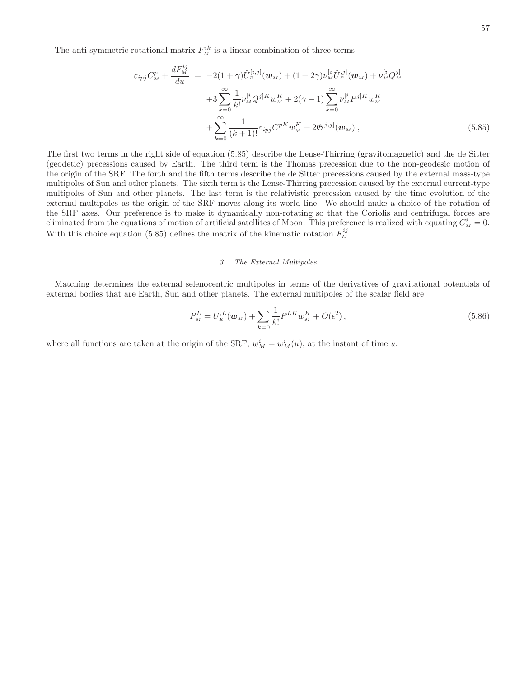The anti-symmetric rotational matrix  $F_M^{ik}$  is a linear combination of three terms

$$
\varepsilon_{ipj} C_M^p + \frac{dF_M^{ij}}{du} = -2(1+\gamma)\hat{U}_E^{[i,j]}(\boldsymbol{w}_M) + (1+2\gamma)\nu_M^{[i}\hat{U}_E^{j,j]}(\boldsymbol{w}_M) + \nu_M^{[i}Q_M^{j]} \n+3\sum_{k=0}^{\infty} \frac{1}{k!} \nu_M^{[i}Q^{j]K} w_M^K + 2(\gamma - 1)\sum_{k=0}^{\infty} \nu_M^{[i}P^{j]K} w_M^K \n+ \sum_{k=0}^{\infty} \frac{1}{(k+1)!} \varepsilon_{ipj} C^{pK} w_M^K + 2\mathfrak{G}^{[i,j]}(\boldsymbol{w}_M) ,
$$
\n(5.85)

The first two terms in the right side of equation (5.85) describe the Lense-Thirring (gravitomagnetic) and the de Sitter (geodetic) precessions caused by Earth. The third term is the Thomas precession due to the non-geodesic motion of the origin of the SRF. The forth and the fifth terms describe the de Sitter precessions caused by the external mass-type multipoles of Sun and other planets. The sixth term is the Lense-Thirring precession caused by the external current-type multipoles of Sun and other planets. The last term is the relativistic precession caused by the time evolution of the external multipoles as the origin of the SRF moves along its world line. We should make a choice of the rotation of the SRF axes. Our preference is to make it dynamically non-rotating so that the Coriolis and centrifugal forces are eliminated from the equations of motion of artificial satellites of Moon. This preference is realized with equating  $C_M^i = 0$ . With this choice equation (5.85) defines the matrix of the kinematic rotation  $F_M^{ij}$ .

# *3. The External Multipoles*

Matching determines the external selenocentric multipoles in terms of the derivatives of gravitational potentials of external bodies that are Earth, Sun and other planets. The external multipoles of the scalar field are

$$
P_M^L = U_E^L(\boldsymbol{w}_M) + \sum_{k=0} \frac{1}{k!} P^{LK} w_M^K + O(\epsilon^2) , \qquad (5.86)
$$

where all functions are taken at the origin of the SRF,  $w_M^i = w_M^i(u)$ , at the instant of time u.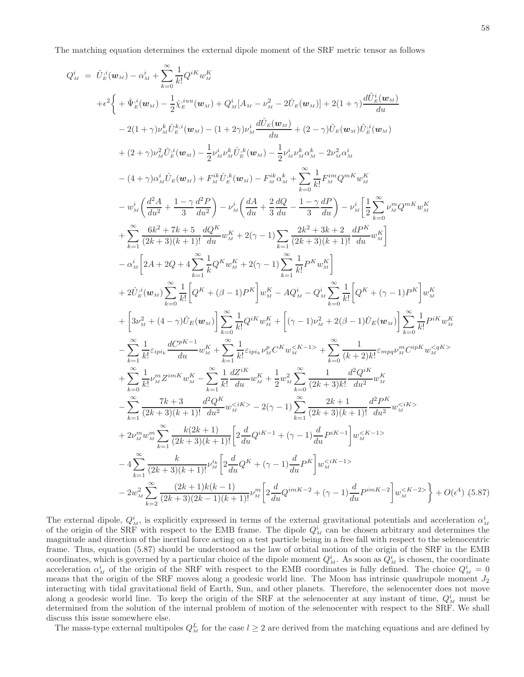The matching equation determines the external dipole moment of the SRF metric tensor as follows

$$
Q_{st}^{i} = \hat{U}_{s}^{i}(\mathbf{w}_{st}) - \alpha_{st}^{i} + \sum_{k=0}^{\infty} \frac{1}{k!} Q^{iK} w_{st}^{K}
$$
  
+
$$
\epsilon^{2} \bigg\{ + \hat{\Psi}_{s}^{i}(\mathbf{w}_{st}) - \frac{1}{2} \hat{\chi}_{s}^{i\text{sw}}(\mathbf{w}_{st}) + Q_{st}^{i}[A_{st} - \nu_{st}^{2} - 2\hat{U}_{k}(\mathbf{w}_{st})] + 2(1 + \gamma) \frac{d\hat{U}_{k}^{i}(\mathbf{w}_{st})}{du}
$$

$$
-2(1 + \gamma)\nu_{st}^{k}\hat{U}_{s}^{k\cdot i}(\mathbf{w}_{st}) - (1 + 2\gamma)\nu_{st}^{i} \frac{d\hat{U}_{s}(\mathbf{w}_{st})}{du} + (2 - \gamma)\hat{U}_{k}(\mathbf{w}_{st})\hat{U}_{s}^{i}(\mathbf{w}_{st})
$$

$$
+ (2 + \gamma)\nu_{st}^{2}\hat{U}_{k}^{i}(\mathbf{w}_{st}) - \frac{1}{2}\nu_{st}^{i}\nu_{st}^{k}\hat{U}_{s}^{k}(\mathbf{w}_{st}) - \frac{1}{2}\nu_{st}^{i}\nu_{st}^{k}\hat{U}_{st}^{k}(\mathbf{w}_{st}) - 2\nu_{st}^{2}\alpha_{st}^{i}
$$

$$
- (4 + \gamma)\alpha_{st}^{i}\hat{U}_{x}(\mathbf{w}_{st}) + F_{st}^{i\cdot k}\hat{U}_{s}^{k}(\mathbf{w}_{st}) - F_{st}^{i\cdot k}\alpha_{st}^{k} + \sum_{k=0}^{\infty} \frac{1}{k!}F_{st}^{im}Q^{mK}w_{st}^{K}
$$

$$
- w_{st}^{i} \bigg(\frac{d^{2}A}{du^{2}} + \frac{1 - \gamma}{3} \frac{d^{2}P}{du^{2}}\bigg) - \nu_{st}^{i} \bigg(\frac{dA}{du} + \frac{2}{3} \frac{dQ}{du} - \frac{1 - \gamma}{3} \frac{dP}{du}\bigg) - \nu_{st}^{i} \bigg[\frac{1}{2} \sum_{k=0}^{\infty} \nu_{st}^{m}Q^{mK}w_{st}^{K}
$$
<math display="block</math>

The external dipole,  $Q_M^i$ , is explicitly expressed in terms of the external gravitational potentials and acceleration  $\alpha_M^i$ of the origin of the SRF with respect to the EMB frame. The dipole  $Q_M^i$  can be chosen arbitrary and determines the magnitude and direction of the inertial force acting on a test particle being in a free fall with respect to the selenocentric frame. Thus, equation (5.87) should be understood as the law of orbital motion of the origin of the SRF in the EMB coordinates, which is governed by a particular choice of the dipole moment  $Q_M^i$ . As soon as  $Q_M^i$  is chosen, the coordinate acceleration  $\alpha_M^i$  of the origin of the SRF with respect to the EMB coordinates is fully defined. The choice  $Q_M^i = 0$ means that the origin of the SRF moves along a geodesic world line. The Moon has intrinsic quadrupole moment  $J_2$ interacting with tidal gravitational field of Earth, Sun, and other planets. Therefore, the selenocenter does not move along a geodesic world line. To keep the origin of the SRF at the selenocenter at any instant of time,  $Q_M^i$  must be determined from the solution of the internal problem of motion of the selenocenter with respect to the SRF. We shall discuss this issue somewhere else.

The mass-type external multipoles  $Q_M^L$  for the case  $l \geq 2$  are derived from the matching equations and are defined by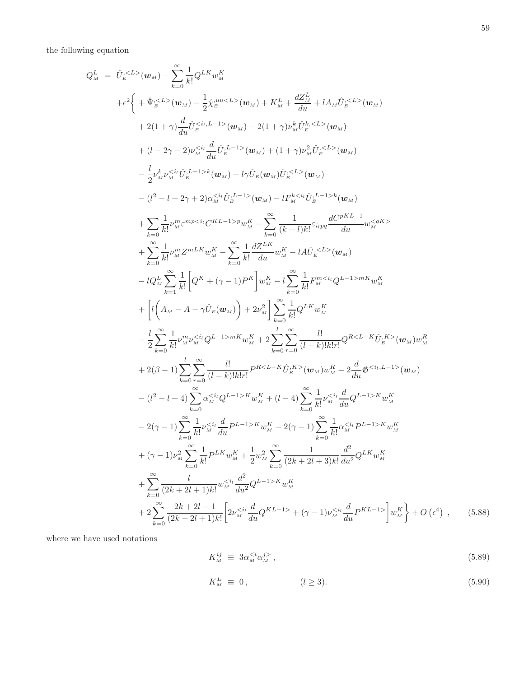the following equation

$$
Q_{M}^{L} = \hat{U}_{E}^{1,2}/\mathbf{w}_{M}^{L}) + \sum_{k=0}^{\infty} \frac{1}{k!} Q^{LK} w_{M}^{K}
$$
  
+
$$
e^{2} \Big\{ + \hat{\Psi}_{E}^{1,2}/\mathbf{w}_{M} - \frac{1}{2} \hat{\chi}_{E}^{1,2}/\mathbf{w}_{M}) + K_{M}^{L} + \frac{dZ_{M}^{L}}{du} + lA_{M} \hat{U}_{E}^{1,2}/\mathbf{w}_{M})
$$
  
+
$$
(1 + \gamma) \frac{d}{du} \hat{U}_{E}^{}(\mathbf{w}_{M}) - 2(1 + \gamma) \nu_{N}^{k} \hat{U}_{E}^{k,}(\mathbf{w}_{M})
$$
  
+
$$
(1 - 2\gamma - 2) \nu_{M}^{}(\mathbf{w}_{M}) + (1 + \gamma) \nu_{M}^{2} \hat{U}_{E}^{  
-
$$
\frac{1}{2} \nu_{M}^{k} \nu_{M}^{} \mathbf{k}(\mathbf{w}_{M}) - l\gamma \hat{U}_{E}(\mathbf{w}_{M}) \hat{U}_{E}^{  
-
$$
(l^{2} - l + 2\gamma + 2) \alpha_{M}^{}(\mathbf{w}_{M}) - lF_{M}^{k}(\mathbf{w}_{M})
$$
  
+
$$
\sum_{k=0}^{\infty} \frac{1}{k!} \nu_{M}^{m} \varepsilon^{m} \nu \varepsilon^{i_{1}} C^{KL-1>} \nu_{M}^{K} - \sum_{k=0}^{\infty} \frac{1}{k!} \frac{1}{k!} \frac{dZ^{LK}}{(\mathbf{k} + \mathbf{k}) \mathbf{k}!} \varepsilon_{M} \frac{dQ^{p}KL-1}{du} \omega_{M}^{}+ $$
$$
$$
$$

where we have used notations

$$
K_M^{ij} \equiv 3\alpha_M^{} \,, \tag{5.89}
$$

$$
K_M^L \equiv 0, \qquad (l \ge 3). \tag{5.90}
$$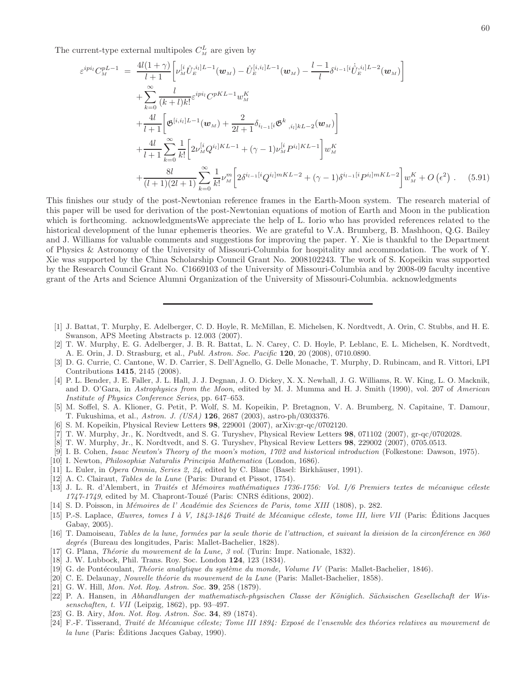The current-type external multipoles  $C_M^L$  are given by

$$
\varepsilon^{ipi_l} C_M^{pL-1} = \frac{4l(1+\gamma)}{l+1} \bigg[ \nu_M^{[i} \hat{U}_E^{i_l]L-1}(\mathbf{w}_M) - \hat{U}_E^{[i,i_l]L-1}(\mathbf{w}_M) - \frac{l-1}{l} \delta^{i_{l-1}[i} \hat{U}_E^{i_l]L-2}(\mathbf{w}_M) \bigg] \n+ \sum_{k=0}^{\infty} \frac{l}{(k+l)k!} \varepsilon^{ipi_l} C^{pKL-1} w_M^K \n+ \frac{4l}{l+1} \bigg[ \mathfrak{G}^{[i,i_l]L-1}(\mathbf{w}_M) + \frac{2}{2l+1} \delta_{i_{l-1}[i} \mathfrak{G}^k \mathbf{w}_{i_l]kL-2}(\mathbf{w}_M) \bigg] \n+ \frac{4l}{l+1} \sum_{k=0}^{\infty} \frac{1}{k!} \bigg[ 2\nu_M^{[i} Q^{i_l]KL-1} + (\gamma - 1) \nu_M^{[i} P^{i_l]KL-1} \bigg] w_M^K \n+ \frac{8l}{(l+1)(2l+1)} \sum_{k=0}^{\infty} \frac{1}{k!} \nu_M^{m} \bigg[ 2\delta^{i_{l-1}[i} Q^{i_l]mKL-2} + (\gamma - 1) \delta^{i_{l-1}[i} P^{i_l]mKL-2} \bigg] w_M^K + O\left(\epsilon^2\right). \tag{5.91}
$$

This finishes our study of the post-Newtonian reference frames in the Earth-Moon system. The research material of this paper will be used for derivation of the post-Newtonian equations of motion of Earth and Moon in the publication which is forthcoming. acknowledgmentsWe appreciate the help of L. Iorio who has provided references related to the historical development of the lunar ephemeris theories. We are grateful to V.A. Brumberg, B. Mashhoon, Q.G. Bailey and J. Williams for valuable comments and suggestions for improving the paper. Y. Xie is thankful to the Department of Physics & Astronomy of the University of Missouri-Columbia for hospitality and accommodation. The work of Y. Xie was supported by the China Scholarship Council Grant No. 2008102243. The work of S. Kopeikin was supported by the Research Council Grant No. C1669103 of the University of Missouri-Columbia and by 2008-09 faculty incentive grant of the Arts and Science Alumni Organization of the University of Missouri-Columbia. acknowledgments

- [1] J. Battat, T. Murphy, E. Adelberger, C. D. Hoyle, R. McMillan, E. Michelsen, K. Nordtvedt, A. Orin, C. Stubbs, and H. E. Swanson, APS Meeting Abstracts p. 12.003 (2007).
- [2] T. W. Murphy, E. G. Adelberger, J. B. R. Battat, L. N. Carey, C. D. Hoyle, P. Leblanc, E. L. Michelsen, K. Nordtvedt, A. E. Orin, J. D. Strasburg, et al., *Publ. Astron. Soc. Pacific* 120, 20 (2008), 0710.0890.
- [3] D. G. Currie, C. Cantone, W. D. Carrier, S. Dell'Agnello, G. Delle Monache, T. Murphy, D. Rubincam, and R. Vittori, LPI Contributions 1415, 2145 (2008).
- [4] P. L. Bender, J. E. Faller, J. L. Hall, J. J. Degnan, J. O. Dickey, X. X. Newhall, J. G. Williams, R. W. King, L. O. Macknik, and D. O'Gara, in *Astrophysics from the Moon*, edited by M. J. Mumma and H. J. Smith (1990), vol. 207 of *American Institute of Physics Conference Series*, pp. 647–653.
- [5] M. Soffel, S. A. Klioner, G. Petit, P. Wolf, S. M. Kopeikin, P. Bretagnon, V. A. Brumberg, N. Capitaine, T. Damour, T. Fukushima, et al., *Astron. J. (USA)* 126, 2687 (2003), astro-ph/0303376.
- [6] S. M. Kopeikin, Physical Review Letters 98, 229001 (2007), arXiv:gr-qc/0702120.
- [7] T. W. Murphy, Jr., K. Nordtvedt, and S. G. Turyshev, Physical Review Letters 98, 071102 (2007), gr-qc/0702028.
- [8] T. W. Murphy, Jr., K. Nordtvedt, and S. G. Turyshev, Physical Review Letters 98, 229002 (2007), 0705.0513.
- [9] I. B. Cohen, *Isaac Newton's Theory of the moon's motion, 1702 and historical introduction* (Folkestone: Dawson, 1975).
- [10] I. Newton, *Philosophiæ Naturalis Principia Mathematica* (London, 1686).
- [11] L. Euler, in *Opera Omnia, Series 2, 24*, edited by C. Blanc (Basel: Birkhäuser, 1991).
- [12] A. C. Clairaut, *Tables de la Lune* (Paris: Durand et Pissot, 1754).
- [13] J. L. R. d'Alembert, in *Traités et Mémoires mathématiques 1736-1756: Vol. I/6 Premiers textes de mécanique céleste* 1747-1749, edited by M. Chapront-Touzé (Paris: CNRS éditions, 2002).
- [14] S. D. Poisson, in *M´emoires de l' Acad´emie des Sciences de Paris, tome XIII* (1808), p. 282.
- [15] P.-S. Laplace, *Œuvres, tomes I à V, 1843-1846 Traité de Mécanique céleste, tome III, livre VII* (Paris: Éditions Jacques Gabay, 2005).
- [16] T. Damoiseau, *Tables de la lune, form´ees par la seule thorie de l'attraction, et suivant la division de la circonf´erence en 360 degr´es* (Bureau des longitudes, Paris: Mallet-Bachelier, 1828).
- [17] G. Plana, *Th´eorie du mouvement de la Lune, 3 vol.* (Turin: Impr. Nationale, 1832).
- [18] J. W. Lubbock, Phil. Trans. Roy. Soc. London 124, 123 (1834).
- [19] G. de Pont´ecoulant, *Th´eorie analytique du syst`eme du monde, Volume IV* (Paris: Mallet-Bachelier, 1846).
- [20] C. E. Delaunay, *Nouvelle théorie du mouvement de la Lune* (Paris: Mallet-Bachelier, 1858).
- [21] G. W. Hill, *Mon. Not. Roy. Astron. Soc.* 39, 258 (1879).
- [22] P. A. Hansen, in *Abhandlungen der mathematisch-physischen Classe der Königlich. Sächsischen Gesellschaft der Wissenschaften, t. VII* (Leipzig, 1862), pp. 93–497.
- [23] G. B. Airy, *Mon. Not. Roy. Astron. Soc.* 34, 89 (1874).
- [24] F.-F. Tisserand, *Traité de Mécanique céleste: Tome III 1894: Exposé de l'ensemble des théories relatives au mouvement de la lune* (Paris: Éditions Jacques Gabay, 1990).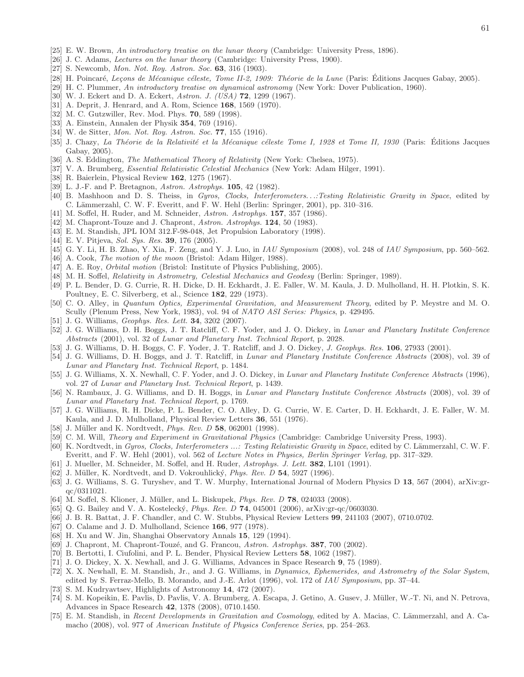- [25] E. W. Brown, *An introductory treatise on the lunar theory* (Cambridge: University Press, 1896).
- [26] J. C. Adams, *Lectures on the lunar theory* (Cambridge: University Press, 1900).
- [27] S. Newcomb, *Mon. Not. Roy. Astron. Soc.* 63, 316 (1903).
- [28] H. Poincaré, *Leçons de Mécanique céleste, Tome II-2, 1909: Théorie de la Lune* (Paris: Éditions Jacques Gabay, 2005).
- [29] H. C. Plummer, *An introductory treatise on dynamical astronomy* (New York: Dover Publication, 1960).
- [30] W. J. Eckert and D. A. Eckert, *Astron. J. (USA)* 72, 1299 (1967).
- [31] A. Deprit, J. Henrard, and A. Rom, Science **168**, 1569 (1970).
- [32] M. C. Gutzwiller, Rev. Mod. Phys. 70, 589 (1998).
- [33] A. Einstein, Annalen der Physik 354, 769 (1916).
- [34] W. de Sitter, *Mon. Not. Roy. Astron. Soc.* 77, 155 (1916).
- [35] J. Chazy, *La Th´eorie de la Relativit´e et la M´ecanique c´eleste Tome I, 1928 et Tome II, 1930* (Paris: Editions Jacques ´ Gabay, 2005).
- [36] A. S. Eddington, *The Mathematical Theory of Relativity* (New York: Chelsea, 1975).
- [37] V. A. Brumberg, *Essential Relativistic Celestial Mechanics* (New York: Adam Hilger, 1991).
- [38] R. Baierlein, Physical Review 162, 1275 (1967).
- [39] L. J.-F. and P. Bretagnon, *Astron. Astrophys.* 105, 42 (1982).
- [40] B. Mashhoon and D. S. Theiss, in *Gyros, Clocks, Interferometers*. . .*:Testing Relativistic Gravity in Space*, edited by C. Lämmerzahl, C. W. F. Everitt, and F. W. Hehl (Berlin: Springer, 2001), pp. 310–316.
- [41] M. Soffel, H. Ruder, and M. Schneider, *Astron. Astrophys.* 157, 357 (1986).
- [42] M. Chapront-Touze and J. Chapront, *Astron. Astrophys.* 124, 50 (1983).
- [43] E. M. Standish, JPL IOM 312.F-98-048, Jet Propulsion Laboratory (1998).
- [44] E. V. Pitjeva, *Sol. Sys. Res.* 39, 176 (2005).
- [45] G. Y. Li, H. B. Zhao, Y. Xia, F. Zeng, and Y. J. Luo, in *IAU Symposium* (2008), vol. 248 of *IAU Symposium*, pp. 560–562.
- [46] A. Cook, *The motion of the moon* (Bristol: Adam Hilger, 1988).
- [47] A. E. Roy, *Orbital motion* (Bristol: Institute of Physics Publishing, 2005).
- [48] M. H. Soffel, *Relativity in Astrometry, Celestial Mechanics and Geodesy* (Berlin: Springer, 1989).
- [49] P. L. Bender, D. G. Currie, R. H. Dicke, D. H. Eckhardt, J. E. Faller, W. M. Kaula, J. D. Mulholland, H. H. Plotkin, S. K. Poultney, E. C. Silverberg, et al., Science 182, 229 (1973).
- [50] C. O. Alley, in *Quantum Optics, Experimental Gravitation, and Measurement Theory*, edited by P. Meystre and M. O. Scully (Plenum Press, New York, 1983), vol. 94 of *NATO ASI Series: Physics*, p. 429495.
- [51] J. G. Williams, *Geophys. Res. Lett.* 34, 3202 (2007).
- [52] J. G. Williams, D. H. Boggs, J. T. Ratcliff, C. F. Yoder, and J. O. Dickey, in *Lunar and Planetary Institute Conference Abstracts* (2001), vol. 32 of *Lunar and Planetary Inst. Technical Report*, p. 2028.
- [53] J. G. Williams, D. H. Boggs, C. F. Yoder, J. T. Ratcliff, and J. O. Dickey, *J. Geophys. Res.* 106, 27933 (2001).
- [54] J. G. Williams, D. H. Boggs, and J. T. Ratcliff, in *Lunar and Planetary Institute Conference Abstracts* (2008), vol. 39 of *Lunar and Planetary Inst. Technical Report*, p. 1484.
- [55] J. G. Williams, X. X. Newhall, C. F. Yoder, and J. O. Dickey, in *Lunar and Planetary Institute Conference Abstracts* (1996), vol. 27 of *Lunar and Planetary Inst. Technical Report*, p. 1439.
- [56] N. Rambaux, J. G. Williams, and D. H. Boggs, in *Lunar and Planetary Institute Conference Abstracts* (2008), vol. 39 of *Lunar and Planetary Inst. Technical Report*, p. 1769.
- [57] J. G. Williams, R. H. Dicke, P. L. Bender, C. O. Alley, D. G. Currie, W. E. Carter, D. H. Eckhardt, J. E. Faller, W. M. Kaula, and J. D. Mulholland, Physical Review Letters 36, 551 (1976).
- [58] J. Müller and K. Nordtvedt, *Phys. Rev. D* 58, 062001 (1998).
- [59] C. M. Will, *Theory and Experiment in Gravitational Physics* (Cambridge: Cambridge University Press, 1993).
- [60] K. Nordtvedt, in *Gyros, Clocks, Interferometers ...: Testing Relativistic Gravity in Space*, edited by C. L¨ammerzahl, C. W. F. Everitt, and F. W. Hehl (2001), vol. 562 of *Lecture Notes in Physics, Berlin Springer Verlag*, pp. 317–329.
- [61] J. Mueller, M. Schneider, M. Soffel, and H. Ruder, *Astrophys. J. Lett.* 382, L101 (1991).
- [62] J. Müller, K. Nordtvedt, and D. Vokrouhlický, *Phys. Rev. D* 54, 5927 (1996).
- [63] J. G. Williams, S. G. Turyshev, and T. W. Murphy, International Journal of Modern Physics D 13, 567 (2004), arXiv:grqc/0311021.
- [64] M. Soffel, S. Klioner, J. Müller, and L. Biskupek, *Phys. Rev. D* **78**, 024033 (2008).
- [65] Q. G. Bailey and V. A. Kosteleck´y, *Phys. Rev. D* 74, 045001 (2006), arXiv:gr-qc/0603030.
- [66] J. B. R. Battat, J. F. Chandler, and C. W. Stubbs, Physical Review Letters 99, 241103 (2007), 0710.0702.
- [67] O. Calame and J. D. Mulholland, Science 166, 977 (1978).
- [68] H. Xu and W. Jin, Shanghai Observatory Annals 15, 129 (1994).
- [69] J. Chapront, M. Chapront-Touz´e, and G. Francou, *Astron. Astrophys.* 387, 700 (2002).
- [70] B. Bertotti, I. Ciufolini, and P. L. Bender, Physical Review Letters 58, 1062 (1987).
- [71] J. O. Dickey, X. X. Newhall, and J. G. Williams, Advances in Space Research 9, 75 (1989).
- [72] X. X. Newhall, E. M. Standish, Jr., and J. G. Williams, in *Dynamics, Ephemerides, and Astrometry of the Solar System*, edited by S. Ferraz-Mello, B. Morando, and J.-E. Arlot (1996), vol. 172 of *IAU Symposium*, pp. 37–44.
- [73] S. M. Kudryavtsev, Highlights of Astronomy 14, 472 (2007).
- [74] S. M. Kopeikin, E. Pavlis, D. Pavlis, V. A. Brumberg, A. Escapa, J. Getino, A. Gusev, J. M¨uller, W.-T. Ni, and N. Petrova, Advances in Space Research 42, 1378 (2008), 0710.1450.
- [75] E. M. Standish, in *Recent Developments in Gravitation and Cosmology*, edited by A. Macias, C. Lämmerzahl, and A. Camacho (2008), vol. 977 of *American Institute of Physics Conference Series*, pp. 254–263.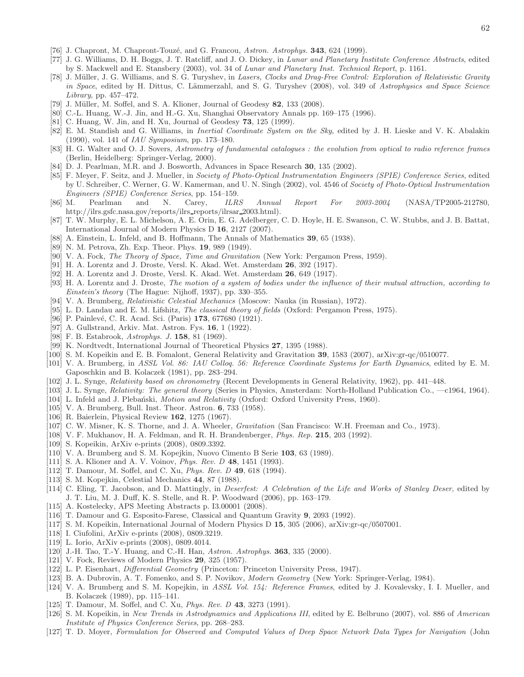- [76] J. Chapront, M. Chapront-Touzé, and G. Francou, *Astron. Astrophys.* **343**, 624 (1999).
- [77] J. G. Williams, D. H. Boggs, J. T. Ratcliff, and J. O. Dickey, in *Lunar and Planetary Institute Conference Abstracts*, edited by S. Mackwell and E. Stansbery (2003), vol. 34 of *Lunar and Planetary Inst. Technical Report*, p. 1161.
- [78] J. M¨uller, J. G. Williams, and S. G. Turyshev, in *Lasers, Clocks and Drag-Free Control: Exploration of Relativistic Gravity in Space*, edited by H. Dittus, C. Lämmerzahl, and S. G. Turyshev (2008), vol. 349 of *Astrophysics and Space Science Library*, pp. 457–472.
- [79] J. Müller, M. Soffel, and S. A. Klioner, Journal of Geodesy 82, 133 (2008).
- [80] C.-L. Huang, W.-J. Jin, and H.-G. Xu, Shanghai Observatory Annals pp. 169–175 (1996).
- [81] C. Huang, W. Jin, and H. Xu, Journal of Geodesy **73**, 125 (1999).
- [82] E. M. Standish and G. Williams, in *Inertial Coordinate System on the Sky*, edited by J. H. Lieske and V. K. Abalakin (1990), vol. 141 of *IAU Symposium*, pp. 173–180.
- [83] H. G. Walter and O. J. Sovers, *Astrometry of fundamental catalogues : the evolution from optical to radio reference frames* (Berlin, Heidelberg: Springer-Verlag, 2000).
- [84] D. J. Pearlman, M.R. and J. Bosworth, Advances in Space Research 30, 135 (2002).
- [85] F. Meyer, F. Seitz, and J. Mueller, in *Society of Photo-Optical Instrumentation Engineers (SPIE) Conference Series*, edited by U. Schreiber, C. Werner, G. W. Kamerman, and U. N. Singh (2002), vol. 4546 of *Society of Photo-Optical Instrumentation Engineers (SPIE) Conference Series*, pp. 154–159.
- [86] M. Pearlman and N. Carey, *ILRS Annual Report For 2003-2004* (NASA/TP2005-212780, http://ilrs.gsfc.nasa.gov/reports/ilrs reports/ilrsar 2003.html).
- [87] T. W. Murphy, E. L. Michelson, A. E. Orin, E. G. Adelberger, C. D. Hoyle, H. E. Swanson, C. W. Stubbs, and J. B. Battat, International Journal of Modern Physics D 16, 2127 (2007).
- [88] A. Einstein, L. Infeld, and B. Hoffmann, The Annals of Mathematics 39, 65 (1938).
- [89] N. M. Petrova, Zh. Exp. Theor. Phys. 19, 989 (1949).
- [90] V. A. Fock, *The Theory of Space, Time and Gravitation* (New York: Pergamon Press, 1959).
- [91] H. A. Lorentz and J. Droste, Versl. K. Akad. Wet. Amsterdam 26, 392 (1917).
- [92] H. A. Lorentz and J. Droste, Versl. K. Akad. Wet. Amsterdam 26, 649 (1917).
- [93] H. A. Lorentz and J. Droste, *The motion of a system of bodies under the influence of their mutual attraction, according to Einstein's theory* (The Hague: Nijhoff, 1937), pp. 330–355.
- [94] V. A. Brumberg, *Relativistic Celestial Mechanics* (Moscow: Nauka (in Russian), 1972).
- [95] L. D. Landau and E. M. Lifshitz, *The classical theory of fields* (Oxford: Pergamon Press, 1975).
- [96] P. Painlevé, C. R. Acad. Sci. (Paris) 173, 677680 (1921).
- [97] A. Gullstrand, Arkiv. Mat. Astron. Fys. 16, 1 (1922).
- [98] F. B. Estabrook, *Astrophys. J.* 158, 81 (1969).
- [99] K. Nordtvedt, International Journal of Theoretical Physics 27, 1395 (1988).
- [100] S. M. Kopeikin and E. B. Fomalont, General Relativity and Gravitation 39, 1583 (2007), arXiv:gr-qc/0510077.
- [101] V. A. Brumberg, in *ASSL Vol. 86: IAU Colloq. 56: Reference Coordinate Systems for Earth Dynamics*, edited by E. M. Gaposchkin and B. Kolaczek (1981), pp. 283–294.
- [102] J. L. Synge, *Relativity based on chronometry* (Recent Developments in General Relativity, 1962), pp. 441–448.
- [103] J. L. Synge, *Relativity: The general theory* (Series in Physics, Amsterdam: North-Holland Publication Co., —c1964, 1964).
- [104] L. Infeld and J. Plebański, *Motion and Relativity* (Oxford: Oxford University Press, 1960).
- [105] V. A. Brumberg, Bull. Inst. Theor. Astron. 6, 733 (1958).
- [106] R. Baierlein, Physical Review 162, 1275 (1967).
- [107] C. W. Misner, K. S. Thorne, and J. A. Wheeler, *Gravitation* (San Francisco: W.H. Freeman and Co., 1973).
- [108] V. F. Mukhanov, H. A. Feldman, and R. H. Brandenberger, *Phys. Rep.* 215, 203 (1992).
- [109] S. Kopeikin, ArXiv e-prints (2008), 0809.3392.
- [110] V. A. Brumberg and S. M. Kopejkin, Nuovo Cimento B Serie 103, 63 (1989).
- [111] S. A. Klioner and A. V. Voinov, *Phys. Rev. D* 48, 1451 (1993).
- [112] T. Damour, M. Soffel, and C. Xu, *Phys. Rev. D* 49, 618 (1994).
- [113] S. M. Kopejkin, Celestial Mechanics 44, 87 (1988).
- [114] C. Eling, T. Jacobson, and D. Mattingly, in *Deserfest: A Celebration of the Life and Works of Stanley Deser*, edited by J. T. Liu, M. J. Duff, K. S. Stelle, and R. P. Woodward (2006), pp. 163–179.
- [115] A. Kostelecky, APS Meeting Abstracts p. I3.00001 (2008).
- [116] T. Damour and G. Esposito-Farese, Classical and Quantum Gravity 9, 2093 (1992).
- [117] S. M. Kopeikin, International Journal of Modern Physics D 15, 305 (2006), arXiv:gr-qc/0507001.
- [118] I. Ciufolini, ArXiv e-prints (2008), 0809.3219.
- [119] L. Iorio, ArXiv e-prints (2008), 0809.4014.
- [120] J.-H. Tao, T.-Y. Huang, and C.-H. Han, *Astron. Astrophys.* 363, 335 (2000).
- [121] V. Fock, Reviews of Modern Physics **29**, 325 (1957).
- [122] L. P. Eisenhart, *Differential Geometry* (Princeton: Princeton University Press, 1947).
- [123] B. A. Dubrovin, A. T. Fomenko, and S. P. Novikov, *Modern Geometry* (New York: Springer-Verlag, 1984).
- [124] V. A. Brumberg and S. M. Kopejkin, in *ASSL Vol. 154: Reference Frames*, edited by J. Kovalevsky, I. I. Mueller, and B. Kolaczek (1989), pp. 115–141.
- [125] T. Damour, M. Soffel, and C. Xu, *Phys. Rev. D* 43, 3273 (1991).
- [126] S. M. Kopeikin, in *New Trends in Astrodynamics and Applications III*, edited by E. Belbruno (2007), vol. 886 of *American Institute of Physics Conference Series*, pp. 268–283.
- [127] T. D. Moyer, *Formulation for Observed and Computed Values of Deep Space Network Data Types for Navigation* (John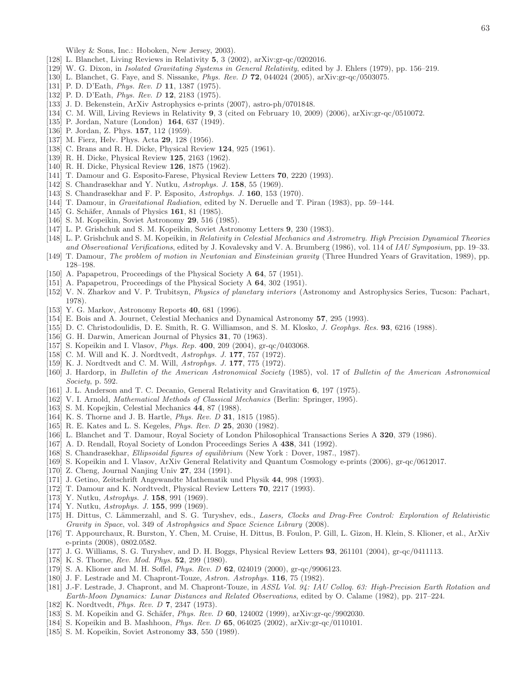Wiley & Sons, Inc.: Hoboken, New Jersey, 2003).

- [128] L. Blanchet, Living Reviews in Relativity 5, 3 (2002), arXiv:gr-qc/0202016.
- [129] W. G. Dixon, in *Isolated Gravitating Systems in General Relativity*, edited by J. Ehlers (1979), pp. 156–219.
- [130] L. Blanchet, G. Faye, and S. Nissanke, *Phys. Rev. D* 72, 044024 (2005), arXiv:gr-qc/0503075.
- [131] P. D. D'Eath, *Phys. Rev. D* 11, 1387 (1975).
- [132] P. D. D'Eath, *Phys. Rev. D* 12, 2183 (1975).
- [133] J. D. Bekenstein, ArXiv Astrophysics e-prints (2007), astro-ph/0701848.
- [134] C. M. Will, Living Reviews in Relativity 9, 3 (cited on February 10, 2009) (2006), arXiv:gr-qc/0510072.
- [135] P. Jordan, Nature (London) 164, 637 (1949).
- [136] P. Jordan, Z. Phys. **157**, 112 (1959).
- [137] M. Fierz, Helv. Phys. Acta **29**, 128 (1956).
- [138] C. Brans and R. H. Dicke, Physical Review 124, 925 (1961).
- [139] R. H. Dicke, Physical Review 125, 2163 (1962).
- [140] R. H. Dicke, Physical Review 126, 1875 (1962).
- [141] T. Damour and G. Esposito-Farese, Physical Review Letters 70, 2220 (1993).
- [142] S. Chandrasekhar and Y. Nutku, *Astrophys. J.* 158, 55 (1969).
- [143] S. Chandrasekhar and F. P. Esposito, *Astrophys. J.* 160, 153 (1970).
- [144] T. Damour, in *Gravitational Radiation*, edited by N. Deruelle and T. Piran (1983), pp. 59–144.
- [145] G. Schäfer, Annals of Physics 161, 81 (1985).
- [146] S. M. Kopeikin, Soviet Astronomy 29, 516 (1985).
- [147] L. P. Grishchuk and S. M. Kopeikin, Soviet Astronomy Letters 9, 230 (1983).
- [148] L. P. Grishchuk and S. M. Kopeikin, in *Relativity in Celestial Mechanics and Astrometry. High Precision Dynamical Theories and Observational Verifications*, edited by J. Kovalevsky and V. A. Brumberg (1986), vol. 114 of *IAU Symposium*, pp. 19–33.
- [149] T. Damour, *The problem of motion in Newtonian and Einsteinian gravity* (Three Hundred Years of Gravitation, 1989), pp. 128–198.
- [150] A. Papapetrou, Proceedings of the Physical Society A 64, 57 (1951).
- [151] A. Papapetrou, Proceedings of the Physical Society A 64, 302 (1951).
- [152] V. N. Zharkov and V. P. Trubitsyn, *Physics of planetary interiors* (Astronomy and Astrophysics Series, Tucson: Pachart, 1978).
- [153] Y. G. Markov, Astronomy Reports 40, 681 (1996).
- [154] E. Bois and A. Journet, Celestial Mechanics and Dynamical Astronomy 57, 295 (1993).
- [155] D. C. Christodoulidis, D. E. Smith, R. G. Williamson, and S. M. Klosko, *J. Geophys. Res.* 93, 6216 (1988).
- [156] G. H. Darwin, American Journal of Physics **31**, 70 (1963).
- [157] S. Kopeikin and I. Vlasov, *Phys. Rep.* 400, 209 (2004), gr-qc/0403068.
- [158] C. M. Will and K. J. Nordtvedt, *Astrophys. J.* 177, 757 (1972).
- [159] K. J. Nordtvedt and C. M. Will, *Astrophys. J.* 177, 775 (1972).
- [160] J. Hardorp, in *Bulletin of the American Astronomical Society* (1985), vol. 17 of *Bulletin of the American Astronomical Society*, p. 592.
- [161] J. L. Anderson and T. C. Decanio, General Relativity and Gravitation 6, 197 (1975).
- [162] V. I. Arnold, *Mathematical Methods of Classical Mechanics* (Berlin: Springer, 1995).
- [163] S. M. Kopejkin, Celestial Mechanics 44, 87 (1988).
- [164] K. S. Thorne and J. B. Hartle, *Phys. Rev. D* 31, 1815 (1985).
- [165] R. E. Kates and L. S. Kegeles, *Phys. Rev. D* 25, 2030 (1982).
- [166] L. Blanchet and T. Damour, Royal Society of London Philosophical Transactions Series A 320, 379 (1986).
- [167] A. D. Rendall, Royal Society of London Proceedings Series A 438, 341 (1992).
- [168] S. Chandrasekhar, *Ellipsoidal figures of equilibrium* (New York : Dover, 1987., 1987).
- [169] S. Kopeikin and I. Vlasov, ArXiv General Relativity and Quantum Cosmology e-prints (2006), gr-qc/0612017.
- [170] Z. Cheng, Journal Nanjing Univ 27, 234 (1991).
- [171] J. Getino, Zeitschrift Angewandte Mathematik und Physik 44, 998 (1993).
- [172] T. Damour and K. Nordtvedt, Physical Review Letters 70, 2217 (1993).
- [173] Y. Nutku, *Astrophys. J.* 158, 991 (1969).
- [174] Y. Nutku, *Astrophys. J.* 155, 999 (1969).
- [175] H. Dittus, C. L¨ammerzahl, and S. G. Turyshev, eds., *Lasers, Clocks and Drag-Free Control: Exploration of Relativistic Gravity in Space*, vol. 349 of *Astrophysics and Space Science Library* (2008).
- [176] T. Appourchaux, R. Burston, Y. Chen, M. Cruise, H. Dittus, B. Foulon, P. Gill, L. Gizon, H. Klein, S. Klioner, et al., ArXiv e-prints (2008), 0802.0582.
- [177] J. G. Williams, S. G. Turyshev, and D. H. Boggs, Physical Review Letters 93, 261101 (2004), gr-qc/0411113.
- [178] K. S. Thorne, *Rev. Mod. Phys.* 52, 299 (1980).
- [179] S. A. Klioner and M. H. Soffel, *Phys. Rev. D* 62, 024019 (2000), gr-qc/9906123.
- [180] J. F. Lestrade and M. Chapront-Touze, *Astron. Astrophys.* 116, 75 (1982).
- [181] J.-F. Lestrade, J. Chapront, and M. Chapront-Touze, in *ASSL Vol. 94: IAU Colloq. 63: High-Precision Earth Rotation and Earth-Moon Dynamics: Lunar Distances and Related Observations*, edited by O. Calame (1982), pp. 217–224.
- [182] K. Nordtvedt, *Phys. Rev. D* 7, 2347 (1973).
- [183] S. M. Kopeikin and G. Sch¨afer, *Phys. Rev. D* 60, 124002 (1999), arXiv:gr-qc/9902030.
- [184] S. Kopeikin and B. Mashhoon, *Phys. Rev. D* 65, 064025 (2002), arXiv:gr-qc/0110101.
- [185] S. M. Kopeikin, Soviet Astronomy 33, 550 (1989).